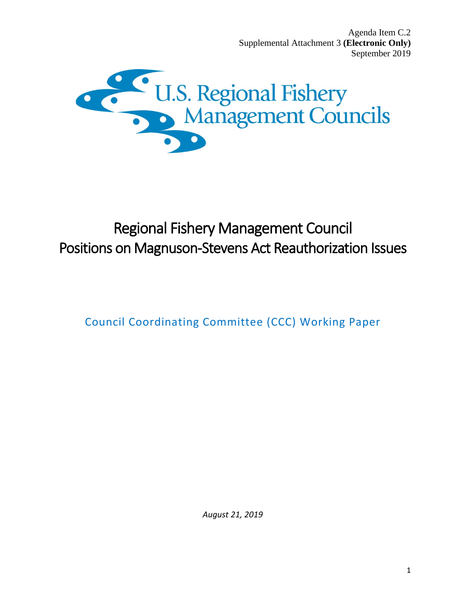Agenda Item C.2 Supplemental Attachment 3 **(Electronic Only)** September 2019



# Regional Fishery Management Council Positions on Magnuson-Stevens Act Reauthorization Issues

Council Coordinating Committee (CCC) Working Paper

*August 21, 2019*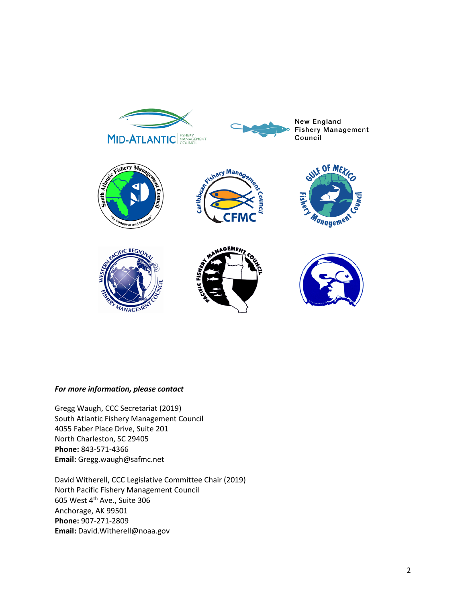

## *For more information, please contact*

Gregg Waugh, CCC Secretariat (2019) South Atlantic Fishery Management Council 4055 Faber Place Drive, Suite 201 North Charleston, SC 29405 **Phone:** 843-571-4366 **Email:** Gregg.waugh@safmc.net

David Witherell, CCC Legislative Committee Chair (2019) North Pacific Fishery Management Council 605 West 4th Ave., Suite 306 Anchorage, AK 99501 **Phone:** 907-271-2809 **Email:** David.Witherell@noaa.gov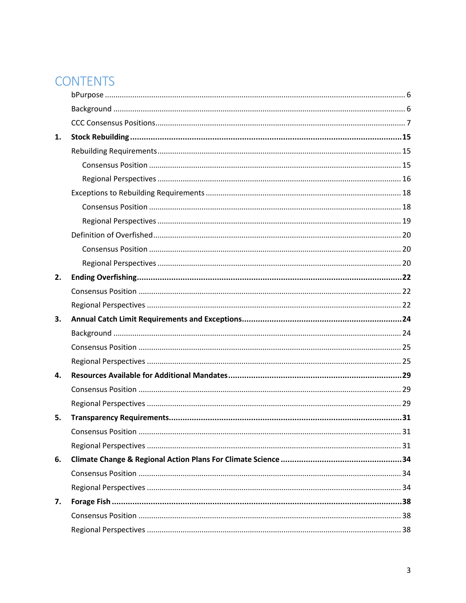# **CONTENTS**

| 1. |  |
|----|--|
|    |  |
|    |  |
|    |  |
|    |  |
|    |  |
|    |  |
|    |  |
|    |  |
|    |  |
| 2. |  |
|    |  |
|    |  |
| 3. |  |
|    |  |
|    |  |
|    |  |
|    |  |
| 4. |  |
|    |  |
|    |  |
| 5. |  |
|    |  |
|    |  |
| 6. |  |
|    |  |
|    |  |
| 7. |  |
|    |  |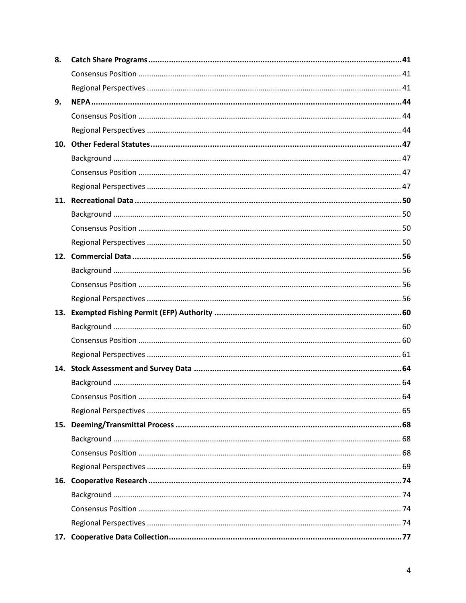| 8. |  |
|----|--|
|    |  |
|    |  |
| 9. |  |
|    |  |
|    |  |
|    |  |
|    |  |
|    |  |
|    |  |
|    |  |
|    |  |
|    |  |
|    |  |
|    |  |
|    |  |
|    |  |
|    |  |
|    |  |
|    |  |
|    |  |
|    |  |
|    |  |
|    |  |
|    |  |
|    |  |
|    |  |
|    |  |
|    |  |
|    |  |
|    |  |
|    |  |
|    |  |
|    |  |
|    |  |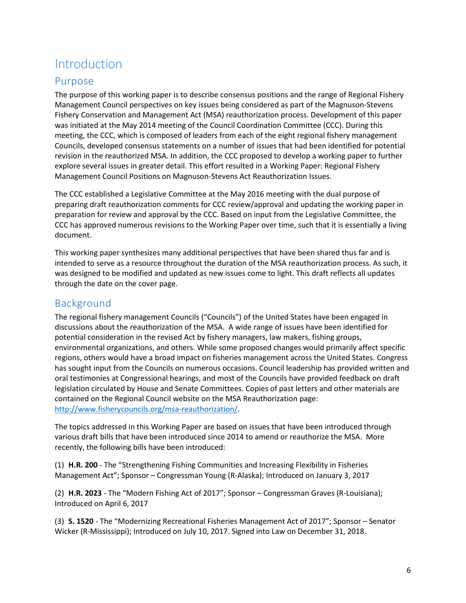# **Introduction**

# <span id="page-5-0"></span>Purpose

The purpose of this working paper is to describe consensus positions and the range of Regional Fishery Management Council perspectives on key issues being considered as part of the Magnuson-Stevens Fishery Conservation and Management Act (MSA) reauthorization process. Development of this paper was initiated at the May 2014 meeting of the Council Coordination Committee (CCC). During this meeting, the CCC, which is composed of leaders from each of the eight regional fishery management Councils, developed consensus statements on a number of issues that had been identified for potential revision in the reauthorized MSA. In addition, the CCC proposed to develop a working paper to further explore several issues in greater detail. This effort resulted in a Working Paper: Regional Fishery Management Council Positions on Magnuson-Stevens Act Reauthorization Issues.

The CCC established a Legislative Committee at the May 2016 meeting with the dual purpose of preparing draft reauthorization comments for CCC review/approval and updating the working paper in preparation for review and approval by the CCC. Based on input from the Legislative Committee, the CCC has approved numerous revisions to the Working Paper over time, such that it is essentially a living document.

This working paper synthesizes many additional perspectives that have been shared thus far and is intended to serve as a resource throughout the duration of the MSA reauthorization process. As such, it was designed to be modified and updated as new issues come to light. This draft reflects all updates through the date on the cover page.

# <span id="page-5-1"></span>Background

The regional fishery management Councils ("Councils") of the United States have been engaged in discussions about the reauthorization of the MSA. A wide range of issues have been identified for potential consideration in the revised Act by fishery managers, law makers, fishing groups, environmental organizations, and others. While some proposed changes would primarily affect specific regions, others would have a broad impact on fisheries management across the United States. Congress has sought input from the Councils on numerous occasions. Council leadership has provided written and oral testimonies at Congressional hearings, and most of the Councils have provided feedback on draft legislation circulated by House and Senate Committees. Copies of past letters and other materials are contained on the Regional Council website on the MSA Reauthorization page: [http://www.fisherycouncils.org/msa-reauthorization/.](http://www.fisherycouncils.org/msa-reauthorization/)

The topics addressed in this Working Paper are based on issues that have been introduced through various draft bills that have been introduced since 2014 to amend or reauthorize the MSA. More recently, the following bills have been introduced:

(1) **H.R. 200** - The "Strengthening Fishing Communities and Increasing Flexibility in Fisheries Management Act"; Sponsor – Congressman Young (R-Alaska); Introduced on January 3, 2017

(2) **H.R. 2023** - The "Modern Fishing Act of 2017"; Sponsor – Congressman Graves (R-Louisiana); Introduced on April 6, 2017

(3) **S. 1520** - The "Modernizing Recreational Fisheries Management Act of 2017"; Sponsor – Senator Wicker (R-Mississippi); Introduced on July 10, 2017. Signed into Law on December 31, 2018.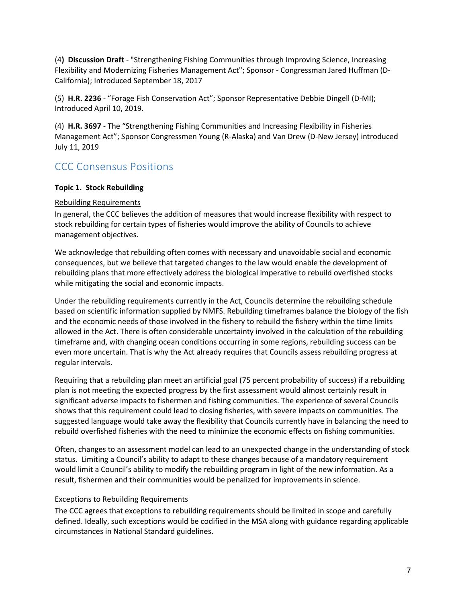(4**) Discussion Draft** - "Strengthening Fishing Communities through Improving Science, Increasing Flexibility and Modernizing Fisheries Management Act"; Sponsor - Congressman Jared Huffman (D-California); Introduced September 18, 2017

(5) **H.R. 2236** - "Forage Fish Conservation Act"; Sponsor Representative Debbie Dingell (D-MI); Introduced April 10, 2019.

(4) **H.R. 3697** - The "Strengthening Fishing Communities and Increasing Flexibility in Fisheries Management Act"; Sponsor Congressmen Young (R-Alaska) and Van Drew (D-New Jersey) introduced July 11, 2019

# <span id="page-6-0"></span>CCC Consensus Positions

## **Topic 1. Stock Rebuilding**

## Rebuilding Requirements

In general, the CCC believes the addition of measures that would increase flexibility with respect to stock rebuilding for certain types of fisheries would improve the ability of Councils to achieve management objectives.

We acknowledge that rebuilding often comes with necessary and unavoidable social and economic consequences, but we believe that targeted changes to the law would enable the development of rebuilding plans that more effectively address the biological imperative to rebuild overfished stocks while mitigating the social and economic impacts.

Under the rebuilding requirements currently in the Act, Councils determine the rebuilding schedule based on scientific information supplied by NMFS. Rebuilding timeframes balance the biology of the fish and the economic needs of those involved in the fishery to rebuild the fishery within the time limits allowed in the Act. There is often considerable uncertainty involved in the calculation of the rebuilding timeframe and, with changing ocean conditions occurring in some regions, rebuilding success can be even more uncertain. That is why the Act already requires that Councils assess rebuilding progress at regular intervals.

Requiring that a rebuilding plan meet an artificial goal (75 percent probability of success) if a rebuilding plan is not meeting the expected progress by the first assessment would almost certainly result in significant adverse impacts to fishermen and fishing communities. The experience of several Councils shows that this requirement could lead to closing fisheries, with severe impacts on communities. The suggested language would take away the flexibility that Councils currently have in balancing the need to rebuild overfished fisheries with the need to minimize the economic effects on fishing communities.

Often, changes to an assessment model can lead to an unexpected change in the understanding of stock status. Limiting a Council's ability to adapt to these changes because of a mandatory requirement would limit a Council's ability to modify the rebuilding program in light of the new information. As a result, fishermen and their communities would be penalized for improvements in science.

## Exceptions to Rebuilding Requirements

The CCC agrees that exceptions to rebuilding requirements should be limited in scope and carefully defined. Ideally, such exceptions would be codified in the MSA along with guidance regarding applicable circumstances in National Standard guidelines.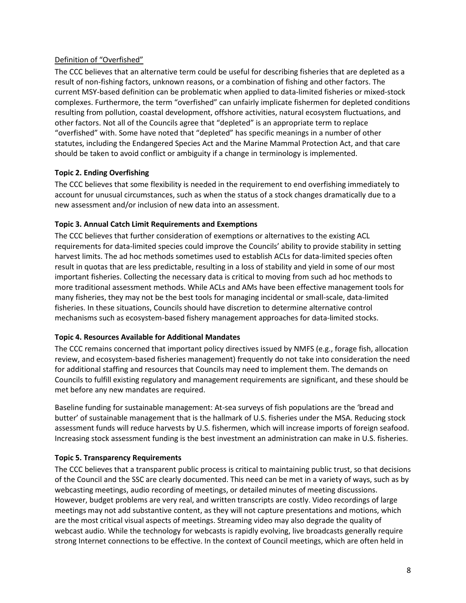## Definition of "Overfished"

The CCC believes that an alternative term could be useful for describing fisheries that are depleted as a result of non-fishing factors, unknown reasons, or a combination of fishing and other factors. The current MSY-based definition can be problematic when applied to data-limited fisheries or mixed-stock complexes. Furthermore, the term "overfished" can unfairly implicate fishermen for depleted conditions resulting from pollution, coastal development, offshore activities, natural ecosystem fluctuations, and other factors. Not all of the Councils agree that "depleted" is an appropriate term to replace "overfished" with. Some have noted that "depleted" has specific meanings in a number of other statutes, including the Endangered Species Act and the Marine Mammal Protection Act, and that care should be taken to avoid conflict or ambiguity if a change in terminology is implemented.

## **Topic 2. Ending Overfishing**

The CCC believes that some flexibility is needed in the requirement to end overfishing immediately to account for unusual circumstances, such as when the status of a stock changes dramatically due to a new assessment and/or inclusion of new data into an assessment.

## **Topic 3. Annual Catch Limit Requirements and Exemptions**

The CCC believes that further consideration of exemptions or alternatives to the existing ACL requirements for data-limited species could improve the Councils' ability to provide stability in setting harvest limits. The ad hoc methods sometimes used to establish ACLs for data-limited species often result in quotas that are less predictable, resulting in a loss of stability and yield in some of our most important fisheries. Collecting the necessary data is critical to moving from such ad hoc methods to more traditional assessment methods. While ACLs and AMs have been effective management tools for many fisheries, they may not be the best tools for managing incidental or small-scale, data-limited fisheries. In these situations, Councils should have discretion to determine alternative control mechanisms such as ecosystem-based fishery management approaches for data-limited stocks.

## **Topic 4. Resources Available for Additional Mandates**

The CCC remains concerned that important policy directives issued by NMFS (e.g., forage fish, allocation review, and ecosystem-based fisheries management) frequently do not take into consideration the need for additional staffing and resources that Councils may need to implement them. The demands on Councils to fulfill existing regulatory and management requirements are significant, and these should be met before any new mandates are required.

Baseline funding for sustainable management: At-sea surveys of fish populations are the 'bread and butter' of sustainable management that is the hallmark of U.S. fisheries under the MSA. Reducing stock assessment funds will reduce harvests by U.S. fishermen, which will increase imports of foreign seafood. Increasing stock assessment funding is the best investment an administration can make in U.S. fisheries.

## **Topic 5. Transparency Requirements**

The CCC believes that a transparent public process is critical to maintaining public trust, so that decisions of the Council and the SSC are clearly documented. This need can be met in a variety of ways, such as by webcasting meetings, audio recording of meetings, or detailed minutes of meeting discussions. However, budget problems are very real, and written transcripts are costly. Video recordings of large meetings may not add substantive content, as they will not capture presentations and motions, which are the most critical visual aspects of meetings. Streaming video may also degrade the quality of webcast audio. While the technology for webcasts is rapidly evolving, live broadcasts generally require strong Internet connections to be effective. In the context of Council meetings, which are often held in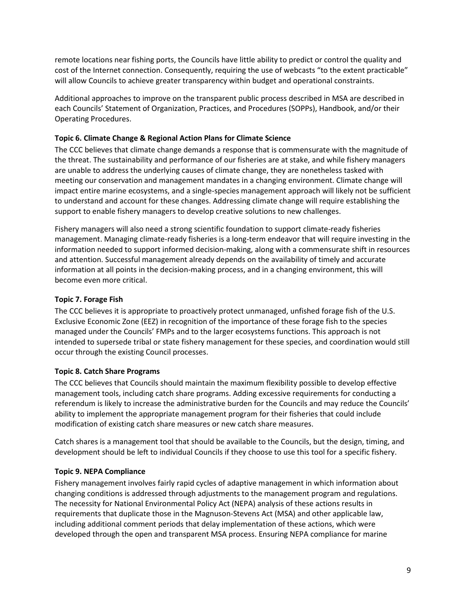remote locations near fishing ports, the Councils have little ability to predict or control the quality and cost of the Internet connection. Consequently, requiring the use of webcasts "to the extent practicable" will allow Councils to achieve greater transparency within budget and operational constraints.

Additional approaches to improve on the transparent public process described in MSA are described in each Councils' Statement of Organization, Practices, and Procedures (SOPPs), Handbook, and/or their Operating Procedures.

## **Topic 6. Climate Change & Regional Action Plans for Climate Science**

The CCC believes that climate change demands a response that is commensurate with the magnitude of the threat. The sustainability and performance of our fisheries are at stake, and while fishery managers are unable to address the underlying causes of climate change, they are nonetheless tasked with meeting our conservation and management mandates in a changing environment. Climate change will impact entire marine ecosystems, and a single-species management approach will likely not be sufficient to understand and account for these changes. Addressing climate change will require establishing the support to enable fishery managers to develop creative solutions to new challenges.

Fishery managers will also need a strong scientific foundation to support climate-ready fisheries management. Managing climate-ready fisheries is a long-term endeavor that will require investing in the information needed to support informed decision-making, along with a commensurate shift in resources and attention. Successful management already depends on the availability of timely and accurate information at all points in the decision-making process, and in a changing environment, this will become even more critical.

## **Topic 7. Forage Fish**

The CCC believes it is appropriate to proactively protect unmanaged, unfished forage fish of the U.S. Exclusive Economic Zone (EEZ) in recognition of the importance of these forage fish to the species managed under the Councils' FMPs and to the larger ecosystems functions. This approach is not intended to supersede tribal or state fishery management for these species, and coordination would still occur through the existing Council processes.

## **Topic 8. Catch Share Programs**

The CCC believes that Councils should maintain the maximum flexibility possible to develop effective management tools, including catch share programs. Adding excessive requirements for conducting a referendum is likely to increase the administrative burden for the Councils and may reduce the Councils' ability to implement the appropriate management program for their fisheries that could include modification of existing catch share measures or new catch share measures.

Catch shares is a management tool that should be available to the Councils, but the design, timing, and development should be left to individual Councils if they choose to use this tool for a specific fishery.

## **Topic 9. NEPA Compliance**

Fishery management involves fairly rapid cycles of adaptive management in which information about changing conditions is addressed through adjustments to the management program and regulations. The necessity for National Environmental Policy Act (NEPA) analysis of these actions results in requirements that duplicate those in the Magnuson-Stevens Act (MSA) and other applicable law, including additional comment periods that delay implementation of these actions, which were developed through the open and transparent MSA process. Ensuring NEPA compliance for marine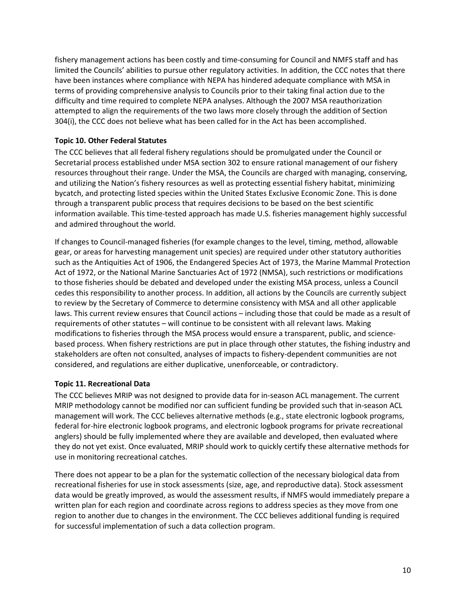fishery management actions has been costly and time-consuming for Council and NMFS staff and has limited the Councils' abilities to pursue other regulatory activities. In addition, the CCC notes that there have been instances where compliance with NEPA has hindered adequate compliance with MSA in terms of providing comprehensive analysis to Councils prior to their taking final action due to the difficulty and time required to complete NEPA analyses. Although the 2007 MSA reauthorization attempted to align the requirements of the two laws more closely through the addition of Section 304(i), the CCC does not believe what has been called for in the Act has been accomplished.

## **Topic 10. Other Federal Statutes**

The CCC believes that all federal fishery regulations should be promulgated under the Council or Secretarial process established under MSA section 302 to ensure rational management of our fishery resources throughout their range. Under the MSA, the Councils are charged with managing, conserving, and utilizing the Nation's fishery resources as well as protecting essential fishery habitat, minimizing bycatch, and protecting listed species within the United States Exclusive Economic Zone. This is done through a transparent public process that requires decisions to be based on the best scientific information available. This time-tested approach has made U.S. fisheries management highly successful and admired throughout the world.

If changes to Council-managed fisheries (for example changes to the level, timing, method, allowable gear, or areas for harvesting management unit species) are required under other statutory authorities such as the Antiquities Act of 1906, the Endangered Species Act of 1973, the Marine Mammal Protection Act of 1972, or the National Marine Sanctuaries Act of 1972 (NMSA), such restrictions or modifications to those fisheries should be debated and developed under the existing MSA process, unless a Council cedes this responsibility to another process. In addition, all actions by the Councils are currently subject to review by the Secretary of Commerce to determine consistency with MSA and all other applicable laws. This current review ensures that Council actions – including those that could be made as a result of requirements of other statutes – will continue to be consistent with all relevant laws. Making modifications to fisheries through the MSA process would ensure a transparent, public, and sciencebased process. When fishery restrictions are put in place through other statutes, the fishing industry and stakeholders are often not consulted, analyses of impacts to fishery-dependent communities are not considered, and regulations are either duplicative, unenforceable, or contradictory.

## **Topic 11. Recreational Data**

The CCC believes MRIP was not designed to provide data for in-season ACL management. The current MRIP methodology cannot be modified nor can sufficient funding be provided such that in-season ACL management will work. The CCC believes alternative methods (e.g., state electronic logbook programs, federal for-hire electronic logbook programs, and electronic logbook programs for private recreational anglers) should be fully implemented where they are available and developed, then evaluated where they do not yet exist. Once evaluated, MRIP should work to quickly certify these alternative methods for use in monitoring recreational catches.

There does not appear to be a plan for the systematic collection of the necessary biological data from recreational fisheries for use in stock assessments (size, age, and reproductive data). Stock assessment data would be greatly improved, as would the assessment results, if NMFS would immediately prepare a written plan for each region and coordinate across regions to address species as they move from one region to another due to changes in the environment. The CCC believes additional funding is required for successful implementation of such a data collection program.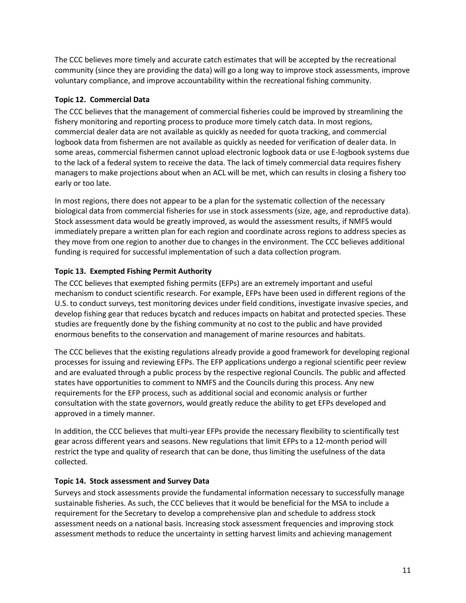The CCC believes more timely and accurate catch estimates that will be accepted by the recreational community (since they are providing the data) will go a long way to improve stock assessments, improve voluntary compliance, and improve accountability within the recreational fishing community.

## **Topic 12. Commercial Data**

The CCC believes that the management of commercial fisheries could be improved by streamlining the fishery monitoring and reporting process to produce more timely catch data. In most regions, commercial dealer data are not available as quickly as needed for quota tracking, and commercial logbook data from fishermen are not available as quickly as needed for verification of dealer data. In some areas, commercial fishermen cannot upload electronic logbook data or use E-logbook systems due to the lack of a federal system to receive the data. The lack of timely commercial data requires fishery managers to make projections about when an ACL will be met, which can results in closing a fishery too early or too late.

In most regions, there does not appear to be a plan for the systematic collection of the necessary biological data from commercial fisheries for use in stock assessments (size, age, and reproductive data). Stock assessment data would be greatly improved, as would the assessment results, if NMFS would immediately prepare a written plan for each region and coordinate across regions to address species as they move from one region to another due to changes in the environment. The CCC believes additional funding is required for successful implementation of such a data collection program.

## **Topic 13. Exempted Fishing Permit Authority**

The CCC believes that exempted fishing permits (EFPs) are an extremely important and useful mechanism to conduct scientific research. For example, EFPs have been used in different regions of the U.S. to conduct surveys, test monitoring devices under field conditions, investigate invasive species, and develop fishing gear that reduces bycatch and reduces impacts on habitat and protected species. These studies are frequently done by the fishing community at no cost to the public and have provided enormous benefits to the conservation and management of marine resources and habitats.

The CCC believes that the existing regulations already provide a good framework for developing regional processes for issuing and reviewing EFPs. The EFP applications undergo a regional scientific peer review and are evaluated through a public process by the respective regional Councils. The public and affected states have opportunities to comment to NMFS and the Councils during this process. Any new requirements for the EFP process, such as additional social and economic analysis or further consultation with the state governors, would greatly reduce the ability to get EFPs developed and approved in a timely manner.

In addition, the CCC believes that multi-year EFPs provide the necessary flexibility to scientifically test gear across different years and seasons. New regulations that limit EFPs to a 12-month period will restrict the type and quality of research that can be done, thus limiting the usefulness of the data collected.

## **Topic 14. Stock assessment and Survey Data**

Surveys and stock assessments provide the fundamental information necessary to successfully manage sustainable fisheries. As such, the CCC believes that it would be beneficial for the MSA to include a requirement for the Secretary to develop a comprehensive plan and schedule to address stock assessment needs on a national basis. Increasing stock assessment frequencies and improving stock assessment methods to reduce the uncertainty in setting harvest limits and achieving management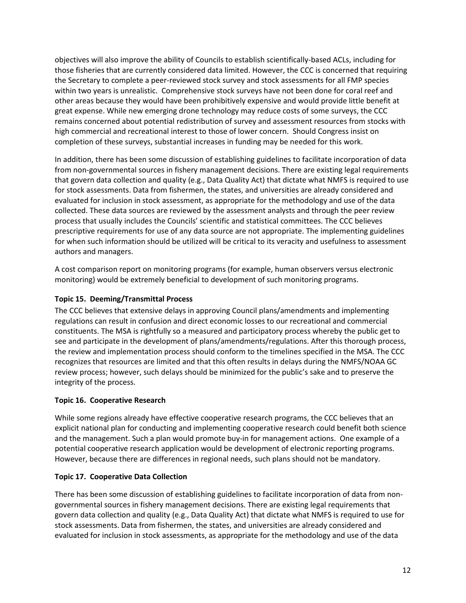objectives will also improve the ability of Councils to establish scientifically-based ACLs, including for those fisheries that are currently considered data limited. However, the CCC is concerned that requiring the Secretary to complete a peer-reviewed stock survey and stock assessments for all FMP species within two years is unrealistic. Comprehensive stock surveys have not been done for coral reef and other areas because they would have been prohibitively expensive and would provide little benefit at great expense. While new emerging drone technology may reduce costs of some surveys, the CCC remains concerned about potential redistribution of survey and assessment resources from stocks with high commercial and recreational interest to those of lower concern. Should Congress insist on completion of these surveys, substantial increases in funding may be needed for this work.

In addition, there has been some discussion of establishing guidelines to facilitate incorporation of data from non-governmental sources in fishery management decisions. There are existing legal requirements that govern data collection and quality (e.g., Data Quality Act) that dictate what NMFS is required to use for stock assessments. Data from fishermen, the states, and universities are already considered and evaluated for inclusion in stock assessment, as appropriate for the methodology and use of the data collected. These data sources are reviewed by the assessment analysts and through the peer review process that usually includes the Councils' scientific and statistical committees. The CCC believes prescriptive requirements for use of any data source are not appropriate. The implementing guidelines for when such information should be utilized will be critical to its veracity and usefulness to assessment authors and managers.

A cost comparison report on monitoring programs (for example, human observers versus electronic monitoring) would be extremely beneficial to development of such monitoring programs.

## **Topic 15. Deeming/Transmittal Process**

The CCC believes that extensive delays in approving Council plans/amendments and implementing regulations can result in confusion and direct economic losses to our recreational and commercial constituents. The MSA is rightfully so a measured and participatory process whereby the public get to see and participate in the development of plans/amendments/regulations. After this thorough process, the review and implementation process should conform to the timelines specified in the MSA. The CCC recognizes that resources are limited and that this often results in delays during the NMFS/NOAA GC review process; however, such delays should be minimized for the public's sake and to preserve the integrity of the process.

## **Topic 16. Cooperative Research**

While some regions already have effective cooperative research programs, the CCC believes that an explicit national plan for conducting and implementing cooperative research could benefit both science and the management. Such a plan would promote buy-in for management actions. One example of a potential cooperative research application would be development of electronic reporting programs. However, because there are differences in regional needs, such plans should not be mandatory.

## **Topic 17. Cooperative Data Collection**

There has been some discussion of establishing guidelines to facilitate incorporation of data from nongovernmental sources in fishery management decisions. There are existing legal requirements that govern data collection and quality (e.g., Data Quality Act) that dictate what NMFS is required to use for stock assessments. Data from fishermen, the states, and universities are already considered and evaluated for inclusion in stock assessments, as appropriate for the methodology and use of the data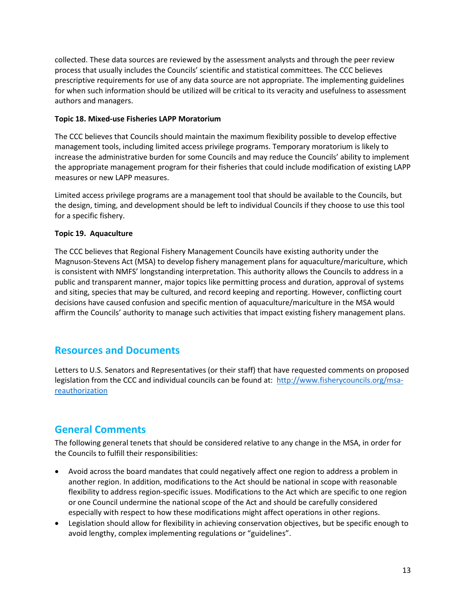collected. These data sources are reviewed by the assessment analysts and through the peer review process that usually includes the Councils' scientific and statistical committees. The CCC believes prescriptive requirements for use of any data source are not appropriate. The implementing guidelines for when such information should be utilized will be critical to its veracity and usefulness to assessment authors and managers.

## **Topic 18. Mixed-use Fisheries LAPP Moratorium**

The CCC believes that Councils should maintain the maximum flexibility possible to develop effective management tools, including limited access privilege programs. Temporary moratorium is likely to increase the administrative burden for some Councils and may reduce the Councils' ability to implement the appropriate management program for their fisheries that could include modification of existing LAPP measures or new LAPP measures.

Limited access privilege programs are a management tool that should be available to the Councils, but the design, timing, and development should be left to individual Councils if they choose to use this tool for a specific fishery.

## **Topic 19. Aquaculture**

The CCC believes that Regional Fishery Management Councils have existing authority under the Magnuson-Stevens Act (MSA) to develop fishery management plans for aquaculture/mariculture, which is consistent with NMFS' longstanding interpretation. This authority allows the Councils to address in a public and transparent manner, major topics like permitting process and duration, approval of systems and siting, species that may be cultured, and record keeping and reporting. However, conflicting court decisions have caused confusion and specific mention of aquaculture/mariculture in the MSA would affirm the Councils' authority to manage such activities that impact existing fishery management plans.

## **Resources and Documents**

Letters to U.S. Senators and Representatives (or their staff) that have requested comments on proposed legislation from the CCC and individual councils can be found at: [http://www.fisherycouncils.org/msa](http://www.fisherycouncils.org/msa-reauthorization)[reauthorization](http://www.fisherycouncils.org/msa-reauthorization)

# **General Comments**

The following general tenets that should be considered relative to any change in the MSA, in order for the Councils to fulfill their responsibilities:

- Avoid across the board mandates that could negatively affect one region to address a problem in another region. In addition, modifications to the Act should be national in scope with reasonable flexibility to address region-specific issues. Modifications to the Act which are specific to one region or one Council undermine the national scope of the Act and should be carefully considered especially with respect to how these modifications might affect operations in other regions.
- Legislation should allow for flexibility in achieving conservation objectives, but be specific enough to avoid lengthy, complex implementing regulations or "guidelines".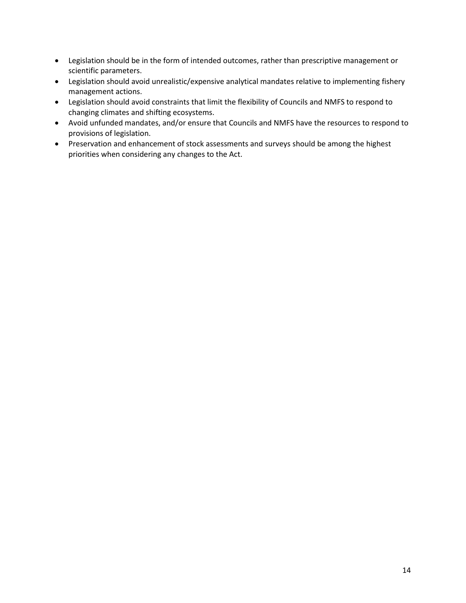- Legislation should be in the form of intended outcomes, rather than prescriptive management or scientific parameters.
- Legislation should avoid unrealistic/expensive analytical mandates relative to implementing fishery management actions.
- Legislation should avoid constraints that limit the flexibility of Councils and NMFS to respond to changing climates and shifting ecosystems.
- Avoid unfunded mandates, and/or ensure that Councils and NMFS have the resources to respond to provisions of legislation.
- Preservation and enhancement of stock assessments and surveys should be among the highest priorities when considering any changes to the Act.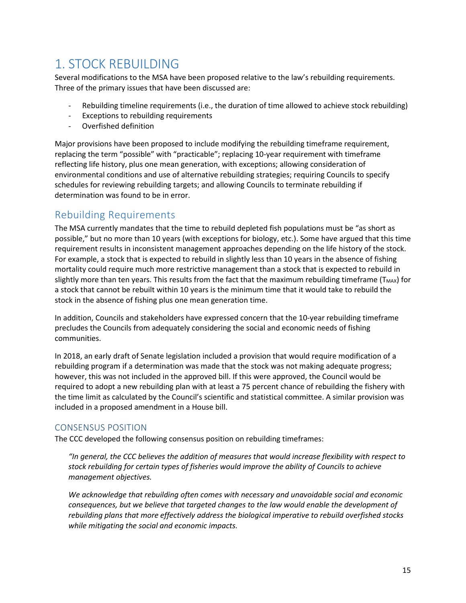# <span id="page-14-0"></span>1. STOCK REBUILDING

Several modifications to the MSA have been proposed relative to the law's rebuilding requirements. Three of the primary issues that have been discussed are:

- Rebuilding timeline requirements (i.e., the duration of time allowed to achieve stock rebuilding)
- Exceptions to rebuilding requirements
- Overfished definition

Major provisions have been proposed to include modifying the rebuilding timeframe requirement, replacing the term "possible" with "practicable"; replacing 10-year requirement with timeframe reflecting life history, plus one mean generation, with exceptions; allowing consideration of environmental conditions and use of alternative rebuilding strategies; requiring Councils to specify schedules for reviewing rebuilding targets; and allowing Councils to terminate rebuilding if determination was found to be in error.

## <span id="page-14-1"></span>Rebuilding Requirements

The MSA currently mandates that the time to rebuild depleted fish populations must be "as short as possible," but no more than 10 years (with exceptions for biology, etc.). Some have argued that this time requirement results in inconsistent management approaches depending on the life history of the stock. For example, a stock that is expected to rebuild in slightly less than 10 years in the absence of fishing mortality could require much more restrictive management than a stock that is expected to rebuild in slightly more than ten years. This results from the fact that the maximum rebuilding timeframe ( $T_{MAX}$ ) for a stock that cannot be rebuilt within 10 years is the minimum time that it would take to rebuild the stock in the absence of fishing plus one mean generation time.

In addition, Councils and stakeholders have expressed concern that the 10-year rebuilding timeframe precludes the Councils from adequately considering the social and economic needs of fishing communities.

In 2018, an early draft of Senate legislation included a provision that would require modification of a rebuilding program if a determination was made that the stock was not making adequate progress; however, this was not included in the approved bill. If this were approved, the Council would be required to adopt a new rebuilding plan with at least a 75 percent chance of rebuilding the fishery with the time limit as calculated by the Council's scientific and statistical committee. A similar provision was included in a proposed amendment in a House bill.

## <span id="page-14-2"></span>CONSENSUS POSITION

The CCC developed the following consensus position on rebuilding timeframes:

*"In general, the CCC believes the addition of measures that would increase flexibility with respect to stock rebuilding for certain types of fisheries would improve the ability of Councils to achieve management objectives.*

*We acknowledge that rebuilding often comes with necessary and unavoidable social and economic consequences, but we believe that targeted changes to the law would enable the development of rebuilding plans that more effectively address the biological imperative to rebuild overfished stocks while mitigating the social and economic impacts.*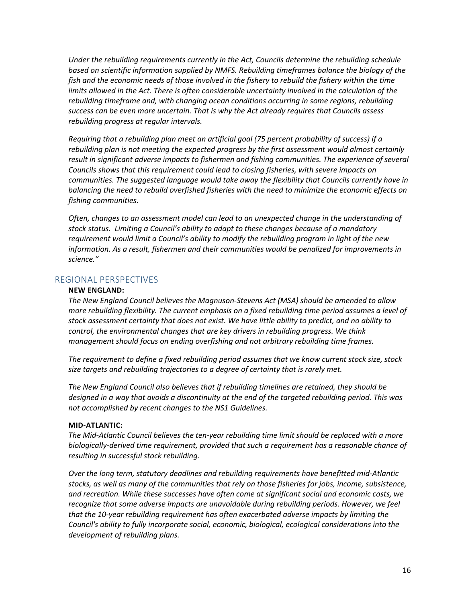*Under the rebuilding requirements currently in the Act, Councils determine the rebuilding schedule based on scientific information supplied by NMFS. Rebuilding timeframes balance the biology of the fish and the economic needs of those involved in the fishery to rebuild the fishery within the time limits allowed in the Act. There is often considerable uncertainty involved in the calculation of the rebuilding timeframe and, with changing ocean conditions occurring in some regions, rebuilding success can be even more uncertain. That is why the Act already requires that Councils assess rebuilding progress at regular intervals.*

*Requiring that a rebuilding plan meet an artificial goal (75 percent probability of success) if a rebuilding plan is not meeting the expected progress by the first assessment would almost certainly*  result in significant adverse impacts to fishermen and fishing communities. The experience of several *Councils shows that this requirement could lead to closing fisheries, with severe impacts on communities. The suggested language would take away the flexibility that Councils currently have in balancing the need to rebuild overfished fisheries with the need to minimize the economic effects on fishing communities.*

*Often, changes to an assessment model can lead to an unexpected change in the understanding of stock status. Limiting a Council's ability to adapt to these changes because of a mandatory requirement would limit a Council's ability to modify the rebuilding program in light of the new information. As a result, fishermen and their communities would be penalized for improvements in science."*

## <span id="page-15-0"></span>REGIONAL PERSPECTIVES

#### **NEW ENGLAND:**

*The New England Council believes the Magnuson-Stevens Act (MSA) should be amended to allow more rebuilding flexibility. The current emphasis on a fixed rebuilding time period assumes a level of stock assessment certainty that does not exist. We have little ability to predict, and no ability to control, the environmental changes that are key drivers in rebuilding progress. We think management should focus on ending overfishing and not arbitrary rebuilding time frames.*

*The requirement to define a fixed rebuilding period assumes that we know current stock size, stock size targets and rebuilding trajectories to a degree of certainty that is rarely met.*

*The New England Council also believes that if rebuilding timelines are retained, they should be designed in a way that avoids a discontinuity at the end of the targeted rebuilding period. This was not accomplished by recent changes to the NS1 Guidelines.*

#### **MID-ATLANTIC:**

*The Mid-Atlantic Council believes the ten-year rebuilding time limit should be replaced with a more biologically-derived time requirement, provided that such a requirement has a reasonable chance of resulting in successful stock rebuilding.* 

*Over the long term, statutory deadlines and rebuilding requirements have benefitted mid-Atlantic stocks, as well as many of the communities that rely on those fisheries for jobs, income, subsistence, and recreation. While these successes have often come at significant social and economic costs, we recognize that some adverse impacts are unavoidable during rebuilding periods. However, we feel that the 10-year rebuilding requirement has often exacerbated adverse impacts by limiting the Council's ability to fully incorporate social, economic, biological, ecological considerations into the development of rebuilding plans.*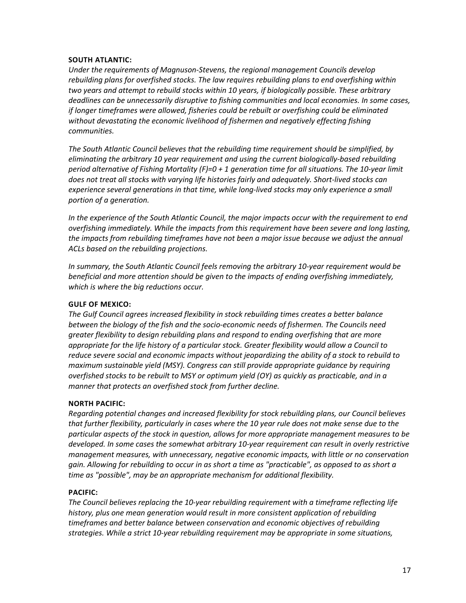## **SOUTH ATLANTIC:**

*Under the requirements of Magnuson-Stevens, the regional management Councils develop rebuilding plans for overfished stocks. The law requires rebuilding plans to end overfishing within two years and attempt to rebuild stocks within 10 years, if biologically possible. These arbitrary deadlines can be unnecessarily disruptive to fishing communities and local economies. In some cases, if longer timeframes were allowed, fisheries could be rebuilt or overfishing could be eliminated without devastating the economic livelihood of fishermen and negatively effecting fishing communities.* 

*The South Atlantic Council believes that the rebuilding time requirement should be simplified, by eliminating the arbitrary 10 year requirement and using the current biologically-based rebuilding period alternative of Fishing Mortality (F)=0 + 1 generation time for all situations. The 10-year limit does not treat all stocks with varying life histories fairly and adequately. Short-lived stocks can experience several generations in that time, while long-lived stocks may only experience a small portion of a generation.*

*In the experience of the South Atlantic Council, the major impacts occur with the requirement to end overfishing immediately. While the impacts from this requirement have been severe and long lasting, the impacts from rebuilding timeframes have not been a major issue because we adjust the annual ACLs based on the rebuilding projections.*

*In summary, the South Atlantic Council feels removing the arbitrary 10-year requirement would be beneficial and more attention should be given to the impacts of ending overfishing immediately, which is where the big reductions occur.*

## **GULF OF MEXICO:**

*The Gulf Council agrees increased flexibility in stock rebuilding times creates a better balance between the biology of the fish and the socio-economic needs of fishermen. The Councils need greater flexibility to design rebuilding plans and respond to ending overfishing that are more appropriate for the life history of a particular stock. Greater flexibility would allow a Council to reduce severe social and economic impacts without jeopardizing the ability of a stock to rebuild to maximum sustainable yield (MSY). Congress can still provide appropriate guidance by requiring overfished stocks to be rebuilt to MSY or optimum yield (OY) as quickly as practicable, and in a manner that protects an overfished stock from further decline.*

## **NORTH PACIFIC:**

*Regarding potential changes and increased flexibility for stock rebuilding plans, our Council believes that further flexibility, particularly in cases where the 10 year rule does not make sense due to the particular aspects of the stock in question, allows for more appropriate management measures to be developed. In some cases the somewhat arbitrary 10-year requirement can result in overly restrictive management measures, with unnecessary, negative economic impacts, with little or no conservation gain. Allowing for rebuilding to occur in as short a time as "practicable", as opposed to as short a time as "possible", may be an appropriate mechanism for additional flexibility.*

#### **PACIFIC:**

*The Council believes replacing the 10-year rebuilding requirement with a timeframe reflecting life history, plus one mean generation would result in more consistent application of rebuilding timeframes and better balance between conservation and economic objectives of rebuilding strategies. While a strict 10-year rebuilding requirement may be appropriate in some situations,*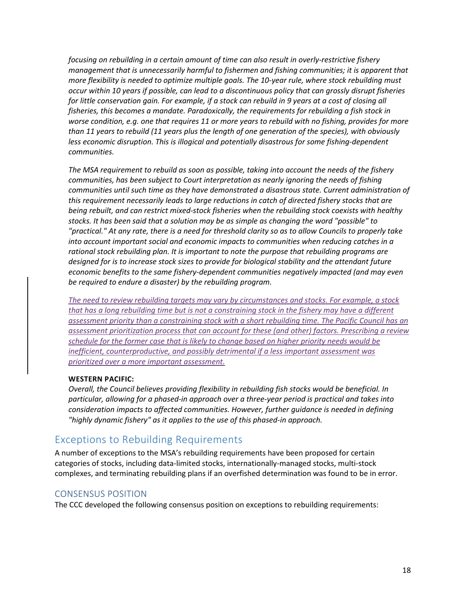*focusing on rebuilding in a certain amount of time can also result in overly-restrictive fishery management that is unnecessarily harmful to fishermen and fishing communities; it is apparent that more flexibility is needed to optimize multiple goals. The 10-year rule, where stock rebuilding must occur within 10 years if possible, can lead to a discontinuous policy that can grossly disrupt fisheries for little conservation gain. For example, if a stock can rebuild in 9 years at a cost of closing all fisheries, this becomes a mandate. Paradoxically, the requirements for rebuilding a fish stock in worse condition, e.g. one that requires 11 or more years to rebuild with no fishing, provides for more than 11 years to rebuild (11 years plus the length of one generation of the species), with obviously less economic disruption. This is illogical and potentially disastrous for some fishing-dependent communities.*

*The MSA requirement to rebuild as soon as possible, taking into account the needs of the fishery communities, has been subject to Court interpretation as nearly ignoring the needs of fishing communities until such time as they have demonstrated a disastrous state. Current administration of this requirement necessarily leads to large reductions in catch of directed fishery stocks that are being rebuilt, and can restrict mixed-stock fisheries when the rebuilding stock coexists with healthy stocks. It has been said that a solution may be as simple as changing the word "possible" to "practical." At any rate, there is a need for threshold clarity so as to allow Councils to properly take into account important social and economic impacts to communities when reducing catches in a rational stock rebuilding plan. It is important to note the purpose that rebuilding programs are designed for is to increase stock sizes to provide for biological stability and the attendant future economic benefits to the same fishery-dependent communities negatively impacted (and may even be required to endure a disaster) by the rebuilding program.*

*The need to review rebuilding targets may vary by circumstances and stocks. For example, a stock that has a long rebuilding time but is not a constraining stock in the fishery may have a different assessment priority than a constraining stock with a short rebuilding time. The Pacific Council has an assessment prioritization process that can account for these (and other) factors. Prescribing a review schedule for the former case that is likely to change based on higher priority needs would be inefficient, counterproductive, and possibly detrimental if a less important assessment was prioritized over a more important assessment.*

## **WESTERN PACIFIC:**

*Overall, the Council believes providing flexibility in rebuilding fish stocks would be beneficial. In particular, allowing for a phased-in approach over a three-year period is practical and takes into consideration impacts to affected communities. However, further guidance is needed in defining "highly dynamic fishery" as it applies to the use of this phased-in approach.*

## <span id="page-17-0"></span>Exceptions to Rebuilding Requirements

A number of exceptions to the MSA's rebuilding requirements have been proposed for certain categories of stocks, including data-limited stocks, internationally-managed stocks, multi-stock complexes, and terminating rebuilding plans if an overfished determination was found to be in error.

## <span id="page-17-1"></span>CONSENSUS POSITION

The CCC developed the following consensus position on exceptions to rebuilding requirements: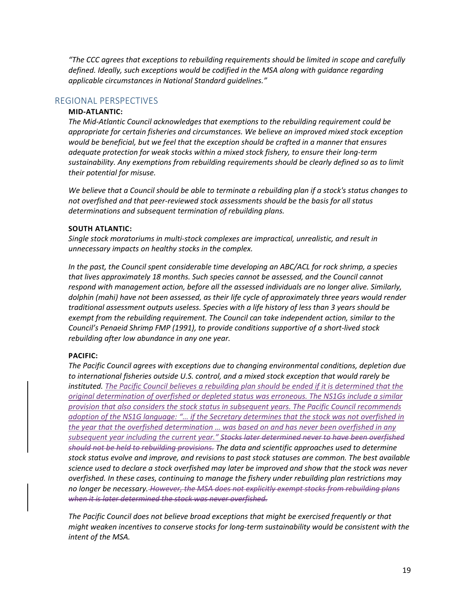*"The CCC agrees that exceptions to rebuilding requirements should be limited in scope and carefully defined. Ideally, such exceptions would be codified in the MSA along with guidance regarding applicable circumstances in National Standard guidelines."*

### <span id="page-18-0"></span>REGIONAL PERSPECTIVES

#### **MID-ATLANTIC:**

*The Mid-Atlantic Council acknowledges that exemptions to the rebuilding requirement could be appropriate for certain fisheries and circumstances. We believe an improved mixed stock exception would be beneficial, but we feel that the exception should be crafted in a manner that ensures adequate protection for weak stocks within a mixed stock fishery, to ensure their long-term sustainability. Any exemptions from rebuilding requirements should be clearly defined so as to limit their potential for misuse.*

*We believe that a Council should be able to terminate a rebuilding plan if a stock's status changes to not overfished and that peer-reviewed stock assessments should be the basis for all status determinations and subsequent termination of rebuilding plans.*

#### **SOUTH ATLANTIC:**

*Single stock moratoriums in multi-stock complexes are impractical, unrealistic, and result in unnecessary impacts on healthy stocks in the complex.*

*In the past, the Council spent considerable time developing an ABC/ACL for rock shrimp, a species that lives approximately 18 months. Such species cannot be assessed, and the Council cannot respond with management action, before all the assessed individuals are no longer alive. Similarly, dolphin (mahi) have not been assessed, as their life cycle of approximately three years would render traditional assessment outputs useless. Species with a life history of less than 3 years should be exempt from the rebuilding requirement. The Council can take independent action, similar to the Council's Penaeid Shrimp FMP (1991), to provide conditions supportive of a short-lived stock rebuilding after low abundance in any one year.*

#### **PACIFIC:**

*The Pacific Council agrees with exceptions due to changing environmental conditions, depletion due to international fisheries outside U.S. control, and a mixed stock exception that would rarely be*  instituted. The Pacific Council believes a rebuilding plan should be ended if it is determined that the *original determination of overfished or depleted status was erroneous. The NS1Gs include a similar provision that also considers the stock status in subsequent years. The Pacific Council recommends adoption of the NS1G language: "… if the Secretary determines that the stock was not overfished in the year that the overfished determination … was based on and has never been overfished in any subsequent year including the current year." Stocks later determined never to have been overfished should not be held to rebuilding provisions. The data and scientific approaches used to determine stock status evolve and improve, and revisions to past stock statuses are common. The best available science used to declare a stock overfished may later be improved and show that the stock was never overfished. In these cases, continuing to manage the fishery under rebuilding plan restrictions may no longer be necessary. However, the MSA does not explicitly exempt stocks from rebuilding plans when it is later determined the stock was never overfished.*

*The Pacific Council does not believe broad exceptions that might be exercised frequently or that might weaken incentives to conserve stocks for long-term sustainability would be consistent with the intent of the MSA.*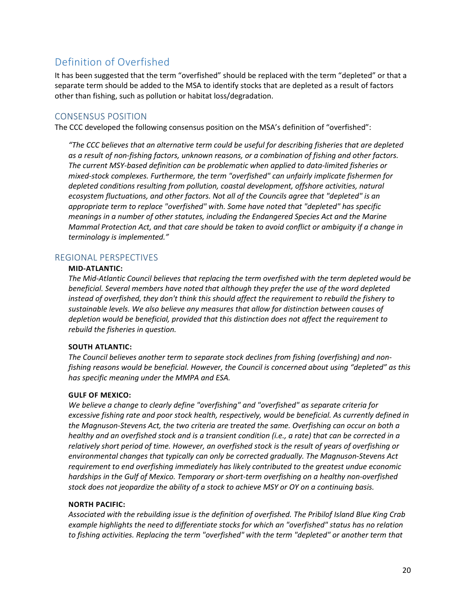# <span id="page-19-0"></span>Definition of Overfished

It has been suggested that the term "overfished" should be replaced with the term "depleted" or that a separate term should be added to the MSA to identify stocks that are depleted as a result of factors other than fishing, such as pollution or habitat loss/degradation.

## <span id="page-19-1"></span>CONSENSUS POSITION

The CCC developed the following consensus position on the MSA's definition of "overfished":

*"The CCC believes that an alternative term could be useful for describing fisheries that are depleted as a result of non-fishing factors, unknown reasons, or a combination of fishing and other factors. The current MSY-based definition can be problematic when applied to data-limited fisheries or mixed-stock complexes. Furthermore, the term "overfished" can unfairly implicate fishermen for*  depleted conditions resulting from pollution, coastal development, offshore activities, natural *ecosystem fluctuations, and other factors. Not all of the Councils agree that "depleted" is an appropriate term to replace "overfished" with. Some have noted that "depleted" has specific meanings in a number of other statutes, including the Endangered Species Act and the Marine Mammal Protection Act, and that care should be taken to avoid conflict or ambiguity if a change in terminology is implemented."*

## <span id="page-19-2"></span>REGIONAL PERSPECTIVES

## **MID-ATLANTIC:**

*The Mid-Atlantic Council believes that replacing the term overfished with the term depleted would be beneficial. Several members have noted that although they prefer the use of the word depleted instead of overfished, they don't think this should affect the requirement to rebuild the fishery to sustainable levels. We also believe any measures that allow for distinction between causes of depletion would be beneficial, provided that this distinction does not affect the requirement to rebuild the fisheries in question.*

## **SOUTH ATLANTIC:**

*The Council believes another term to separate stock declines from fishing (overfishing) and nonfishing reasons would be beneficial. However, the Council is concerned about using "depleted" as this has specific meaning under the MMPA and ESA.*

## **GULF OF MEXICO:**

*We believe a change to clearly define "overfishing" and "overfished" as separate criteria for excessive fishing rate and poor stock health, respectively, would be beneficial. As currently defined in the Magnuson-Stevens Act, the two criteria are treated the same. Overfishing can occur on both a healthy and an overfished stock and is a transient condition (i.e., a rate) that can be corrected in a relatively short period of time. However, an overfished stock is the result of years of overfishing or environmental changes that typically can only be corrected gradually. The Magnuson-Stevens Act requirement to end overfishing immediately has likely contributed to the greatest undue economic hardships in the Gulf of Mexico. Temporary or short-term overfishing on a healthy non-overfished stock does not jeopardize the ability of a stock to achieve MSY or OY on a continuing basis.*

## **NORTH PACIFIC:**

*Associated with the rebuilding issue is the definition of overfished. The Pribilof Island Blue King Crab example highlights the need to differentiate stocks for which an "overfished" status has no relation to fishing activities. Replacing the term "overfished" with the term "depleted" or another term that*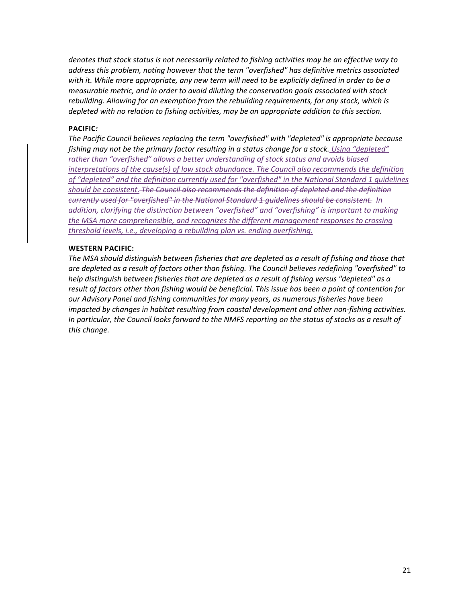*denotes that stock status is not necessarily related to fishing activities may be an effective way to address this problem, noting however that the term "overfished" has definitive metrics associated with it. While more appropriate, any new term will need to be explicitly defined in order to be a measurable metric, and in order to avoid diluting the conservation goals associated with stock rebuilding. Allowing for an exemption from the rebuilding requirements, for any stock, which is depleted with no relation to fishing activities, may be an appropriate addition to this section.*

#### **PACIFIC***:*

*The Pacific Council believes replacing the term "overfished" with "depleted" is appropriate because fishing may not be the primary factor resulting in a status change for a stock. Using "depleted" rather than "overfished" allows a better understanding of stock status and avoids biased interpretations of the cause(s) of low stock abundance. The Council also recommends the definition of "depleted" and the definition currently used for "overfished" in the National Standard 1 guidelines should be consistent. The Council also recommends the definition of depleted and the definition currently used for "overfished" in the National Standard 1 guidelines should be consistent. In addition, clarifying the distinction between "overfished" and "overfishing" is important to making the MSA more comprehensible, and recognizes the different management responses to crossing threshold levels, i.e., developing a rebuilding plan vs. ending overfishing.*

## **WESTERN PACIFIC:**

*The MSA should distinguish between fisheries that are depleted as a result of fishing and those that are depleted as a result of factors other than fishing. The Council believes redefining "overfished" to help distinguish between fisheries that are depleted as a result of fishing versus "depleted" as a result of factors other than fishing would be beneficial. This issue has been a point of contention for our Advisory Panel and fishing communities for many years, as numerous fisheries have been impacted by changes in habitat resulting from coastal development and other non-fishing activities. In particular, the Council looks forward to the NMFS reporting on the status of stocks as a result of this change.*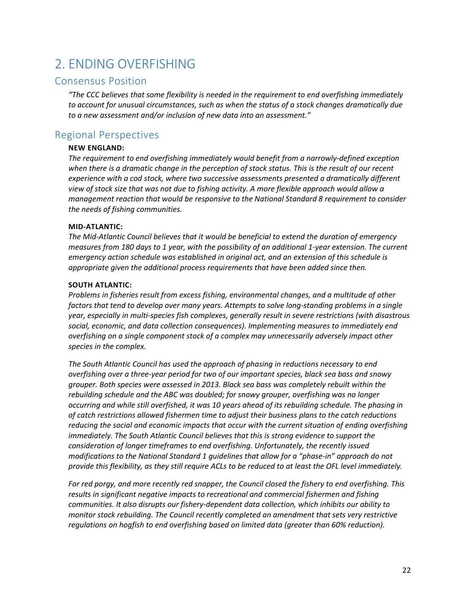# <span id="page-21-0"></span>2. ENDING OVERFISHING

## <span id="page-21-1"></span>Consensus Position

*"The CCC believes that some flexibility is needed in the requirement to end overfishing immediately to account for unusual circumstances, such as when the status of a stock changes dramatically due to a new assessment and/or inclusion of new data into an assessment."*

# <span id="page-21-2"></span>Regional Perspectives

## **NEW ENGLAND:**

*The requirement to end overfishing immediately would benefit from a narrowly-defined exception when there is a dramatic change in the perception of stock status. This is the result of our recent experience with a cod stock, where two successive assessments presented a dramatically different view of stock size that was not due to fishing activity. A more flexible approach would allow a management reaction that would be responsive to the National Standard 8 requirement to consider the needs of fishing communities.*

## **MID-ATLANTIC:**

*The Mid-Atlantic Council believes that it would be beneficial to extend the duration of emergency measures from 180 days to 1 year, with the possibility of an additional 1-year extension. The current emergency action schedule was established in original act, and an extension of this schedule is appropriate given the additional process requirements that have been added since then.*

## **SOUTH ATLANTIC:**

*Problems in fisheries result from excess fishing, environmental changes, and a multitude of other factors that tend to develop over many years. Attempts to solve long-standing problems in a single year, especially in multi-species fish complexes, generally result in severe restrictions (with disastrous social, economic, and data collection consequences). Implementing measures to immediately end overfishing on a single component stock of a complex may unnecessarily adversely impact other species in the complex.*

*The South Atlantic Council has used the approach of phasing in reductions necessary to end overfishing over a three-year period for two of our important species, black sea bass and snowy grouper. Both species were assessed in 2013. Black sea bass was completely rebuilt within the rebuilding schedule and the ABC was doubled; for snowy grouper, overfishing was no longer occurring and while still overfished, it was 10 years ahead of its rebuilding schedule. The phasing in of catch restrictions allowed fishermen time to adjust their business plans to the catch reductions reducing the social and economic impacts that occur with the current situation of ending overfishing immediately. The South Atlantic Council believes that this is strong evidence to support the consideration of longer timeframes to end overfishing. Unfortunately, the recently issued modifications to the National Standard 1 guidelines that allow for a "phase-in" approach do not provide this flexibility, as they still require ACLs to be reduced to at least the OFL level immediately.*

*For red porgy, and more recently red snapper, the Council closed the fishery to end overfishing. This results in significant negative impacts to recreational and commercial fishermen and fishing communities. It also disrupts our fishery-dependent data collection, which inhibits our ability to monitor stock rebuilding. The Council recently completed an amendment that sets very restrictive regulations on hogfish to end overfishing based on limited data (greater than 60% reduction).*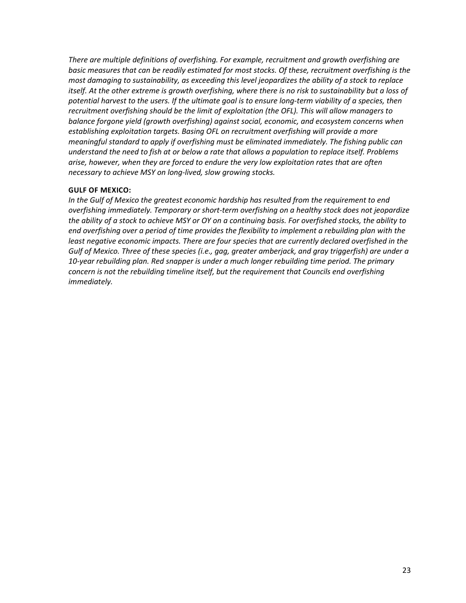*There are multiple definitions of overfishing. For example, recruitment and growth overfishing are basic measures that can be readily estimated for most stocks. Of these, recruitment overfishing is the most damaging to sustainability, as exceeding this level jeopardizes the ability of a stock to replace itself. At the other extreme is growth overfishing, where there is no risk to sustainability but a loss of*  potential harvest to the users. If the ultimate goal is to ensure long-term viability of a species, then *recruitment overfishing should be the limit of exploitation (the OFL). This will allow managers to balance forgone yield (growth overfishing) against social, economic, and ecosystem concerns when establishing exploitation targets. Basing OFL on recruitment overfishing will provide a more meaningful standard to apply if overfishing must be eliminated immediately. The fishing public can understand the need to fish at or below a rate that allows a population to replace itself. Problems arise, however, when they are forced to endure the very low exploitation rates that are often necessary to achieve MSY on long-lived, slow growing stocks.* 

## **GULF OF MEXICO:**

*In the Gulf of Mexico the greatest economic hardship has resulted from the requirement to end overfishing immediately. Temporary or short-term overfishing on a healthy stock does not jeopardize the ability of a stock to achieve MSY or OY on a continuing basis. For overfished stocks, the ability to end overfishing over a period of time provides the flexibility to implement a rebuilding plan with the least negative economic impacts. There are four species that are currently declared overfished in the Gulf of Mexico. Three of these species (i.e., gag, greater amberjack, and gray triggerfish) are under a 10-year rebuilding plan. Red snapper is under a much longer rebuilding time period. The primary concern is not the rebuilding timeline itself, but the requirement that Councils end overfishing immediately.*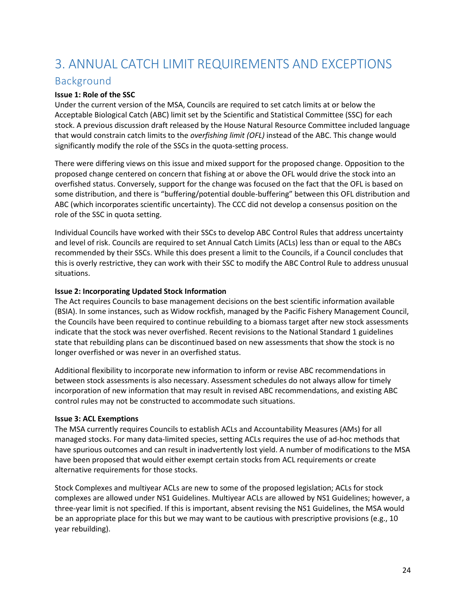# <span id="page-23-0"></span>3. ANNUAL CATCH LIMIT REQUIREMENTS AND EXCEPTIONS

# <span id="page-23-1"></span>Background

## **Issue 1: Role of the SSC**

Under the current version of the MSA, Councils are required to set catch limits at or below the Acceptable Biological Catch (ABC) limit set by the Scientific and Statistical Committee (SSC) for each stock. A previous discussion draft released by the House Natural Resource Committee included language that would constrain catch limits to the *overfishing limit (OFL)* instead of the ABC. This change would significantly modify the role of the SSCs in the quota-setting process.

There were differing views on this issue and mixed support for the proposed change. Opposition to the proposed change centered on concern that fishing at or above the OFL would drive the stock into an overfished status. Conversely, support for the change was focused on the fact that the OFL is based on some distribution, and there is "buffering/potential double-buffering" between this OFL distribution and ABC (which incorporates scientific uncertainty). The CCC did not develop a consensus position on the role of the SSC in quota setting.

Individual Councils have worked with their SSCs to develop ABC Control Rules that address uncertainty and level of risk. Councils are required to set Annual Catch Limits (ACLs) less than or equal to the ABCs recommended by their SSCs. While this does present a limit to the Councils, if a Council concludes that this is overly restrictive, they can work with their SSC to modify the ABC Control Rule to address unusual situations.

## **Issue 2: Incorporating Updated Stock Information**

The Act requires Councils to base management decisions on the best scientific information available (BSIA). In some instances, such as Widow rockfish, managed by the Pacific Fishery Management Council, the Councils have been required to continue rebuilding to a biomass target after new stock assessments indicate that the stock was never overfished. Recent revisions to the National Standard 1 guidelines state that rebuilding plans can be discontinued based on new assessments that show the stock is no longer overfished or was never in an overfished status.

Additional flexibility to incorporate new information to inform or revise ABC recommendations in between stock assessments is also necessary. Assessment schedules do not always allow for timely incorporation of new information that may result in revised ABC recommendations, and existing ABC control rules may not be constructed to accommodate such situations.

## **Issue 3: ACL Exemptions**

The MSA currently requires Councils to establish ACLs and Accountability Measures (AMs) for all managed stocks. For many data-limited species, setting ACLs requires the use of ad-hoc methods that have spurious outcomes and can result in inadvertently lost yield. A number of modifications to the MSA have been proposed that would either exempt certain stocks from ACL requirements or create alternative requirements for those stocks.

Stock Complexes and multiyear ACLs are new to some of the proposed legislation; ACLs for stock complexes are allowed under NS1 Guidelines. Multiyear ACLs are allowed by NS1 Guidelines; however, a three-year limit is not specified. If this is important, absent revising the NS1 Guidelines, the MSA would be an appropriate place for this but we may want to be cautious with prescriptive provisions (e.g., 10 year rebuilding).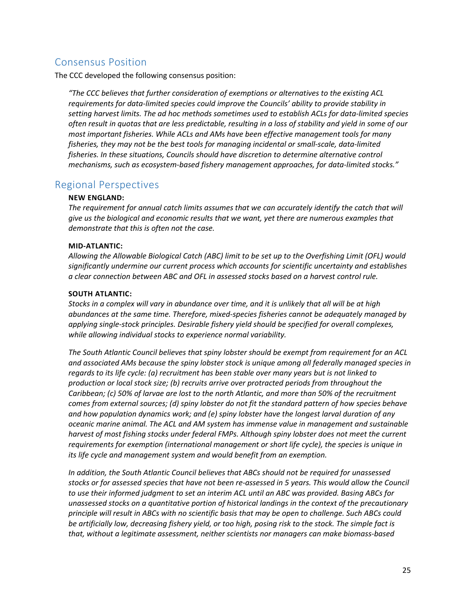# <span id="page-24-0"></span>Consensus Position

The CCC developed the following consensus position:

*"The CCC believes that further consideration of exemptions or alternatives to the existing ACL requirements for data-limited species could improve the Councils' ability to provide stability in setting harvest limits. The ad hoc methods sometimes used to establish ACLs for data-limited species often result in quotas that are less predictable, resulting in a loss of stability and yield in some of our most important fisheries. While ACLs and AMs have been effective management tools for many fisheries, they may not be the best tools for managing incidental or small-scale, data-limited fisheries. In these situations, Councils should have discretion to determine alternative control mechanisms, such as ecosystem-based fishery management approaches, for data-limited stocks."*

## <span id="page-24-1"></span>Regional Perspectives

## **NEW ENGLAND:**

*The requirement for annual catch limits assumes that we can accurately identify the catch that will give us the biological and economic results that we want, yet there are numerous examples that demonstrate that this is often not the case.*

## **MID-ATLANTIC:**

*Allowing the Allowable Biological Catch (ABC) limit to be set up to the Overfishing Limit (OFL) would significantly undermine our current process which accounts for scientific uncertainty and establishes a clear connection between ABC and OFL in assessed stocks based on a harvest control rule.*

## **SOUTH ATLANTIC:**

*Stocks in a complex will vary in abundance over time, and it is unlikely that all will be at high abundances at the same time. Therefore, mixed-species fisheries cannot be adequately managed by applying single-stock principles. Desirable fishery yield should be specified for overall complexes, while allowing individual stocks to experience normal variability.*

*The South Atlantic Council believes that spiny lobster should be exempt from requirement for an ACL and associated AMs because the spiny lobster stock is unique among all federally managed species in regards to its life cycle: (a) recruitment has been stable over many years but is not linked to production or local stock size; (b) recruits arrive over protracted periods from throughout the Caribbean; (c) 50% of larvae are lost to the north Atlantic, and more than 50% of the recruitment comes from external sources; (d) spiny lobster do not fit the standard pattern of how species behave and how population dynamics work; and (e) spiny lobster have the longest larval duration of any oceanic marine animal. The ACL and AM system has immense value in management and sustainable harvest of most fishing stocks under federal FMPs. Although spiny lobster does not meet the current requirements for exemption (international management or short life cycle), the species is unique in its life cycle and management system and would benefit from an exemption.*

*In addition, the South Atlantic Council believes that ABCs should not be required for unassessed stocks or for assessed species that have not been re-assessed in 5 years. This would allow the Council to use their informed judgment to set an interim ACL until an ABC was provided. Basing ABCs for unassessed stocks on a quantitative portion of historical landings in the context of the precautionary principle will result in ABCs with no scientific basis that may be open to challenge. Such ABCs could be artificially low, decreasing fishery yield, or too high, posing risk to the stock. The simple fact is that, without a legitimate assessment, neither scientists nor managers can make biomass-based*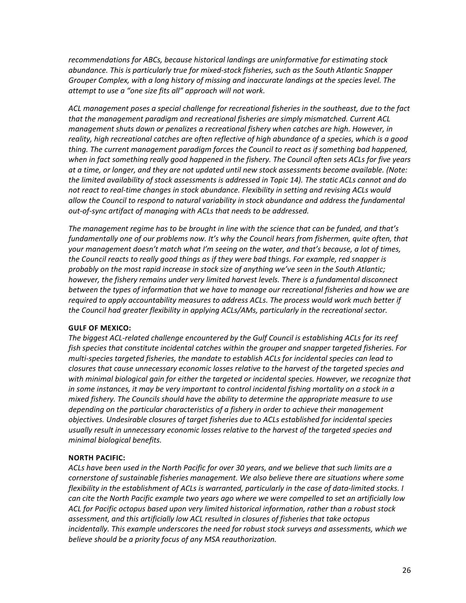*recommendations for ABCs, because historical landings are uninformative for estimating stock abundance. This is particularly true for mixed-stock fisheries, such as the South Atlantic Snapper Grouper Complex, with a long history of missing and inaccurate landings at the species level. The attempt to use a "one size fits all" approach will not work.*

*ACL management poses a special challenge for recreational fisheries in the southeast, due to the fact that the management paradigm and recreational fisheries are simply mismatched. Current ACL management shuts down or penalizes a recreational fishery when catches are high. However, in reality, high recreational catches are often reflective of high abundance of a species, which is a good thing. The current management paradigm forces the Council to react as if something bad happened, when in fact something really good happened in the fishery. The Council often sets ACLs for five years at a time, or longer, and they are not updated until new stock assessments become available. (Note: the limited availability of stock assessments is addressed in Topic 14). The static ACLs cannot and do not react to real-time changes in stock abundance. Flexibility in setting and revising ACLs would allow the Council to respond to natural variability in stock abundance and address the fundamental out-of-sync artifact of managing with ACLs that needs to be addressed.*

*The management regime has to be brought in line with the science that can be funded, and that's fundamentally one of our problems now. It's why the Council hears from fishermen, quite often, that your management doesn't match what I'm seeing on the water, and that's because, a lot of times, the Council reacts to really good things as if they were bad things. For example, red snapper is probably on the most rapid increase in stock size of anything we've seen in the South Atlantic; however, the fishery remains under very limited harvest levels. There is a fundamental disconnect between the types of information that we have to manage our recreational fisheries and how we are required to apply accountability measures to address ACLs. The process would work much better if the Council had greater flexibility in applying ACLs/AMs, particularly in the recreational sector.*

## **GULF OF MEXICO:**

*The biggest ACL-related challenge encountered by the Gulf Council is establishing ACLs for its reef fish species that constitute incidental catches within the grouper and snapper targeted fisheries. For multi-species targeted fisheries, the mandate to establish ACLs for incidental species can lead to closures that cause unnecessary economic losses relative to the harvest of the targeted species and with minimal biological gain for either the targeted or incidental species. However, we recognize that in some instances, it may be very important to control incidental fishing mortality on a stock in a mixed fishery. The Councils should have the ability to determine the appropriate measure to use depending on the particular characteristics of a fishery in order to achieve their management objectives. Undesirable closures of target fisheries due to ACLs established for incidental species usually result in unnecessary economic losses relative to the harvest of the targeted species and minimal biological benefits.*

## **NORTH PACIFIC:**

*ACLs have been used in the North Pacific for over 30 years, and we believe that such limits are a cornerstone of sustainable fisheries management. We also believe there are situations where some flexibility in the establishment of ACLs is warranted, particularly in the case of data-limited stocks. I can cite the North Pacific example two years ago where we were compelled to set an artificially low ACL for Pacific octopus based upon very limited historical information, rather than a robust stock assessment, and this artificially low ACL resulted in closures of fisheries that take octopus incidentally. This example underscores the need for robust stock surveys and assessments, which we believe should be a priority focus of any MSA reauthorization.*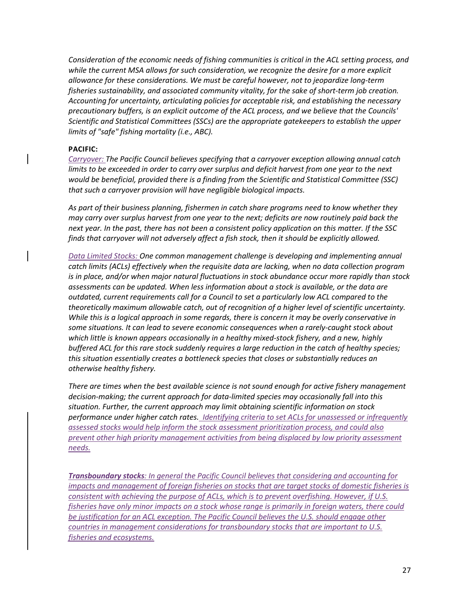*Consideration of the economic needs of fishing communities is critical in the ACL setting process, and while the current MSA allows for such consideration, we recognize the desire for a more explicit allowance for these considerations. We must be careful however, not to jeopardize long-term fisheries sustainability, and associated community vitality, for the sake of short-term job creation. Accounting for uncertainty, articulating policies for acceptable risk, and establishing the necessary precautionary buffers, is an explicit outcome of the ACL process, and we believe that the Councils' Scientific and Statistical Committees (SSCs) are the appropriate gatekeepers to establish the upper limits of "safe" fishing mortality (i.e., ABC).*

#### **PACIFIC:**

*Carryover: The Pacific Council believes specifying that a carryover exception allowing annual catch limits to be exceeded in order to carry over surplus and deficit harvest from one year to the next would be beneficial, provided there is a finding from the Scientific and Statistical Committee (SSC) that such a carryover provision will have negligible biological impacts.* 

*As part of their business planning, fishermen in catch share programs need to know whether they may carry over surplus harvest from one year to the next; deficits are now routinely paid back the next year. In the past, there has not been a consistent policy application on this matter. If the SSC finds that carryover will not adversely affect a fish stock, then it should be explicitly allowed.* 

*Data Limited Stocks: One common management challenge is developing and implementing annual catch limits (ACLs) effectively when the requisite data are lacking, when no data collection program is in place, and/or when major natural fluctuations in stock abundance occur more rapidly than stock assessments can be updated. When less information about a stock is available, or the data are outdated, current requirements call for a Council to set a particularly low ACL compared to the theoretically maximum allowable catch, out of recognition of a higher level of scientific uncertainty. While this is a logical approach in some regards, there is concern it may be overly conservative in some situations. It can lead to severe economic consequences when a rarely-caught stock about which little is known appears occasionally in a healthy mixed-stock fishery, and a new, highly buffered ACL for this rare stock suddenly requires a large reduction in the catch of healthy species; this situation essentially creates a bottleneck species that closes or substantially reduces an otherwise healthy fishery.*

*There are times when the best available science is not sound enough for active fishery management decision-making; the current approach for data-limited species may occasionally fall into this situation. Further, the current approach may limit obtaining scientific information on stock performance under higher catch rates. Identifying criteria to set ACLs for unassessed or infrequently assessed stocks would help inform the stock assessment prioritization process, and could also prevent other high priority management activities from being displaced by low priority assessment needs.*

*Transboundary stocks: In general the Pacific Council believes that considering and accounting for impacts and management of foreign fisheries on stocks that are target stocks of domestic fisheries is consistent with achieving the purpose of ACLs, which is to prevent overfishing. However, if U.S. fisheries have only minor impacts on a stock whose range is primarily in foreign waters, there could be justification for an ACL exception. The Pacific Council believes the U.S. should engage other countries in management considerations for transboundary stocks that are important to U.S. fisheries and ecosystems.*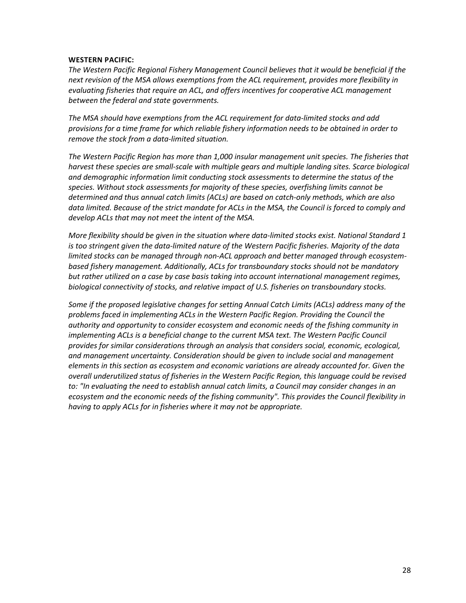#### **WESTERN PACIFIC:**

*The Western Pacific Regional Fishery Management Council believes that it would be beneficial if the next revision of the MSA allows exemptions from the ACL requirement, provides more flexibility in evaluating fisheries that require an ACL, and offers incentives for cooperative ACL management between the federal and state governments.*

*The MSA should have exemptions from the ACL requirement for data-limited stocks and add provisions for a time frame for which reliable fishery information needs to be obtained in order to remove the stock from a data-limited situation.*

*The Western Pacific Region has more than 1,000 insular management unit species. The fisheries that*  harvest these species are small-scale with multiple gears and multiple landing sites. Scarce biological *and demographic information limit conducting stock assessments to determine the status of the species. Without stock assessments for majority of these species, overfishing limits cannot be determined and thus annual catch limits (ACLs) are based on catch-only methods, which are also*  data limited. Because of the strict mandate for ACLs in the MSA, the Council is forced to comply and *develop ACLs that may not meet the intent of the MSA.*

*More flexibility should be given in the situation where data-limited stocks exist. National Standard 1 is too stringent given the data-limited nature of the Western Pacific fisheries. Majority of the data limited stocks can be managed through non-ACL approach and better managed through ecosystembased fishery management. Additionally, ACLs for transboundary stocks should not be mandatory but rather utilized on a case by case basis taking into account international management regimes, biological connectivity of stocks, and relative impact of U.S. fisheries on transboundary stocks.*

*Some if the proposed legislative changes for setting Annual Catch Limits (ACLs) address many of the problems faced in implementing ACLs in the Western Pacific Region. Providing the Council the authority and opportunity to consider ecosystem and economic needs of the fishing community in implementing ACLs is a beneficial change to the current MSA text. The Western Pacific Council provides for similar considerations through an analysis that considers social, economic, ecological, and management uncertainty. Consideration should be given to include social and management elements in this section as ecosystem and economic variations are already accounted for. Given the overall underutilized status of fisheries in the Western Pacific Region, this language could be revised to: "In evaluating the need to establish annual catch limits, a Council may consider changes in an ecosystem and the economic needs of the fishing community". This provides the Council flexibility in having to apply ACLs for in fisheries where it may not be appropriate.*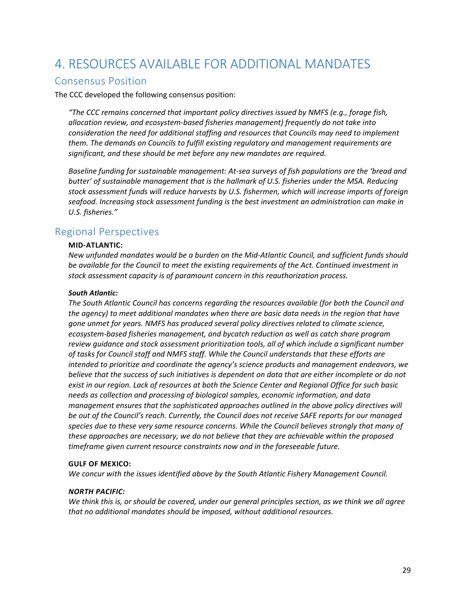# <span id="page-28-0"></span>4. RESOURCES AVAILABLE FOR ADDITIONAL MANDATES

## <span id="page-28-1"></span>Consensus Position

The CCC developed the following consensus position:

*"The CCC remains concerned that important policy directives issued by NMFS (e.g., forage fish, allocation review, and ecosystem-based fisheries management) frequently do not take into consideration the need for additional staffing and resources that Councils may need to implement them. The demands on Councils to fulfill existing regulatory and management requirements are significant, and these should be met before any new mandates are required.*

*Baseline funding for sustainable management: At-sea surveys of fish populations are the 'bread and butter' of sustainable management that is the hallmark of U.S. fisheries under the MSA. Reducing stock assessment funds will reduce harvests by U.S. fishermen, which will increase imports of foreign seafood. Increasing stock assessment funding is the best investment an administration can make in U.S. fisheries."*

# <span id="page-28-2"></span>Regional Perspectives

#### **MID-ATLANTIC:**

*New unfunded mandates would be a burden on the Mid-Atlantic Council, and sufficient funds should be available for the Council to meet the existing requirements of the Act. Continued investment in stock assessment capacity is of paramount concern in this reauthorization process.*

#### *South Atlantic:*

*The South Atlantic Council has concerns regarding the resources available (for both the Council and the agency) to meet additional mandates when there are basic data needs in the region that have gone unmet for years. NMFS has produced several policy directives related to climate science, ecosystem-based fisheries management, and bycatch reduction as well as catch share program review guidance and stock assessment prioritization tools, all of which include a significant number of tasks for Council staff and NMFS staff. While the Council understands that these efforts are intended to prioritize and coordinate the agency's science products and management endeavors, we believe that the success of such initiatives is dependent on data that are either incomplete or do not exist in our region. Lack of resources at both the Science Center and Regional Office for such basic needs as collection and processing of biological samples, economic information, and data management ensures that the sophisticated approaches outlined in the above policy directives will be out of the Council's reach. Currently, the Council does not receive SAFE reports for our managed species due to these very same resource concerns. While the Council believes strongly that many of these approaches are necessary, we do not believe that they are achievable within the proposed timeframe given current resource constraints now and in the foreseeable future.* 

#### **GULF OF MEXICO:**

*We concur with the issues identified above by the South Atlantic Fishery Management Council.*

#### *NORTH PACIFIC:*

*We think this is, or should be covered, under our general principles section, as we think we all agree that no additional mandates should be imposed, without additional resources.*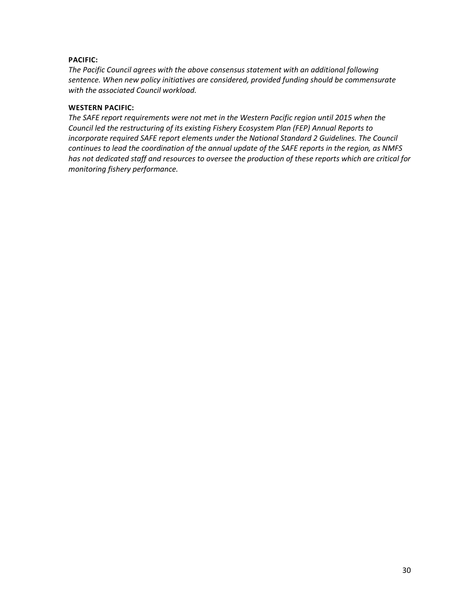## **PACIFIC:**

*The Pacific Council agrees with the above consensus statement with an additional following sentence. When new policy initiatives are considered, provided funding should be commensurate with the associated Council workload.*

## **WESTERN PACIFIC:**

*The SAFE report requirements were not met in the Western Pacific region until 2015 when the Council led the restructuring of its existing Fishery Ecosystem Plan (FEP) Annual Reports to incorporate required SAFE report elements under the National Standard 2 Guidelines. The Council continues to lead the coordination of the annual update of the SAFE reports in the region, as NMFS has not dedicated staff and resources to oversee the production of these reports which are critical for monitoring fishery performance.*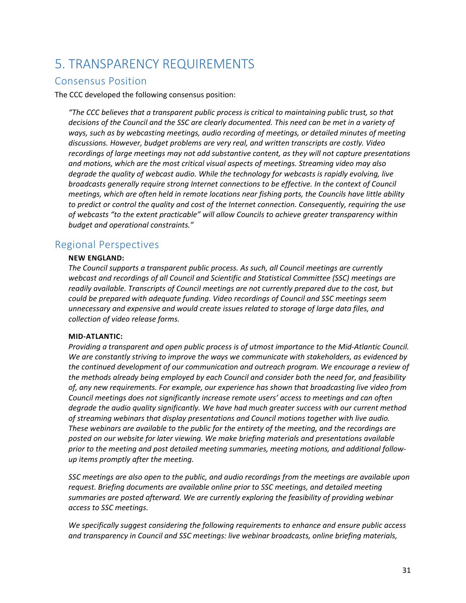# <span id="page-30-0"></span>5. TRANSPARENCY REQUIREMENTS

# <span id="page-30-1"></span>Consensus Position

The CCC developed the following consensus position:

*"The CCC believes that a transparent public process is critical to maintaining public trust, so that decisions of the Council and the SSC are clearly documented. This need can be met in a variety of ways, such as by webcasting meetings, audio recording of meetings, or detailed minutes of meeting discussions. However, budget problems are very real, and written transcripts are costly. Video recordings of large meetings may not add substantive content, as they will not capture presentations and motions, which are the most critical visual aspects of meetings. Streaming video may also degrade the quality of webcast audio. While the technology for webcasts is rapidly evolving, live broadcasts generally require strong Internet connections to be effective. In the context of Council meetings, which are often held in remote locations near fishing ports, the Councils have little ability to predict or control the quality and cost of the Internet connection. Consequently, requiring the use of webcasts "to the extent practicable" will allow Councils to achieve greater transparency within budget and operational constraints."*

# <span id="page-30-2"></span>Regional Perspectives

## **NEW ENGLAND:**

*The Council supports a transparent public process. As such, all Council meetings are currently webcast and recordings of all Council and Scientific and Statistical Committee (SSC) meetings are readily available. Transcripts of Council meetings are not currently prepared due to the cost, but could be prepared with adequate funding. Video recordings of Council and SSC meetings seem unnecessary and expensive and would create issues related to storage of large data files, and collection of video release forms.*

## **MID-ATLANTIC:**

*Providing a transparent and open public process is of utmost importance to the Mid-Atlantic Council. We are constantly striving to improve the ways we communicate with stakeholders, as evidenced by the continued development of our communication and outreach program. We encourage a review of the methods already being employed by each Council and consider both the need for, and feasibility of, any new requirements. For example, our experience has shown that broadcasting live video from Council meetings does not significantly increase remote users' access to meetings and can often degrade the audio quality significantly. We have had much greater success with our current method of streaming webinars that display presentations and Council motions together with live audio. These webinars are available to the public for the entirety of the meeting, and the recordings are posted on our website for later viewing. We make briefing materials and presentations available prior to the meeting and post detailed meeting summaries, meeting motions, and additional followup items promptly after the meeting.* 

*SSC meetings are also open to the public, and audio recordings from the meetings are available upon request. Briefing documents are available online prior to SSC meetings, and detailed meeting summaries are posted afterward. We are currently exploring the feasibility of providing webinar access to SSC meetings.*

*We specifically suggest considering the following requirements to enhance and ensure public access and transparency in Council and SSC meetings: live webinar broadcasts, online briefing materials,*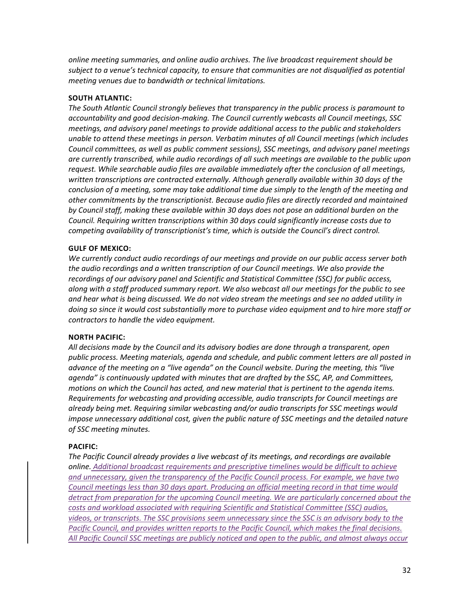*online meeting summaries, and online audio archives. The live broadcast requirement should be subject to a venue's technical capacity, to ensure that communities are not disqualified as potential meeting venues due to bandwidth or technical limitations.*

### **SOUTH ATLANTIC:**

*The South Atlantic Council strongly believes that transparency in the public process is paramount to accountability and good decision-making. The Council currently webcasts all Council meetings, SSC meetings, and advisory panel meetings to provide additional access to the public and stakeholders unable to attend these meetings in person. Verbatim minutes of all Council meetings (which includes Council committees, as well as public comment sessions), SSC meetings, and advisory panel meetings are currently transcribed, while audio recordings of all such meetings are available to the public upon request. While searchable audio files are available immediately after the conclusion of all meetings, written transcriptions are contracted externally. Although generally available within 30 days of the conclusion of a meeting, some may take additional time due simply to the length of the meeting and other commitments by the transcriptionist. Because audio files are directly recorded and maintained by Council staff, making these available within 30 days does not pose an additional burden on the Council. Requiring written transcriptions within 30 days could significantly increase costs due to competing availability of transcriptionist's time, which is outside the Council's direct control.*

#### **GULF OF MEXICO:**

*We currently conduct audio recordings of our meetings and provide on our public access server both the audio recordings and a written transcription of our Council meetings. We also provide the recordings of our advisory panel and Scientific and Statistical Committee (SSC) for public access, along with a staff produced summary report. We also webcast all our meetings for the public to see and hear what is being discussed. We do not video stream the meetings and see no added utility in doing so since it would cost substantially more to purchase video equipment and to hire more staff or contractors to handle the video equipment.*

#### **NORTH PACIFIC:**

*All decisions made by the Council and its advisory bodies are done through a transparent, open public process. Meeting materials, agenda and schedule, and public comment letters are all posted in advance of the meeting on a "live agenda" on the Council website. During the meeting, this "live agenda" is continuously updated with minutes that are drafted by the SSC, AP, and Committees, motions on which the Council has acted, and new material that is pertinent to the agenda items. Requirements for webcasting and providing accessible, audio transcripts for Council meetings are already being met. Requiring similar webcasting and/or audio transcripts for SSC meetings would impose unnecessary additional cost, given the public nature of SSC meetings and the detailed nature of SSC meeting minutes.*

#### **PACIFIC:**

*The Pacific Council already provides a live webcast of its meetings, and recordings are available online. Additional broadcast requirements and prescriptive timelines would be difficult to achieve and unnecessary, given the transparency of the Pacific Council process. For example, we have two Council meetings less than 30 days apart. Producing an official meeting record in that time would detract from preparation for the upcoming Council meeting. We are particularly concerned about the costs and workload associated with requiring Scientific and Statistical Committee (SSC) audios, videos, or transcripts. The SSC provisions seem unnecessary since the SSC is an advisory body to the Pacific Council, and provides written reports to the Pacific Council, which makes the final decisions. All Pacific Council SSC meetings are publicly noticed and open to the public, and almost always occur*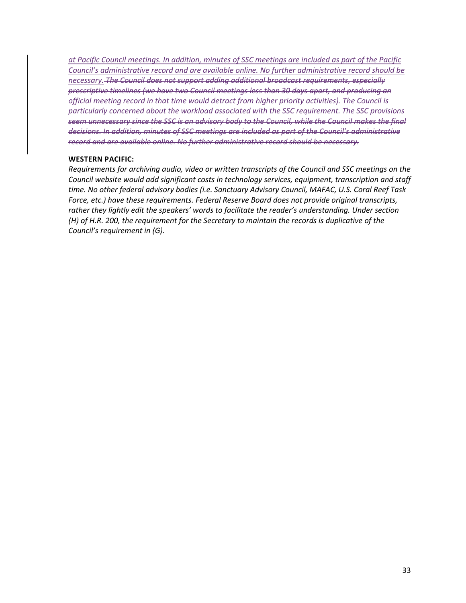*at Pacific Council meetings. In addition, minutes of SSC meetings are included as part of the Pacific Council's administrative record and are available online. No further administrative record should be necessary. The Council does not support adding additional broadcast requirements, especially prescriptive timelines (we have two Council meetings less than 30 days apart, and producing an official meeting record in that time would detract from higher priority activities). The Council is particularly concerned about the workload associated with the SSC requirement. The SSC provisions seem unnecessary since the SSC is an advisory body to the Council, while the Council makes the final decisions. In addition, minutes of SSC meetings are included as part of the Council's administrative record and are available online. No further administrative record should be necessary.*

#### **WESTERN PACIFIC:**

*Requirements for archiving audio, video or written transcripts of the Council and SSC meetings on the Council website would add significant costs in technology services, equipment, transcription and staff time. No other federal advisory bodies (i.e. Sanctuary Advisory Council, MAFAC, U.S. Coral Reef Task Force, etc.) have these requirements. Federal Reserve Board does not provide original transcripts,*  rather they lightly edit the speakers' words to facilitate the reader's understanding. Under section *(H) of H.R. 200, the requirement for the Secretary to maintain the records is duplicative of the Council's requirement in (G).*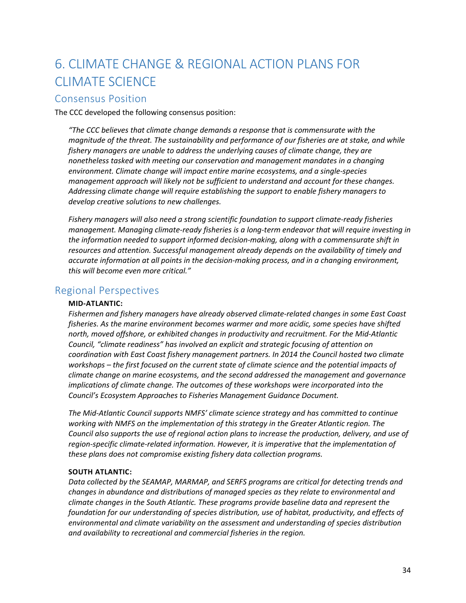# <span id="page-33-0"></span>6. CLIMATE CHANGE & REGIONAL ACTION PLANS FOR CLIMATE SCIENCE

## <span id="page-33-1"></span>Consensus Position

The CCC developed the following consensus position:

*"The CCC believes that climate change demands a response that is commensurate with the magnitude of the threat. The sustainability and performance of our fisheries are at stake, and while fishery managers are unable to address the underlying causes of climate change, they are nonetheless tasked with meeting our conservation and management mandates in a changing environment. Climate change will impact entire marine ecosystems, and a single-species management approach will likely not be sufficient to understand and account for these changes. Addressing climate change will require establishing the support to enable fishery managers to develop creative solutions to new challenges.*

*Fishery managers will also need a strong scientific foundation to support climate-ready fisheries management. Managing climate-ready fisheries is a long-term endeavor that will require investing in the information needed to support informed decision-making, along with a commensurate shift in resources and attention. Successful management already depends on the availability of timely and accurate information at all points in the decision-making process, and in a changing environment, this will become even more critical."*

## <span id="page-33-2"></span>Regional Perspectives

## **MID-ATLANTIC:**

*Fishermen and fishery managers have already observed climate-related changes in some East Coast fisheries. As the marine environment becomes warmer and more acidic, some species have shifted north, moved offshore, or exhibited changes in productivity and recruitment. For the Mid-Atlantic Council, "climate readiness" has involved an explicit and strategic focusing of attention on coordination with East Coast fishery management partners. In 2014 the Council hosted two climate workshops – the first focused on the current state of climate science and the potential impacts of climate change on marine ecosystems, and the second addressed the management and governance implications of climate change. The outcomes of these workshops were incorporated into the Council's Ecosystem Approaches to Fisheries Management Guidance Document.*

*The Mid-Atlantic Council supports NMFS' climate science strategy and has committed to continue working with NMFS on the implementation of this strategy in the Greater Atlantic region. The Council also supports the use of regional action plans to increase the production, delivery, and use of region-specific climate-related information. However, it is imperative that the implementation of these plans does not compromise existing fishery data collection programs.*

## **SOUTH ATLANTIC:**

*Data collected by the SEAMAP, MARMAP, and SERFS programs are critical for detecting trends and changes in abundance and distributions of managed species as they relate to environmental and climate changes in the South Atlantic. These programs provide baseline data and represent the foundation for our understanding of species distribution, use of habitat, productivity, and effects of environmental and climate variability on the assessment and understanding of species distribution and availability to recreational and commercial fisheries in the region.*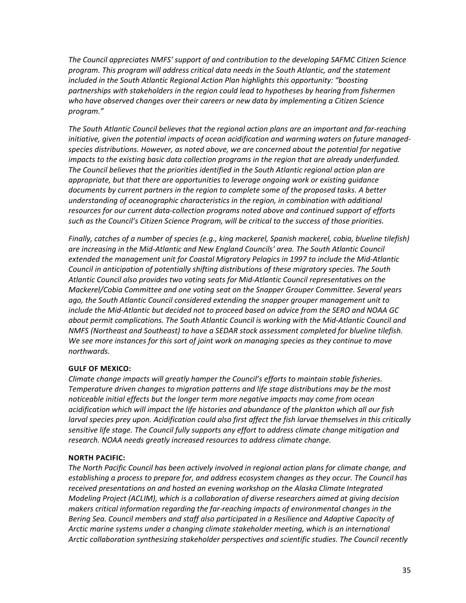*The Council appreciates NMFS' support of and contribution to the developing SAFMC Citizen Science program. This program will address critical data needs in the South Atlantic, and the statement included in the South Atlantic Regional Action Plan highlights this opportunity: "boosting partnerships with stakeholders in the region could lead to hypotheses by hearing from fishermen who have observed changes over their careers or new data by implementing a Citizen Science program."*

*The South Atlantic Council believes that the regional action plans are an important and far-reaching initiative, given the potential impacts of ocean acidification and warming waters on future managedspecies distributions. However, as noted above, we are concerned about the potential for negative impacts to the existing basic data collection programs in the region that are already underfunded. The Council believes that the priorities identified in the South Atlantic regional action plan are appropriate, but that there are opportunities to leverage ongoing work or existing guidance documents by current partners in the region to complete some of the proposed tasks. A better understanding of oceanographic characteristics in the region, in combination with additional resources for our current data-collection programs noted above and continued support of efforts such as the Council's Citizen Science Program, will be critical to the success of those priorities.*

*Finally, catches of a number of species (e.g., king mackerel, Spanish mackerel, cobia, blueline tilefish) are increasing in the Mid-Atlantic and New England Councils' area. The South Atlantic Council extended the management unit for Coastal Migratory Pelagics in 1997 to include the Mid-Atlantic Council in anticipation of potentially shifting distributions of these migratory species. The South Atlantic Council also provides two voting seats for Mid-Atlantic Council representatives on the Mackerel/Cobia Committee and one voting seat on the Snapper Grouper Committee. Several years ago, the South Atlantic Council considered extending the snapper grouper management unit to include the Mid-Atlantic but decided not to proceed based on advice from the SERO and NOAA GC about permit complications. The South Atlantic Council is working with the Mid-Atlantic Council and NMFS (Northeast and Southeast) to have a SEDAR stock assessment completed for blueline tilefish. We see more instances for this sort of joint work on managing species as they continue to move northwards.*

## **GULF OF MEXICO:**

*Climate change impacts will greatly hamper the Council's efforts to maintain stable fisheries. Temperature driven changes to migration patterns and life stage distributions may be the most noticeable initial effects but the longer term more negative impacts may come from ocean acidification which will impact the life histories and abundance of the plankton which all our fish larval species prey upon. Acidification could also first affect the fish larvae themselves in this critically sensitive life stage. The Council fully supports any effort to address climate change mitigation and research. NOAA needs greatly increased resources to address climate change.*

## **NORTH PACIFIC:**

*The North Pacific Council has been actively involved in regional action plans for climate change, and establishing a process to prepare for, and address ecosystem changes as they occur. The Council has received presentations on and hosted an evening workshop on the Alaska Climate Integrated Modeling Project (ACLIM), which is a collaboration of diverse researchers aimed at giving decision makers critical information regarding the far-reaching impacts of environmental changes in the Bering Sea. Council members and staff also participated in a Resilience and Adaptive Capacity of Arctic marine systems under a changing climate stakeholder meeting, which is an international Arctic collaboration synthesizing stakeholder perspectives and scientific studies. The Council recently*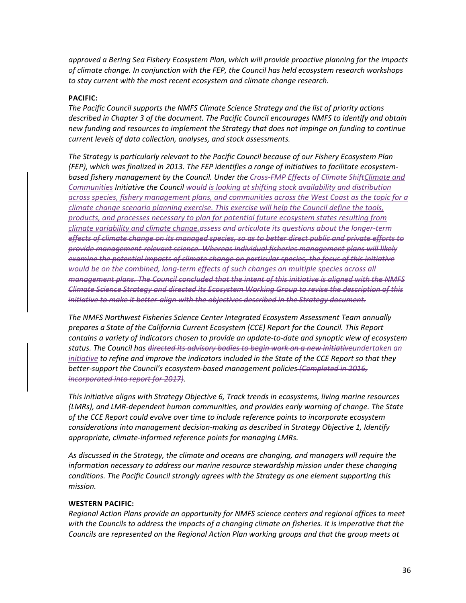*approved a Bering Sea Fishery Ecosystem Plan, which will provide proactive planning for the impacts of climate change. In conjunction with the FEP, the Council has held ecosystem research workshops to stay current with the most recent ecosystem and climate change research.*

### **PACIFIC:**

*The Pacific Council supports the NMFS Climate Science Strategy and the list of priority actions described in Chapter 3 of the document. The Pacific Council encourages NMFS to identify and obtain new funding and resources to implement the Strategy that does not impinge on funding to continue current levels of data collection, analyses, and stock assessments.*

*The Strategy is particularly relevant to the Pacific Council because of our Fishery Ecosystem Plan (FEP), which was finalized in 2013. The FEP identifies a range of initiatives to facilitate ecosystembased fishery management by the Council. Under the Cross-FMP Effects of Climate ShiftClimate and Communities Initiative the Council would is looking at shifting stock availability and distribution across species, fishery management plans, and communities across the West Coast as the topic for a climate change scenario planning exercise. This exercise will help the Council define the tools, products, and processes necessary to plan for potential future ecosystem states resulting from climate variability and climate change.assess and articulate its questions about the longer-term effects of climate change on its managed species, so as to better direct public and private efforts to provide management-relevant science. Whereas individual fisheries management plans will likely examine the potential impacts of climate change on particular species, the focus of this initiative would be on the combined, long-term effects of such changes on multiple species across all management plans. The Council concluded that the intent of this initiative is aligned with the NMFS Climate Science Strategy and directed its Ecosystem Working Group to revise the description of this initiative to make it better-align with the objectives described in the Strategy document.*

*The NMFS Northwest Fisheries Science Center Integrated Ecosystem Assessment Team annually prepares a State of the California Current Ecosystem (CCE) Report for the Council. This Report contains a variety of indicators chosen to provide an update-to-date and synoptic view of ecosystem status. The Council has directed its advisory bodies to begin work on a new initiativeundertaken an initiative to refine and improve the indicators included in the State of the CCE Report so that they better-support the Council's ecosystem-based management policies (Completed in 2016, incorporated into report for 2017).*

*This initiative aligns with Strategy Objective 6, Track trends in ecosystems, living marine resources (LMRs), and LMR-dependent human communities, and provides early warning of change. The State of the CCE Report could evolve over time to include reference points to incorporate ecosystem considerations into management decision-making as described in Strategy Objective 1, Identify appropriate, climate-informed reference points for managing LMRs.*

*As discussed in the Strategy, the climate and oceans are changing, and managers will require the information necessary to address our marine resource stewardship mission under these changing conditions. The Pacific Council strongly agrees with the Strategy as one element supporting this mission.*

## **WESTERN PACIFIC:**

*Regional Action Plans provide an opportunity for NMFS science centers and regional offices to meet*  with the Councils to address the impacts of a changing climate on fisheries. It is imperative that the *Councils are represented on the Regional Action Plan working groups and that the group meets at*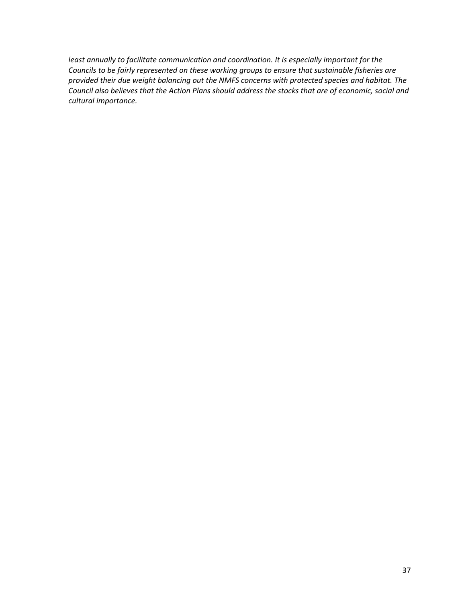*least annually to facilitate communication and coordination. It is especially important for the Councils to be fairly represented on these working groups to ensure that sustainable fisheries are provided their due weight balancing out the NMFS concerns with protected species and habitat. The Council also believes that the Action Plans should address the stocks that are of economic, social and cultural importance.*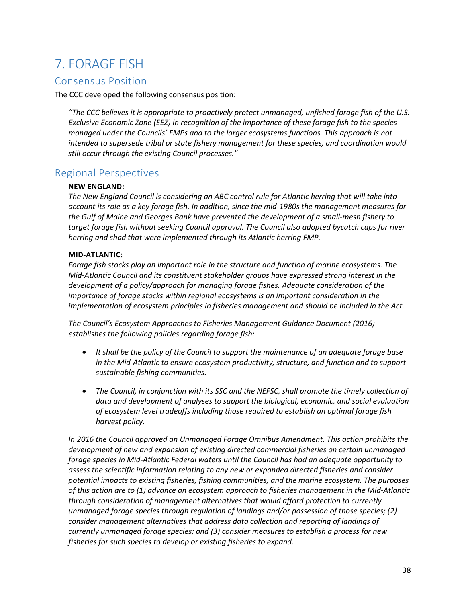# 7. FORAGE FISH

# Consensus Position

The CCC developed the following consensus position:

*"The CCC believes it is appropriate to proactively protect unmanaged, unfished forage fish of the U.S. Exclusive Economic Zone (EEZ) in recognition of the importance of these forage fish to the species managed under the Councils' FMPs and to the larger ecosystems functions. This approach is not intended to supersede tribal or state fishery management for these species, and coordination would still occur through the existing Council processes."*

# Regional Perspectives

## **NEW ENGLAND:**

*The New England Council is considering an ABC control rule for Atlantic herring that will take into account its role as a key forage fish. In addition, since the mid-1980s the management measures for the Gulf of Maine and Georges Bank have prevented the development of a small-mesh fishery to target forage fish without seeking Council approval. The Council also adopted bycatch caps for river herring and shad that were implemented through its Atlantic herring FMP.*

## **MID-ATLANTIC:**

*Forage fish stocks play an important role in the structure and function of marine ecosystems. The Mid-Atlantic Council and its constituent stakeholder groups have expressed strong interest in the development of a policy/approach for managing forage fishes. Adequate consideration of the importance of forage stocks within regional ecosystems is an important consideration in the implementation of ecosystem principles in fisheries management and should be included in the Act.*

*The Council's Ecosystem Approaches to Fisheries Management Guidance Document (2016) establishes the following policies regarding forage fish:*

- *It shall be the policy of the Council to support the maintenance of an adequate forage base in the Mid-Atlantic to ensure ecosystem productivity, structure, and function and to support sustainable fishing communities.*
- *The Council, in conjunction with its SSC and the NEFSC, shall promote the timely collection of data and development of analyses to support the biological, economic, and social evaluation of ecosystem level tradeoffs including those required to establish an optimal forage fish harvest policy.*

*In 2016 the Council approved an Unmanaged Forage Omnibus Amendment. This action prohibits the development of new and expansion of existing directed commercial fisheries on certain unmanaged forage species in Mid-Atlantic Federal waters until the Council has had an adequate opportunity to assess the scientific information relating to any new or expanded directed fisheries and consider potential impacts to existing fisheries, fishing communities, and the marine ecosystem. The purposes of this action are to (1) advance an ecosystem approach to fisheries management in the Mid-Atlantic through consideration of management alternatives that would afford protection to currently unmanaged forage species through regulation of landings and/or possession of those species; (2) consider management alternatives that address data collection and reporting of landings of currently unmanaged forage species; and (3) consider measures to establish a process for new fisheries for such species to develop or existing fisheries to expand.*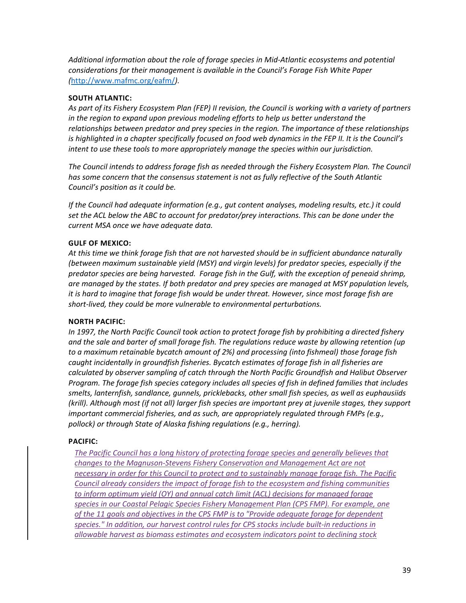*Additional information about the role of forage species in Mid-Atlantic ecosystems and potential considerations for their management is available in the Council's Forage Fish White Paper (*<http://www.mafmc.org/eafm/>*).* 

### **SOUTH ATLANTIC:**

*As part of its Fishery Ecosystem Plan (FEP) II revision, the Council is working with a variety of partners in the region to expand upon previous modeling efforts to help us better understand the relationships between predator and prey species in the region. The importance of these relationships is highlighted in a chapter specifically focused on food web dynamics in the FEP II. It is the Council's intent to use these tools to more appropriately manage the species within our jurisdiction.*

*The Council intends to address forage fish as needed through the Fishery Ecosystem Plan. The Council has some concern that the consensus statement is not as fully reflective of the South Atlantic Council's position as it could be.*

*If the Council had adequate information (e.g., gut content analyses, modeling results, etc.) it could set the ACL below the ABC to account for predator/prey interactions. This can be done under the current MSA once we have adequate data.*

### **GULF OF MEXICO:**

*At this time we think forage fish that are not harvested should be in sufficient abundance naturally (between maximum sustainable yield (MSY) and virgin levels) for predator species, especially if the predator species are being harvested. Forage fish in the Gulf, with the exception of peneaid shrimp, are managed by the states. If both predator and prey species are managed at MSY population levels, it is hard to imagine that forage fish would be under threat. However, since most forage fish are short-lived, they could be more vulnerable to environmental perturbations.*

### **NORTH PACIFIC:**

*In 1997, the North Pacific Council took action to protect forage fish by prohibiting a directed fishery and the sale and barter of small forage fish. The regulations reduce waste by allowing retention (up to a maximum retainable bycatch amount of 2%) and processing (into fishmeal) those forage fish caught incidentally in groundfish fisheries. Bycatch estimates of forage fish in all fisheries are calculated by observer sampling of catch through the North Pacific Groundfish and Halibut Observer Program. The forage fish species category includes all species of fish in defined families that includes smelts, lanternfish, sandlance, gunnels, pricklebacks, other small fish species, as well as euphausiids (krill). Although most (if not all) larger fish species are important prey at juvenile stages, they support important commercial fisheries, and as such, are appropriately regulated through FMPs (e.g., pollock) or through State of Alaska fishing regulations (e.g., herring).*

### **PACIFIC:**

*The Pacific Council has a long history of protecting forage species and generally believes that changes to the Magnuson-Stevens Fishery Conservation and Management Act are not necessary in order for this Council to protect and to sustainably manage forage fish. The Pacific Council already considers the impact of forage fish to the ecosystem and fishing communities to inform optimum yield (OY) and annual catch limit (ACL) decisions for managed forage species in our Coastal Pelagic Species Fishery Management Plan (CPS FMP). For example, one of the 11 goals and objectives in the CPS FMP is to "Provide adequate forage for dependent species." In addition, our harvest control rules for CPS stocks include built-in reductions in allowable harvest as biomass estimates and ecosystem indicators point to declining stock*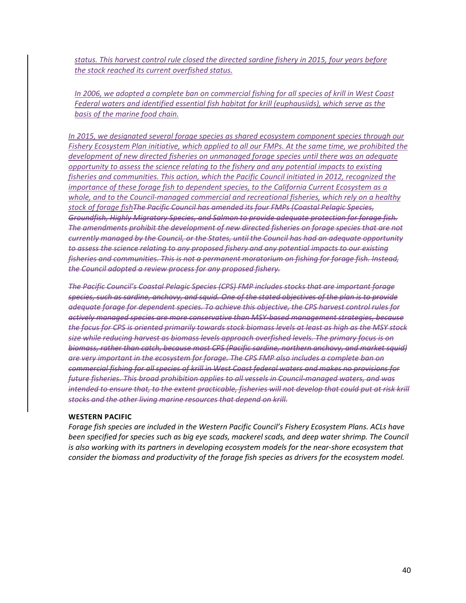*status. This harvest control rule closed the directed sardine fishery in 2015, four years before the stock reached its current overfished status.* 

*In 2006, we adopted a complete ban on commercial fishing for all species of krill in West Coast Federal waters and identified essential fish habitat for krill (euphausiids), which serve as the basis of the marine food chain.* 

*In 2015, we designated several forage species as shared ecosystem component species through our Fishery Ecosystem Plan initiative, which applied to all our FMPs. At the same time, we prohibited the development of new directed fisheries on unmanaged forage species until there was an adequate opportunity to assess the science relating to the fishery and any potential impacts to existing fisheries and communities. This action, which the Pacific Council initiated in 2012, recognized the importance of these forage fish to dependent species, to the California Current Ecosystem as a whole, and to the Council-managed commercial and recreational fisheries, which rely on a healthy stock of forage fishThe Pacific Council has amended its four FMPs (Coastal Pelagic Species, Groundfish, Highly Migratory Species, and Salmon to provide adequate protection for forage fish. The amendments prohibit the development of new directed fisheries on forage species that are not currently managed by the Council, or the States, until the Council has had an adequate opportunity to assess the science relating to any proposed fishery and any potential impacts to our existing fisheries and communities. This is not a permanent moratorium on fishing for forage fish. Instead, the Council adopted a review process for any proposed fishery.*

*The Pacific Council's Coastal Pelagic Species (CPS) FMP includes stocks that are important forage species, such as sardine, anchovy, and squid. One of the stated objectives of the plan is to provide adequate forage for dependent species. To achieve this objective, the CPS harvest control rules for actively managed species are more conservative than MSY-based management strategies, because the focus for CPS is oriented primarily towards stock biomass levels at least as high as the MSY stock size while reducing harvest as biomass levels approach overfished levels. The primary focus is on biomass, rather than catch, because most CPS (Pacific sardine, northern anchovy, and market squid) are very important in the ecosystem for forage. The CPS FMP also includes a complete ban on commercial fishing for all species of krill in West Coast federal waters and makes no provisions for future fisheries. This broad prohibition applies to all vessels in Council-managed waters, and was intended to ensure that, to the extent practicable, fisheries will not develop that could put at risk krill stocks and the other living marine resources that depend on krill.*

#### **WESTERN PACIFIC**

*Forage fish species are included in the Western Pacific Council's Fishery Ecosystem Plans. ACLs have been specified for species such as big eye scads, mackerel scads, and deep water shrimp. The Council*  is also working with its partners in developing ecosystem models for the near-shore ecosystem that *consider the biomass and productivity of the forage fish species as drivers for the ecosystem model.*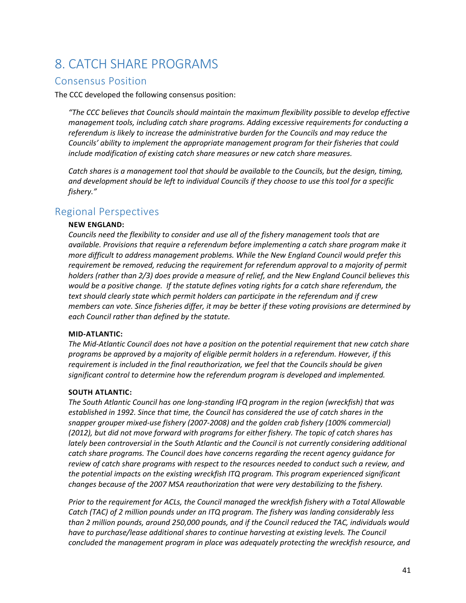# 8. CATCH SHARE PROGRAMS

# Consensus Position

The CCC developed the following consensus position:

*"The CCC believes that Councils should maintain the maximum flexibility possible to develop effective management tools, including catch share programs. Adding excessive requirements for conducting a referendum is likely to increase the administrative burden for the Councils and may reduce the Councils' ability to implement the appropriate management program for their fisheries that could include modification of existing catch share measures or new catch share measures.*

*Catch shares is a management tool that should be available to the Councils, but the design, timing, and development should be left to individual Councils if they choose to use this tool for a specific fishery."*

# Regional Perspectives

## **NEW ENGLAND:**

*Councils need the flexibility to consider and use all of the fishery management tools that are available. Provisions that require a referendum before implementing a catch share program make it more difficult to address management problems. While the New England Council would prefer this requirement be removed, reducing the requirement for referendum approval to a majority of permit holders (rather than 2/3) does provide a measure of relief, and the New England Council believes this would be a positive change. If the statute defines voting rights for a catch share referendum, the text should clearly state which permit holders can participate in the referendum and if crew members can vote. Since fisheries differ, it may be better if these voting provisions are determined by each Council rather than defined by the statute.*

#### **MID-ATLANTIC:**

*The Mid-Atlantic Council does not have a position on the potential requirement that new catch share programs be approved by a majority of eligible permit holders in a referendum. However, if this requirement is included in the final reauthorization, we feel that the Councils should be given significant control to determine how the referendum program is developed and implemented.*

#### **SOUTH ATLANTIC:**

*The South Atlantic Council has one long-standing IFQ program in the region (wreckfish) that was established in 1992. Since that time, the Council has considered the use of catch shares in the snapper grouper mixed-use fishery (2007-2008) and the golden crab fishery (100% commercial) (2012), but did not move forward with programs for either fishery. The topic of catch shares has lately been controversial in the South Atlantic and the Council is not currently considering additional catch share programs. The Council does have concerns regarding the recent agency guidance for review of catch share programs with respect to the resources needed to conduct such a review, and the potential impacts on the existing wreckfish ITQ program. This program experienced significant changes because of the 2007 MSA reauthorization that were very destabilizing to the fishery.*

*Prior to the requirement for ACLs, the Council managed the wreckfish fishery with a Total Allowable Catch (TAC) of 2 million pounds under an ITQ program. The fishery was landing considerably less than 2 million pounds, around 250,000 pounds, and if the Council reduced the TAC, individuals would have to purchase/lease additional shares to continue harvesting at existing levels. The Council concluded the management program in place was adequately protecting the wreckfish resource, and*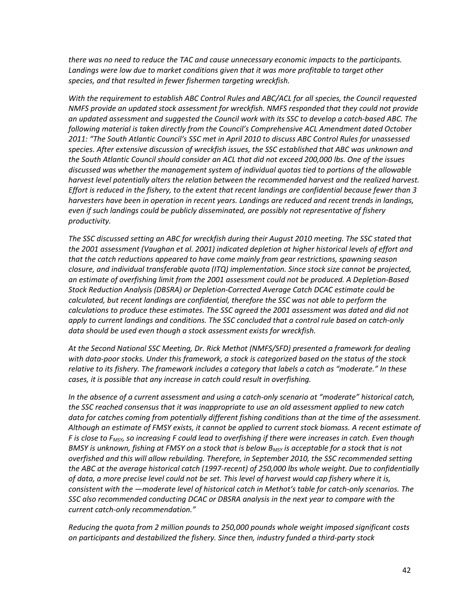*there was no need to reduce the TAC and cause unnecessary economic impacts to the participants. Landings were low due to market conditions given that it was more profitable to target other species, and that resulted in fewer fishermen targeting wreckfish.*

*With the requirement to establish ABC Control Rules and ABC/ACL for all species, the Council requested NMFS provide an updated stock assessment for wreckfish. NMFS responded that they could not provide an updated assessment and suggested the Council work with its SSC to develop a catch-based ABC. The following material is taken directly from the Council's Comprehensive ACL Amendment dated October 2011: "The South Atlantic Council's SSC met in April 2010 to discuss ABC Control Rules for unassessed species. After extensive discussion of wreckfish issues, the SSC established that ABC was unknown and the South Atlantic Council should consider an ACL that did not exceed 200,000 lbs. One of the issues discussed was whether the management system of individual quotas tied to portions of the allowable harvest level potentially alters the relation between the recommended harvest and the realized harvest. Effort is reduced in the fishery, to the extent that recent landings are confidential because fewer than 3 harvesters have been in operation in recent years. Landings are reduced and recent trends in landings, even if such landings could be publicly disseminated, are possibly not representative of fishery productivity.* 

*The SSC discussed setting an ABC for wreckfish during their August 2010 meeting. The SSC stated that the 2001 assessment (Vaughan et al. 2001) indicated depletion at higher historical levels of effort and that the catch reductions appeared to have come mainly from gear restrictions, spawning season closure, and individual transferable quota (ITQ) implementation. Since stock size cannot be projected, an estimate of overfishing limit from the 2001 assessment could not be produced. A Depletion-Based Stock Reduction Analysis (DBSRA) or Depletion-Corrected Average Catch DCAC estimate could be calculated, but recent landings are confidential, therefore the SSC was not able to perform the calculations to produce these estimates. The SSC agreed the 2001 assessment was dated and did not apply to current landings and conditions. The SSC concluded that a control rule based on catch-only data should be used even though a stock assessment exists for wreckfish.* 

*At the Second National SSC Meeting, Dr. Rick Methot (NMFS/SFD) presented a framework for dealing with data-poor stocks. Under this framework, a stock is categorized based on the status of the stock relative to its fishery. The framework includes a category that labels a catch as "moderate." In these cases, it is possible that any increase in catch could result in overfishing.* 

*In the absence of a current assessment and using a catch-only scenario at "moderate" historical catch, the SSC reached consensus that it was inappropriate to use an old assessment applied to new catch data for catches coming from potentially different fishing conditions than at the time of the assessment. Although an estimate of FMSY exists, it cannot be applied to current stock biomass. A recent estimate of F is close to FMSY, so increasing F could lead to overfishing if there were increases in catch. Even though BMSY is unknown, fishing at FMSY on a stock that is below BMSY is acceptable for a stock that is not overfished and this will allow rebuilding. Therefore, in September 2010, the SSC recommended setting the ABC at the average historical catch (1997-recent) of 250,000 lbs whole weight. Due to confidentially of data, a more precise level could not be set. This level of harvest would cap fishery where it is, consistent with the ―moderate level of historical catch in Methot's table for catch-only scenarios. The SSC also recommended conducting DCAC or DBSRA analysis in the next year to compare with the current catch-only recommendation."*

*Reducing the quota from 2 million pounds to 250,000 pounds whole weight imposed significant costs on participants and destabilized the fishery. Since then, industry funded a third-party stock*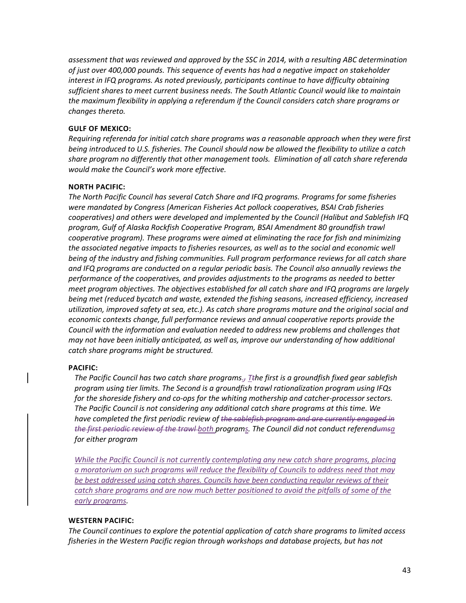*assessment that was reviewed and approved by the SSC in 2014, with a resulting ABC determination of just over 400,000 pounds. This sequence of events has had a negative impact on stakeholder interest in IFQ programs. As noted previously, participants continue to have difficulty obtaining sufficient shares to meet current business needs. The South Atlantic Council would like to maintain the maximum flexibility in applying a referendum if the Council considers catch share programs or changes thereto.*

#### **GULF OF MEXICO:**

*Requiring referenda for initial catch share programs was a reasonable approach when they were first being introduced to U.S. fisheries. The Council should now be allowed the flexibility to utilize a catch share program no differently that other management tools. Elimination of all catch share referenda would make the Council's work more effective.*

### **NORTH PACIFIC:**

*The North Pacific Council has several Catch Share and IFQ programs. Programs for some fisheries were mandated by Congress (American Fisheries Act pollock cooperatives, BSAI Crab fisheries cooperatives) and others were developed and implemented by the Council (Halibut and Sablefish IFQ program, Gulf of Alaska Rockfish Cooperative Program, BSAI Amendment 80 groundfish trawl cooperative program). These programs were aimed at eliminating the race for fish and minimizing the associated negative impacts to fisheries resources, as well as to the social and economic well being of the industry and fishing communities. Full program performance reviews for all catch share and IFQ programs are conducted on a regular periodic basis. The Council also annually reviews the performance of the cooperatives, and provides adjustments to the programs as needed to better meet program objectives. The objectives established for all catch share and IFQ programs are largely being met (reduced bycatch and waste, extended the fishing seasons, increased efficiency, increased utilization, improved safety at sea, etc.). As catch share programs mature and the original social and economic contexts change, full performance reviews and annual cooperative reports provide the Council with the information and evaluation needed to address new problems and challenges that may not have been initially anticipated, as well as, improve our understanding of how additional catch share programs might be structured.*

#### **PACIFIC:**

*The Pacific Council has two catch share programs., Tthe first is a groundfish fixed gear sablefish program using tier limits. The Second is a groundfish trawl rationalization program using IFQs for the shoreside fishery and co-ops for the whiting mothership and catcher-processor sectors. The Pacific Council is not considering any additional catch share programs at this time. We have completed the first periodic review of the sablefish program and are currently engaged in the first periodic review of the trawl both programs. The Council did not conduct referendumsa for either program*

*While the Pacific Council is not currently contemplating any new catch share programs, placing a moratorium on such programs will reduce the flexibility of Councils to address need that may be best addressed using catch shares. Councils have been conducting regular reviews of their catch share programs and are now much better positioned to avoid the pitfalls of some of the early programs.*

### **WESTERN PACIFIC:**

*The Council continues to explore the potential application of catch share programs to limited access fisheries in the Western Pacific region through workshops and database projects, but has not*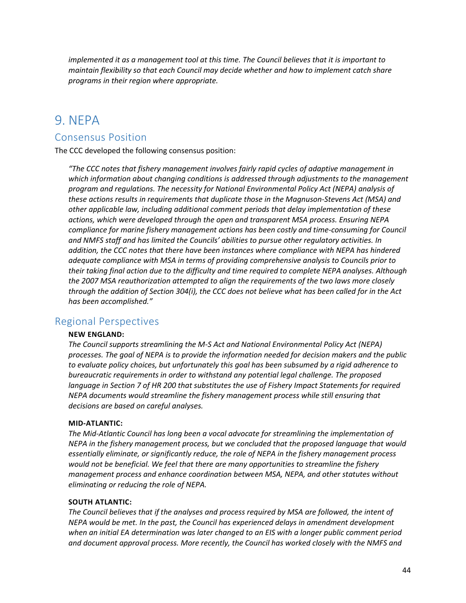*implemented it as a management tool at this time. The Council believes that it is important to maintain flexibility so that each Council may decide whether and how to implement catch share programs in their region where appropriate.*

# 9. NEPA

# Consensus Position

The CCC developed the following consensus position:

*"The CCC notes that fishery management involves fairly rapid cycles of adaptive management in which information about changing conditions is addressed through adjustments to the management program and regulations. The necessity for National Environmental Policy Act (NEPA) analysis of these actions results in requirements that duplicate those in the Magnuson-Stevens Act (MSA) and other applicable law, including additional comment periods that delay implementation of these actions, which were developed through the open and transparent MSA process. Ensuring NEPA compliance for marine fishery management actions has been costly and time-consuming for Council and NMFS staff and has limited the Councils' abilities to pursue other regulatory activities. In addition, the CCC notes that there have been instances where compliance with NEPA has hindered adequate compliance with MSA in terms of providing comprehensive analysis to Councils prior to their taking final action due to the difficulty and time required to complete NEPA analyses. Although the 2007 MSA reauthorization attempted to align the requirements of the two laws more closely through the addition of Section 304(i), the CCC does not believe what has been called for in the Act has been accomplished."*

# Regional Perspectives

#### **NEW ENGLAND:**

*The Council supports streamlining the M-S Act and National Environmental Policy Act (NEPA) processes. The goal of NEPA is to provide the information needed for decision makers and the public to evaluate policy choices, but unfortunately this goal has been subsumed by a rigid adherence to bureaucratic requirements in order to withstand any potential legal challenge. The proposed language in Section 7 of HR 200 that substitutes the use of Fishery Impact Statements for required NEPA documents would streamline the fishery management process while still ensuring that decisions are based on careful analyses.*

#### **MID-ATLANTIC:**

*The Mid-Atlantic Council has long been a vocal advocate for streamlining the implementation of NEPA in the fishery management process, but we concluded that the proposed language that would essentially eliminate, or significantly reduce, the role of NEPA in the fishery management process would not be beneficial. We feel that there are many opportunities to streamline the fishery management process and enhance coordination between MSA, NEPA, and other statutes without eliminating or reducing the role of NEPA.*

#### **SOUTH ATLANTIC:**

*The Council believes that if the analyses and process required by MSA are followed, the intent of NEPA would be met. In the past, the Council has experienced delays in amendment development when an initial EA determination was later changed to an EIS with a longer public comment period and document approval process. More recently, the Council has worked closely with the NMFS and*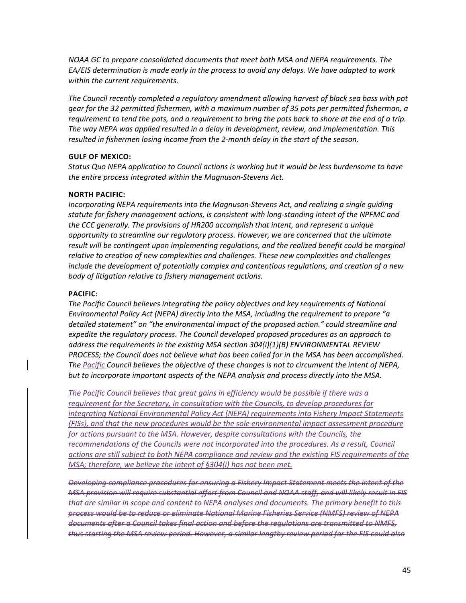*NOAA GC to prepare consolidated documents that meet both MSA and NEPA requirements. The EA/EIS determination is made early in the process to avoid any delays. We have adapted to work within the current requirements.*

*The Council recently completed a regulatory amendment allowing harvest of black sea bass with pot gear for the 32 permitted fishermen, with a maximum number of 35 pots per permitted fisherman, a requirement to tend the pots, and a requirement to bring the pots back to shore at the end of a trip. The way NEPA was applied resulted in a delay in development, review, and implementation. This resulted in fishermen losing income from the 2-month delay in the start of the season.*

#### **GULF OF MEXICO:**

*Status Quo NEPA application to Council actions is working but it would be less burdensome to have the entire process integrated within the Magnuson-Stevens Act.*

### **NORTH PACIFIC:**

*Incorporating NEPA requirements into the Magnuson-Stevens Act, and realizing a single guiding statute for fishery management actions, is consistent with long-standing intent of the NPFMC and the CCC generally. The provisions of HR200 accomplish that intent, and represent a unique opportunity to streamline our regulatory process. However, we are concerned that the ultimate result will be contingent upon implementing regulations, and the realized benefit could be marginal relative to creation of new complexities and challenges. These new complexities and challenges include the development of potentially complex and contentious regulations, and creation of a new body of litigation relative to fishery management actions.*

#### **PACIFIC:**

*The Pacific Council believes integrating the policy objectives and key requirements of National Environmental Policy Act (NEPA) directly into the MSA, including the requirement to prepare "a detailed statement" on "the environmental impact of the proposed action." could streamline and expedite the regulatory process. The Council developed proposed procedures as an approach to address the requirements in the existing MSA section 304(i)(1)(B) ENVIRONMENTAL REVIEW PROCESS; the Council does not believe what has been called for in the MSA has been accomplished. The Pacific Council believes the objective of these changes is not to circumvent the intent of NEPA, but to incorporate important aspects of the NEPA analysis and process directly into the MSA.* 

*The Pacific Council believes that great gains in efficiency would be possible if there was a requirement for the Secretary, in consultation with the Councils, to develop procedures for integrating National Environmental Policy Act (NEPA) requirements into Fishery Impact Statements (FISs), and that the new procedures would be the sole environmental impact assessment procedure for actions pursuant to the MSA. However, despite consultations with the Councils, the*  recommendations of the Councils were not incorporated into the procedures. As a result, Council *actions are still subject to both NEPA compliance and review and the existing FIS requirements of the MSA; therefore, we believe the intent of §304(i) has not been met.*

*Developing compliance procedures for ensuring a Fishery Impact Statement meets the intent of the MSA provision will require substantial effort from Council and NOAA staff, and will likely result in FIS that are similar in scope and content to NEPA analyses and documents. The primary benefit to this process would be to reduce or eliminate National Marine Fisheries Service (NMFS) review of NEPA documents after a Council takes final action and before the regulations are transmitted to NMFS, thus starting the MSA review period. However, a similar lengthy review period for the FIS could also*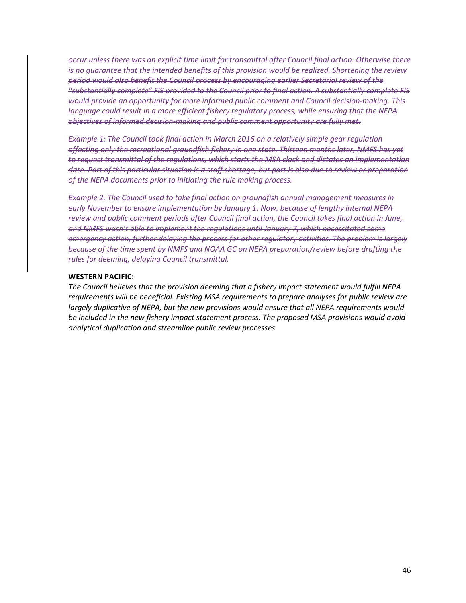*occur unless there was an explicit time limit for transmittal after Council final action. Otherwise there is no guarantee that the intended benefits of this provision would be realized. Shortening the review period would also benefit the Council process by encouraging earlier Secretarial review of the "substantially complete" FIS provided to the Council prior to final action. A substantially complete FIS would provide an opportunity for more informed public comment and Council decision-making. This language could result in a more efficient fishery regulatory process, while ensuring that the NEPA objectives of informed decision-making and public comment opportunity are fully met.* 

*Example 1: The Council took final action in March 2016 on a relatively simple gear regulation affecting only the recreational groundfish fishery in one state. Thirteen months later, NMFS has yet to request transmittal of the regulations, which starts the MSA clock and dictates an implementation date. Part of this particular situation is a staff shortage, but part is also due to review or preparation of the NEPA documents prior to initiating the rule making process.*

*Example 2. The Council used to take final action on groundfish annual management measures in early November to ensure implementation by January 1. Now, because of lengthy internal NEPA review and public comment periods after Council final action, the Council takes final action in June, and NMFS wasn't able to implement the regulations until January 7, which necessitated some emergency action, further delaying the process for other regulatory activities. The problem is largely because of the time spent by NMFS and NOAA GC on NEPA preparation/review before drafting the rules for deeming, delaying Council transmittal.*

## **WESTERN PACIFIC:**

*The Council believes that the provision deeming that a fishery impact statement would fulfill NEPA requirements will be beneficial. Existing MSA requirements to prepare analyses for public review are largely duplicative of NEPA, but the new provisions would ensure that all NEPA requirements would be included in the new fishery impact statement process. The proposed MSA provisions would avoid analytical duplication and streamline public review processes.*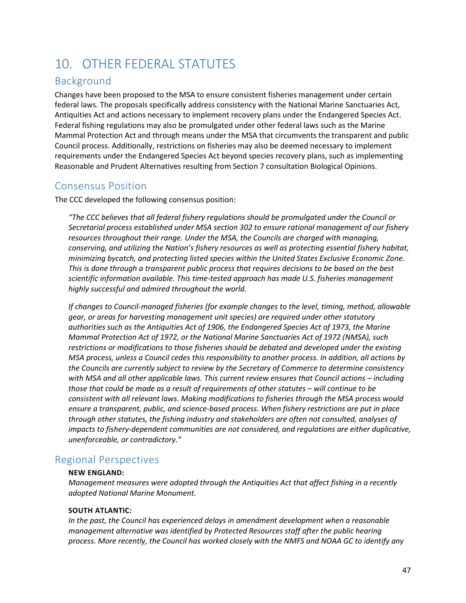# 10. OTHER FEDERAL STATUTES

# Background

Changes have been proposed to the MSA to ensure consistent fisheries management under certain federal laws. The proposals specifically address consistency with the National Marine Sanctuaries Act, Antiquities Act and actions necessary to implement recovery plans under the Endangered Species Act. Federal fishing regulations may also be promulgated under other federal laws such as the Marine Mammal Protection Act and through means under the MSA that circumvents the transparent and public Council process. Additionally, restrictions on fisheries may also be deemed necessary to implement requirements under the Endangered Species Act beyond species recovery plans, such as implementing Reasonable and Prudent Alternatives resulting from Section 7 consultation Biological Opinions.

# Consensus Position

The CCC developed the following consensus position:

*"The CCC believes that all federal fishery regulations should be promulgated under the Council or Secretarial process established under MSA section 302 to ensure rational management of our fishery resources throughout their range. Under the MSA, the Councils are charged with managing, conserving, and utilizing the Nation's fishery resources as well as protecting essential fishery habitat, minimizing bycatch, and protecting listed species within the United States Exclusive Economic Zone. This is done through a transparent public process that requires decisions to be based on the best scientific information available. This time-tested approach has made U.S. fisheries management highly successful and admired throughout the world.* 

*If changes to Council-managed fisheries (for example changes to the level, timing, method, allowable gear, or areas for harvesting management unit species) are required under other statutory authorities such as the Antiquities Act of 1906, the Endangered Species Act of 1973, the Marine Mammal Protection Act of 1972, or the National Marine Sanctuaries Act of 1972 (NMSA), such restrictions or modifications to those fisheries should be debated and developed under the existing MSA process, unless a Council cedes this responsibility to another process. In addition, all actions by the Councils are currently subject to review by the Secretary of Commerce to determine consistency with MSA and all other applicable laws. This current review ensures that Council actions – including those that could be made as a result of requirements of other statutes – will continue to be consistent with all relevant laws. Making modifications to fisheries through the MSA process would ensure a transparent, public, and science-based process. When fishery restrictions are put in place through other statutes, the fishing industry and stakeholders are often not consulted, analyses of impacts to fishery-dependent communities are not considered, and regulations are either duplicative, unenforceable, or contradictory."*

# Regional Perspectives

### **NEW ENGLAND:**

*Management measures were adopted through the Antiquities Act that affect fishing in a recently adopted National Marine Monument.*

# **SOUTH ATLANTIC:**

*In the past, the Council has experienced delays in amendment development when a reasonable management alternative was identified by Protected Resources staff after the public hearing process. More recently, the Council has worked closely with the NMFS and NOAA GC to identify any*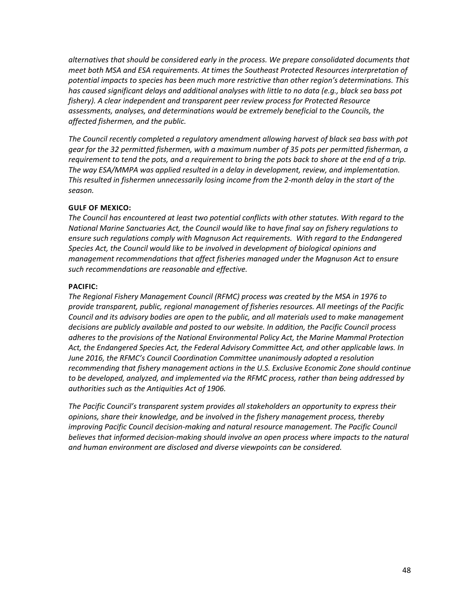*alternatives that should be considered early in the process. We prepare consolidated documents that meet both MSA and ESA requirements. At times the Southeast Protected Resources interpretation of potential impacts to species has been much more restrictive than other region's determinations. This has caused significant delays and additional analyses with little to no data (e.g., black sea bass pot fishery). A clear independent and transparent peer review process for Protected Resource assessments, analyses, and determinations would be extremely beneficial to the Councils, the affected fishermen, and the public.*

*The Council recently completed a regulatory amendment allowing harvest of black sea bass with pot gear for the 32 permitted fishermen, with a maximum number of 35 pots per permitted fisherman, a requirement to tend the pots, and a requirement to bring the pots back to shore at the end of a trip. The way ESA/MMPA was applied resulted in a delay in development, review, and implementation. This resulted in fishermen unnecessarily losing income from the 2-month delay in the start of the season.*

### **GULF OF MEXICO:**

*The Council has encountered at least two potential conflicts with other statutes. With regard to the National Marine Sanctuaries Act, the Council would like to have final say on fishery regulations to ensure such regulations comply with Magnuson Act requirements. With regard to the Endangered Species Act, the Council would like to be involved in development of biological opinions and management recommendations that affect fisheries managed under the Magnuson Act to ensure such recommendations are reasonable and effective.*

### **PACIFIC:**

*The Regional Fishery Management Council (RFMC) process was created by the MSA in 1976 to provide transparent, public, regional management of fisheries resources. All meetings of the Pacific Council and its advisory bodies are open to the public, and all materials used to make management decisions are publicly available and posted to our website. In addition, the Pacific Council process adheres to the provisions of the National Environmental Policy Act, the Marine Mammal Protection Act, the Endangered Species Act, the Federal Advisory Committee Act, and other applicable laws. In June 2016, the RFMC's Council Coordination Committee unanimously adopted a resolution recommending that fishery management actions in the U.S. Exclusive Economic Zone should continue to be developed, analyzed, and implemented via the RFMC process, rather than being addressed by authorities such as the Antiquities Act of 1906.* 

*The Pacific Council's transparent system provides all stakeholders an opportunity to express their opinions, share their knowledge, and be involved in the fishery management process, thereby improving Pacific Council decision-making and natural resource management. The Pacific Council* believes that informed decision-making should involve an open process where impacts to the natural *and human environment are disclosed and diverse viewpoints can be considered.*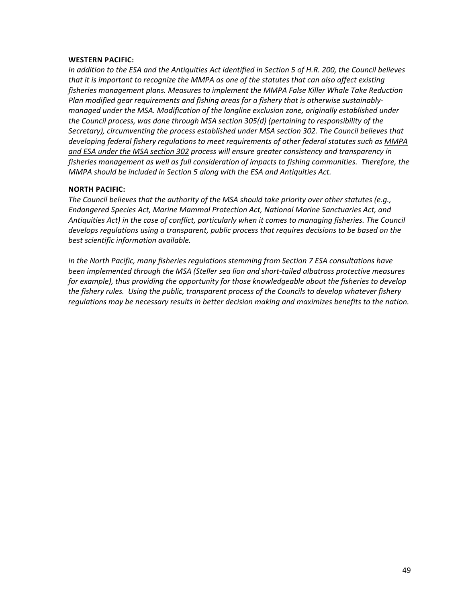#### **WESTERN PACIFIC:**

*In addition to the ESA and the Antiquities Act identified in Section 5 of H.R. 200, the Council believes that it is important to recognize the MMPA as one of the statutes that can also affect existing fisheries management plans. Measures to implement the MMPA False Killer Whale Take Reduction Plan modified gear requirements and fishing areas for a fishery that is otherwise sustainablymanaged under the MSA. Modification of the longline exclusion zone, originally established under the Council process, was done through MSA section 305(d) (pertaining to responsibility of the Secretary), circumventing the process established under MSA section 302. The Council believes that developing federal fishery regulations to meet requirements of other federal statutes such as MMPA and ESA under the MSA section 302 process will ensure greater consistency and transparency in fisheries management as well as full consideration of impacts to fishing communities. Therefore, the MMPA should be included in Section 5 along with the ESA and Antiquities Act.*

### **NORTH PACIFIC:**

*The Council believes that the authority of the MSA should take priority over other statutes (e.g., Endangered Species Act, Marine Mammal Protection Act, National Marine Sanctuaries Act, and Antiquities Act) in the case of conflict, particularly when it comes to managing fisheries. The Council develops regulations using a transparent, public process that requires decisions to be based on the best scientific information available.*

*In the North Pacific, many fisheries regulations stemming from Section 7 ESA consultations have been implemented through the MSA (Steller sea lion and short-tailed albatross protective measures for example), thus providing the opportunity for those knowledgeable about the fisheries to develop the fishery rules. Using the public, transparent process of the Councils to develop whatever fishery regulations may be necessary results in better decision making and maximizes benefits to the nation.*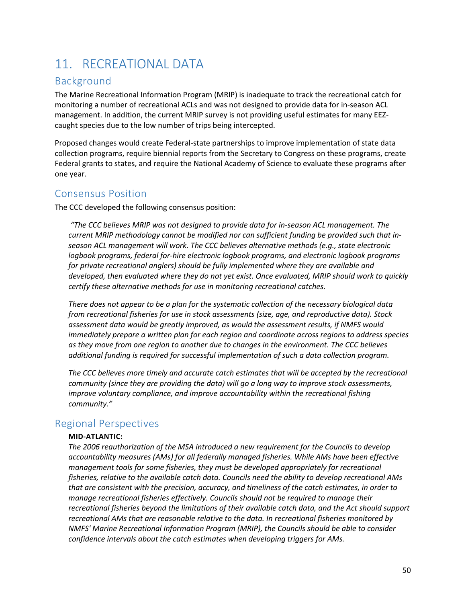# 11. RECREATIONAL DATA

# Background

The Marine Recreational Information Program (MRIP) is inadequate to track the recreational catch for monitoring a number of recreational ACLs and was not designed to provide data for in-season ACL management. In addition, the current MRIP survey is not providing useful estimates for many EEZcaught species due to the low number of trips being intercepted.

Proposed changes would create Federal-state partnerships to improve implementation of state data collection programs, require biennial reports from the Secretary to Congress on these programs, create Federal grants to states, and require the National Academy of Science to evaluate these programs after one year.

# Consensus Position

The CCC developed the following consensus position:

*"The CCC believes MRIP was not designed to provide data for in-season ACL management. The current MRIP methodology cannot be modified nor can sufficient funding be provided such that inseason ACL management will work. The CCC believes alternative methods (e.g., state electronic logbook programs, federal for-hire electronic logbook programs, and electronic logbook programs for private recreational anglers) should be fully implemented where they are available and developed, then evaluated where they do not yet exist. Once evaluated, MRIP should work to quickly certify these alternative methods for use in monitoring recreational catches.*

*There does not appear to be a plan for the systematic collection of the necessary biological data from recreational fisheries for use in stock assessments (size, age, and reproductive data). Stock assessment data would be greatly improved, as would the assessment results, if NMFS would immediately prepare a written plan for each region and coordinate across regions to address species as they move from one region to another due to changes in the environment. The CCC believes additional funding is required for successful implementation of such a data collection program.*

*The CCC believes more timely and accurate catch estimates that will be accepted by the recreational community (since they are providing the data) will go a long way to improve stock assessments, improve voluntary compliance, and improve accountability within the recreational fishing community."*

# Regional Perspectives

### **MID-ATLANTIC:**

*The 2006 reauthorization of the MSA introduced a new requirement for the Councils to develop accountability measures (AMs) for all federally managed fisheries. While AMs have been effective management tools for some fisheries, they must be developed appropriately for recreational fisheries, relative to the available catch data. Councils need the ability to develop recreational AMs that are consistent with the precision, accuracy, and timeliness of the catch estimates, in order to manage recreational fisheries effectively. Councils should not be required to manage their recreational fisheries beyond the limitations of their available catch data, and the Act should support recreational AMs that are reasonable relative to the data. In recreational fisheries monitored by NMFS' Marine Recreational Information Program (MRIP), the Councils should be able to consider confidence intervals about the catch estimates when developing triggers for AMs.*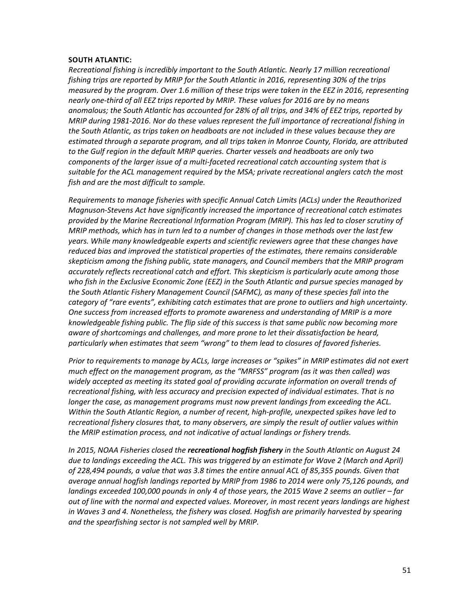#### **SOUTH ATLANTIC:**

*Recreational fishing is incredibly important to the South Atlantic. Nearly 17 million recreational fishing trips are reported by MRIP for the South Atlantic in 2016, representing 30% of the trips measured by the program. Over 1.6 million of these trips were taken in the EEZ in 2016, representing nearly one-third of all EEZ trips reported by MRIP. These values for 2016 are by no means anomalous; the South Atlantic has accounted for 28% of all trips, and 34% of EEZ trips, reported by MRIP during 1981-2016. Nor do these values represent the full importance of recreational fishing in the South Atlantic, as trips taken on headboats are not included in these values because they are estimated through a separate program, and all trips taken in Monroe County, Florida, are attributed to the Gulf region in the default MRIP queries. Charter vessels and headboats are only two components of the larger issue of a multi-faceted recreational catch accounting system that is suitable for the ACL management required by the MSA; private recreational anglers catch the most fish and are the most difficult to sample.*

*Requirements to manage fisheries with specific Annual Catch Limits (ACLs) under the Reauthorized Magnuson-Stevens Act have significantly increased the importance of recreational catch estimates provided by the Marine Recreational Information Program (MRIP). This has led to closer scrutiny of MRIP methods, which has in turn led to a number of changes in those methods over the last few years. While many knowledgeable experts and scientific reviewers agree that these changes have reduced bias and improved the statistical properties of the estimates, there remains considerable skepticism among the fishing public, state managers, and Council members that the MRIP program accurately reflects recreational catch and effort. This skepticism is particularly acute among those who fish in the Exclusive Economic Zone (EEZ) in the South Atlantic and pursue species managed by the South Atlantic Fishery Management Council (SAFMC), as many of these species fall into the category of "rare events", exhibiting catch estimates that are prone to outliers and high uncertainty. One success from increased efforts to promote awareness and understanding of MRIP is a more knowledgeable fishing public. The flip side of this success is that same public now becoming more aware of shortcomings and challenges, and more prone to let their dissatisfaction be heard, particularly when estimates that seem "wrong" to them lead to closures of favored fisheries.*

*Prior to requirements to manage by ACLs, large increases or "spikes" in MRIP estimates did not exert much effect on the management program, as the "MRFSS" program (as it was then called) was widely accepted as meeting its stated goal of providing accurate information on overall trends of recreational fishing, with less accuracy and precision expected of individual estimates. That is no longer the case, as management programs must now prevent landings from exceeding the ACL. Within the South Atlantic Region, a number of recent, high-profile, unexpected spikes have led to recreational fishery closures that, to many observers, are simply the result of outlier values within the MRIP estimation process, and not indicative of actual landings or fishery trends.* 

*In 2015, NOAA Fisheries closed the recreational hogfish fishery in the South Atlantic on August 24 due to landings exceeding the ACL. This was triggered by an estimate for Wave 2 (March and April) of 228,494 pounds, a value that was 3.8 times the entire annual ACL of 85,355 pounds. Given that average annual hogfish landings reported by MRIP from 1986 to 2014 were only 75,126 pounds, and landings exceeded 100,000 pounds in only 4 of those years, the 2015 Wave 2 seems an outlier – far out of line with the normal and expected values. Moreover, in most recent years landings are highest in Waves 3 and 4. Nonetheless, the fishery was closed. Hogfish are primarily harvested by spearing and the spearfishing sector is not sampled well by MRIP.*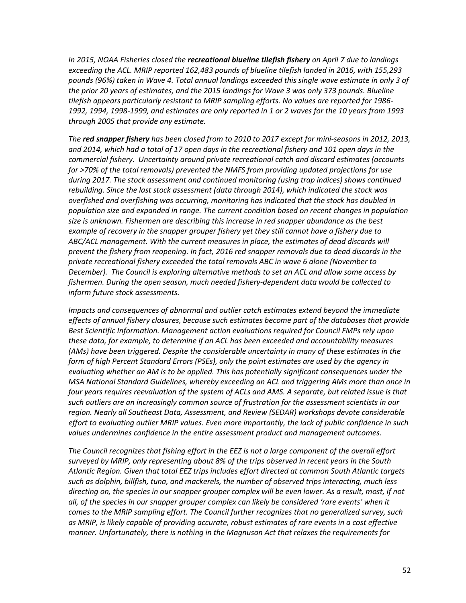*In 2015, NOAA Fisheries closed the recreational blueline tilefish fishery on April 7 due to landings exceeding the ACL. MRIP reported 162,483 pounds of blueline tilefish landed in 2016, with 155,293 pounds (96%) taken in Wave 4. Total annual landings exceeded this single wave estimate in only 3 of the prior 20 years of estimates, and the 2015 landings for Wave 3 was only 373 pounds. Blueline tilefish appears particularly resistant to MRIP sampling efforts. No values are reported for 1986- 1992, 1994, 1998-1999, and estimates are only reported in 1 or 2 waves for the 10 years from 1993 through 2005 that provide any estimate.*

*The red snapper fishery has been closed from to 2010 to 2017 except for mini-seasons in 2012, 2013, and 2014, which had a total of 17 open days in the recreational fishery and 101 open days in the commercial fishery. Uncertainty around private recreational catch and discard estimates (accounts for >70% of the total removals) prevented the NMFS from providing updated projections for use during 2017. The stock assessment and continued monitoring (using trap indices) shows continued rebuilding. Since the last stock assessment (data through 2014), which indicated the stock was overfished and overfishing was occurring, monitoring has indicated that the stock has doubled in population size and expanded in range. The current condition based on recent changes in population size is unknown. Fishermen are describing this increase in red snapper abundance as the best example of recovery in the snapper grouper fishery yet they still cannot have a fishery due to ABC/ACL management. With the current measures in place, the estimates of dead discards will prevent the fishery from reopening. In fact, 2016 red snapper removals due to dead discards in the private recreational fishery exceeded the total removals ABC in wave 6 alone (November to December). The Council is exploring alternative methods to set an ACL and allow some access by fishermen. During the open season, much needed fishery-dependent data would be collected to inform future stock assessments.*

*Impacts and consequences of abnormal and outlier catch estimates extend beyond the immediate effects of annual fishery closures, because such estimates become part of the databases that provide Best Scientific Information. Management action evaluations required for Council FMPs rely upon these data, for example, to determine if an ACL has been exceeded and accountability measures (AMs) have been triggered. Despite the considerable uncertainty in many of these estimates in the form of high Percent Standard Errors (PSEs), only the point estimates are used by the agency in evaluating whether an AM is to be applied. This has potentially significant consequences under the MSA National Standard Guidelines, whereby exceeding an ACL and triggering AMs more than once in four years requires reevaluation of the system of ACLs and AMS. A separate, but related issue is that such outliers are an increasingly common source of frustration for the assessment scientists in our region. Nearly all Southeast Data, Assessment, and Review (SEDAR) workshops devote considerable effort to evaluating outlier MRIP values. Even more importantly, the lack of public confidence in such values undermines confidence in the entire assessment product and management outcomes.*

*The Council recognizes that fishing effort in the EEZ is not a large component of the overall effort surveyed by MRIP, only representing about 8% of the trips observed in recent years in the South Atlantic Region. Given that total EEZ trips includes effort directed at common South Atlantic targets such as dolphin, billfish, tuna, and mackerels, the number of observed trips interacting, much less directing on, the species in our snapper grouper complex will be even lower. As a result, most, if not all, of the species in our snapper grouper complex can likely be considered 'rare events' when it comes to the MRIP sampling effort. The Council further recognizes that no generalized survey, such as MRIP, is likely capable of providing accurate, robust estimates of rare events in a cost effective manner. Unfortunately, there is nothing in the Magnuson Act that relaxes the requirements for*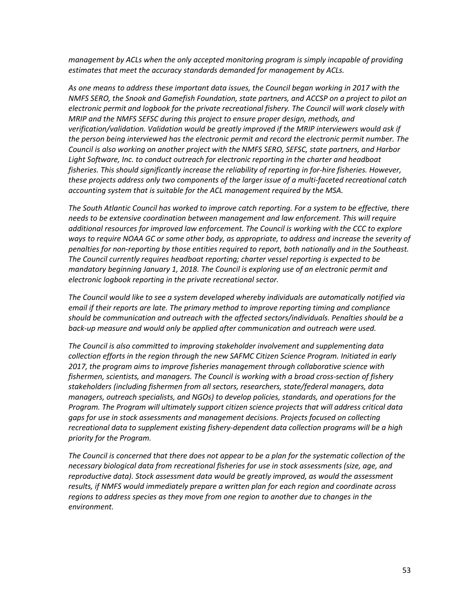*management by ACLs when the only accepted monitoring program is simply incapable of providing estimates that meet the accuracy standards demanded for management by ACLs.*

*As one means to address these important data issues, the Council began working in 2017 with the NMFS SERO, the Snook and Gamefish Foundation, state partners, and ACCSP on a project to pilot an electronic permit and logbook for the private recreational fishery. The Council will work closely with MRIP and the NMFS SEFSC during this project to ensure proper design, methods, and verification/validation. Validation would be greatly improved if the MRIP interviewers would ask if the person being interviewed has the electronic permit and record the electronic permit number. The Council is also working on another project with the NMFS SERO, SEFSC, state partners, and Harbor Light Software, Inc. to conduct outreach for electronic reporting in the charter and headboat fisheries. This should significantly increase the reliability of reporting in for-hire fisheries. However, these projects address only two components of the larger issue of a multi-faceted recreational catch accounting system that is suitable for the ACL management required by the MSA.*

*The South Atlantic Council has worked to improve catch reporting. For a system to be effective, there needs to be extensive coordination between management and law enforcement. This will require additional resources for improved law enforcement. The Council is working with the CCC to explore ways to require NOAA GC or some other body, as appropriate, to address and increase the severity of penalties for non-reporting by those entities required to report, both nationally and in the Southeast. The Council currently requires headboat reporting; charter vessel reporting is expected to be mandatory beginning January 1, 2018. The Council is exploring use of an electronic permit and electronic logbook reporting in the private recreational sector.*

*The Council would like to see a system developed whereby individuals are automatically notified via email if their reports are late. The primary method to improve reporting timing and compliance should be communication and outreach with the affected sectors/individuals. Penalties should be a back-up measure and would only be applied after communication and outreach were used.*

*The Council is also committed to improving stakeholder involvement and supplementing data collection efforts in the region through the new SAFMC Citizen Science Program. Initiated in early 2017, the program aims to improve fisheries management through collaborative science with fishermen, scientists, and managers. The Council is working with a broad cross-section of fishery stakeholders (including fishermen from all sectors, researchers, state/federal managers, data managers, outreach specialists, and NGOs) to develop policies, standards, and operations for the Program. The Program will ultimately support citizen science projects that will address critical data gaps for use in stock assessments and management decisions. Projects focused on collecting recreational data to supplement existing fishery-dependent data collection programs will be a high priority for the Program.*

*The Council is concerned that there does not appear to be a plan for the systematic collection of the necessary biological data from recreational fisheries for use in stock assessments (size, age, and reproductive data). Stock assessment data would be greatly improved, as would the assessment results, if NMFS would immediately prepare a written plan for each region and coordinate across regions to address species as they move from one region to another due to changes in the environment.*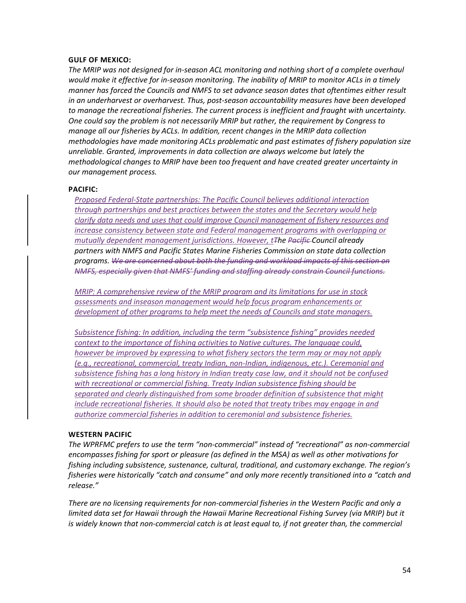### **GULF OF MEXICO:**

*The MRIP was not designed for in-season ACL monitoring and nothing short of a complete overhaul would make it effective for in-season monitoring. The inability of MRIP to monitor ACLs in a timely manner has forced the Councils and NMFS to set advance season dates that oftentimes either result in an underharvest or overharvest. Thus, post-season accountability measures have been developed to manage the recreational fisheries. The current process is inefficient and fraught with uncertainty. One could say the problem is not necessarily MRIP but rather, the requirement by Congress to manage all our fisheries by ACLs. In addition, recent changes in the MRIP data collection methodologies have made monitoring ACLs problematic and past estimates of fishery population size unreliable. Granted, improvements in data collection are always welcome but lately the methodological changes to MRIP have been too frequent and have created greater uncertainty in our management process.*

#### **PACIFIC:**

*Proposed Federal-State partnerships: The Pacific Council believes additional interaction through partnerships and best practices between the states and the Secretary would help clarify data needs and uses that could improve Council management of fishery resources and increase consistency between state and Federal management programs with overlapping or mutually dependent management jurisdictions. However, tThe Pacific Council already partners with NMFS and Pacific States Marine Fisheries Commission on state data collection programs. We are concerned about both the funding and workload impacts of this section on NMFS, especially given that NMFS' funding and staffing already constrain Council functions.*

*MRIP: A comprehensive review of the MRIP program and its limitations for use in stock assessments and inseason management would help focus program enhancements or development of other programs to help meet the needs of Councils and state managers.*

*Subsistence fishing: In addition, including the term "subsistence fishing" provides needed context to the importance of fishing activities to Native cultures. The language could, however be improved by expressing to what fishery sectors the term may or may not apply (e.g., recreational, commercial, treaty Indian, non-Indian, indigenous, etc.). Ceremonial and subsistence fishing has a long history in Indian treaty case law, and it should not be confused with recreational or commercial fishing. Treaty Indian subsistence fishing should be separated and clearly distinguished from some broader definition of subsistence that might include recreational fisheries. It should also be noted that treaty tribes may engage in and authorize commercial fisheries in addition to ceremonial and subsistence fisheries.*

#### **WESTERN PACIFIC**

*The WPRFMC prefers to use the term "non-commercial" instead of "recreational" as non-commercial encompasses fishing for sport or pleasure (as defined in the MSA) as well as other motivations for fishing including subsistence, sustenance, cultural, traditional, and customary exchange. The region's fisheries were historically "catch and consume" and only more recently transitioned into a "catch and release."*

*There are no licensing requirements for non-commercial fisheries in the Western Pacific and only a limited data set for Hawaii through the Hawaii Marine Recreational Fishing Survey (via MRIP) but it*  is widely known that non-commercial catch is at least equal to, if not greater than, the commercial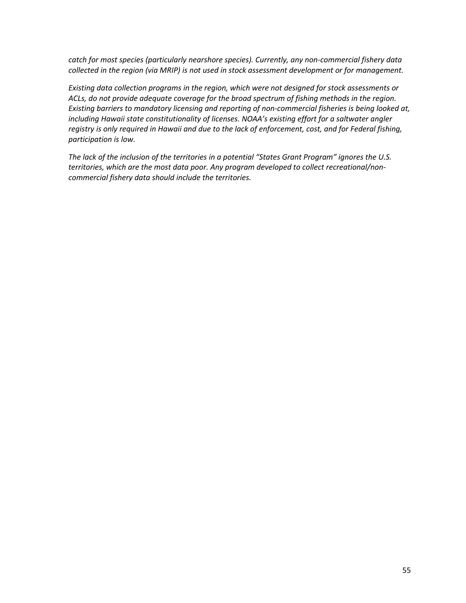*catch for most species (particularly nearshore species). Currently, any non-commercial fishery data collected in the region (via MRIP) is not used in stock assessment development or for management.*

*Existing data collection programs in the region, which were not designed for stock assessments or ACLs, do not provide adequate coverage for the broad spectrum of fishing methods in the region. Existing barriers to mandatory licensing and reporting of non-commercial fisheries is being looked at, including Hawaii state constitutionality of licenses. NOAA's existing effort for a saltwater angler registry is only required in Hawaii and due to the lack of enforcement, cost, and for Federal fishing, participation is low.*

*The lack of the inclusion of the territories in a potential "States Grant Program" ignores the U.S. territories, which are the most data poor. Any program developed to collect recreational/noncommercial fishery data should include the territories.*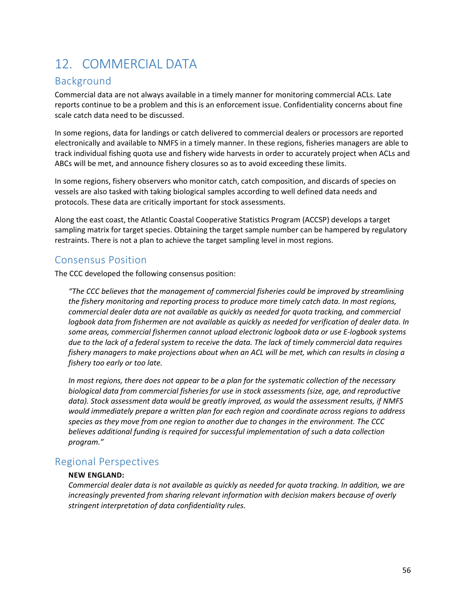# 12. COMMERCIAL DATA

# Background

Commercial data are not always available in a timely manner for monitoring commercial ACLs. Late reports continue to be a problem and this is an enforcement issue. Confidentiality concerns about fine scale catch data need to be discussed.

In some regions, data for landings or catch delivered to commercial dealers or processors are reported electronically and available to NMFS in a timely manner. In these regions, fisheries managers are able to track individual fishing quota use and fishery wide harvests in order to accurately project when ACLs and ABCs will be met, and announce fishery closures so as to avoid exceeding these limits.

In some regions, fishery observers who monitor catch, catch composition, and discards of species on vessels are also tasked with taking biological samples according to well defined data needs and protocols. These data are critically important for stock assessments.

Along the east coast, the Atlantic Coastal Cooperative Statistics Program (ACCSP) develops a target sampling matrix for target species. Obtaining the target sample number can be hampered by regulatory restraints. There is not a plan to achieve the target sampling level in most regions.

# Consensus Position

The CCC developed the following consensus position:

*"The CCC believes that the management of commercial fisheries could be improved by streamlining the fishery monitoring and reporting process to produce more timely catch data. In most regions, commercial dealer data are not available as quickly as needed for quota tracking, and commercial logbook data from fishermen are not available as quickly as needed for verification of dealer data. In some areas, commercial fishermen cannot upload electronic logbook data or use E-logbook systems due to the lack of a federal system to receive the data. The lack of timely commercial data requires fishery managers to make projections about when an ACL will be met, which can results in closing a fishery too early or too late.*

*In most regions, there does not appear to be a plan for the systematic collection of the necessary biological data from commercial fisheries for use in stock assessments (size, age, and reproductive data). Stock assessment data would be greatly improved, as would the assessment results, if NMFS would immediately prepare a written plan for each region and coordinate across regions to address species as they move from one region to another due to changes in the environment. The CCC believes additional funding is required for successful implementation of such a data collection program."*

# Regional Perspectives

# **NEW ENGLAND:**

*Commercial dealer data is not available as quickly as needed for quota tracking. In addition, we are increasingly prevented from sharing relevant information with decision makers because of overly stringent interpretation of data confidentiality rules.*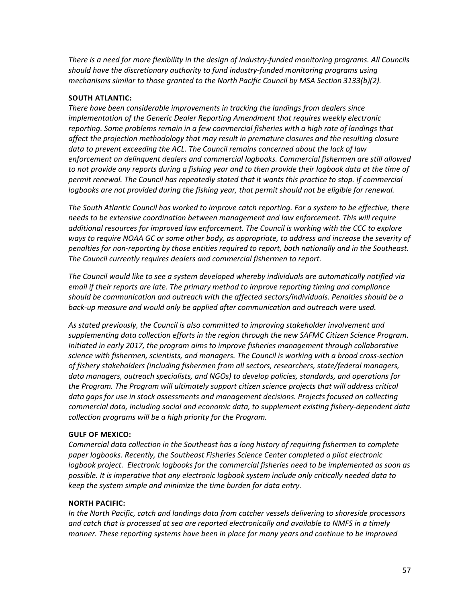*There is a need for more flexibility in the design of industry-funded monitoring programs. All Councils should have the discretionary authority to fund industry-funded monitoring programs using mechanisms similar to those granted to the North Pacific Council by MSA Section 3133(b)(2).*

## **SOUTH ATLANTIC:**

*There have been considerable improvements in tracking the landings from dealers since implementation of the Generic Dealer Reporting Amendment that requires weekly electronic reporting. Some problems remain in a few commercial fisheries with a high rate of landings that affect the projection methodology that may result in premature closures and the resulting closure data to prevent exceeding the ACL. The Council remains concerned about the lack of law enforcement on delinquent dealers and commercial logbooks. Commercial fishermen are still allowed to not provide any reports during a fishing year and to then provide their logbook data at the time of permit renewal. The Council has repeatedly stated that it wants this practice to stop. If commercial logbooks are not provided during the fishing year, that permit should not be eligible for renewal.*

*The South Atlantic Council has worked to improve catch reporting. For a system to be effective, there needs to be extensive coordination between management and law enforcement. This will require additional resources for improved law enforcement. The Council is working with the CCC to explore ways to require NOAA GC or some other body, as appropriate, to address and increase the severity of penalties for non-reporting by those entities required to report, both nationally and in the Southeast. The Council currently requires dealers and commercial fishermen to report.* 

*The Council would like to see a system developed whereby individuals are automatically notified via email if their reports are late. The primary method to improve reporting timing and compliance should be communication and outreach with the affected sectors/individuals. Penalties should be a back-up measure and would only be applied after communication and outreach were used.*

*As stated previously, the Council is also committed to improving stakeholder involvement and supplementing data collection efforts in the region through the new SAFMC Citizen Science Program. Initiated in early 2017, the program aims to improve fisheries management through collaborative science with fishermen, scientists, and managers. The Council is working with a broad cross-section of fishery stakeholders (including fishermen from all sectors, researchers, state/federal managers, data managers, outreach specialists, and NGOs) to develop policies, standards, and operations for the Program. The Program will ultimately support citizen science projects that will address critical data gaps for use in stock assessments and management decisions. Projects focused on collecting commercial data, including social and economic data, to supplement existing fishery-dependent data collection programs will be a high priority for the Program.* 

### **GULF OF MEXICO:**

*Commercial data collection in the Southeast has a long history of requiring fishermen to complete paper logbooks. Recently, the Southeast Fisheries Science Center completed a pilot electronic logbook project. Electronic logbooks for the commercial fisheries need to be implemented as soon as possible. It is imperative that any electronic logbook system include only critically needed data to keep the system simple and minimize the time burden for data entry.*

### **NORTH PACIFIC:**

*In the North Pacific, catch and landings data from catcher vessels delivering to shoreside processors and catch that is processed at sea are reported electronically and available to NMFS in a timely manner. These reporting systems have been in place for many years and continue to be improved*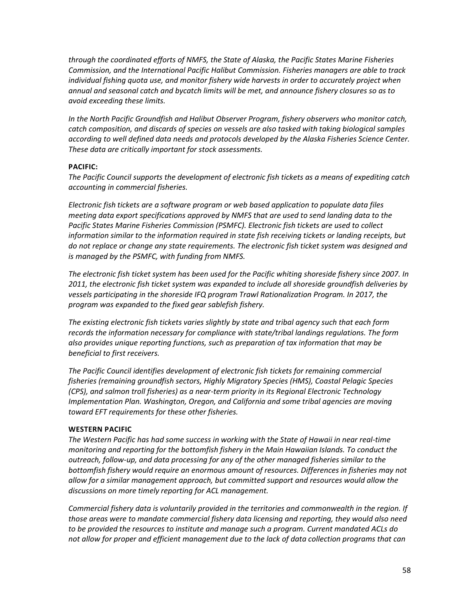*through the coordinated efforts of NMFS, the State of Alaska, the Pacific States Marine Fisheries Commission, and the International Pacific Halibut Commission. Fisheries managers are able to track individual fishing quota use, and monitor fishery wide harvests in order to accurately project when annual and seasonal catch and bycatch limits will be met, and announce fishery closures so as to avoid exceeding these limits.*

*In the North Pacific Groundfish and Halibut Observer Program, fishery observers who monitor catch, catch composition, and discards of species on vessels are also tasked with taking biological samples according to well defined data needs and protocols developed by the Alaska Fisheries Science Center. These data are critically important for stock assessments.*

### **PACIFIC:**

*The Pacific Council supports the development of electronic fish tickets as a means of expediting catch accounting in commercial fisheries.*

*Electronic fish tickets are a software program or web based application to populate data files meeting data export specifications approved by NMFS that are used to send landing data to the Pacific States Marine Fisheries Commission (PSMFC). Electronic fish tickets are used to collect information similar to the information required in state fish receiving tickets or landing receipts, but do not replace or change any state requirements. The electronic fish ticket system was designed and is managed by the PSMFC, with funding from NMFS.* 

*The electronic fish ticket system has been used for the Pacific whiting shoreside fishery since 2007. In 2011, the electronic fish ticket system was expanded to include all shoreside groundfish deliveries by vessels participating in the shoreside IFQ program Trawl Rationalization Program. In 2017, the program was expanded to the fixed gear sablefish fishery.*

*The existing electronic fish tickets varies slightly by state and tribal agency such that each form records the information necessary for compliance with state/tribal landings regulations. The form also provides unique reporting functions, such as preparation of tax information that may be beneficial to first receivers.* 

*The Pacific Council identifies development of electronic fish tickets for remaining commercial fisheries (remaining groundfish sectors, Highly Migratory Species (HMS), Coastal Pelagic Species (CPS), and salmon troll fisheries) as a near-term priority in its Regional Electronic Technology Implementation Plan. Washington, Oregon, and California and some tribal agencies are moving toward EFT requirements for these other fisheries.*

# **WESTERN PACIFIC**

*The Western Pacific has had some success in working with the State of Hawaii in near real-time monitoring and reporting for the bottomfish fishery in the Main Hawaiian Islands. To conduct the outreach, follow-up, and data processing for any of the other managed fisheries similar to the bottomfish fishery would require an enormous amount of resources. Differences in fisheries may not allow for a similar management approach, but committed support and resources would allow the discussions on more timely reporting for ACL management.*

*Commercial fishery data is voluntarily provided in the territories and commonwealth in the region. If those areas were to mandate commercial fishery data licensing and reporting, they would also need to be provided the resources to institute and manage such a program. Current mandated ACLs do not allow for proper and efficient management due to the lack of data collection programs that can*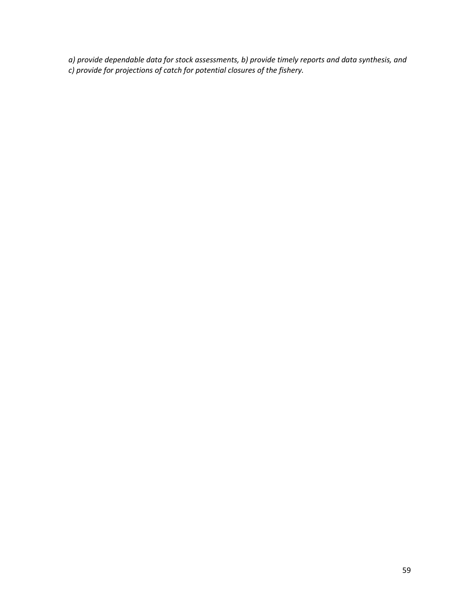*a) provide dependable data for stock assessments, b) provide timely reports and data synthesis, and c) provide for projections of catch for potential closures of the fishery.*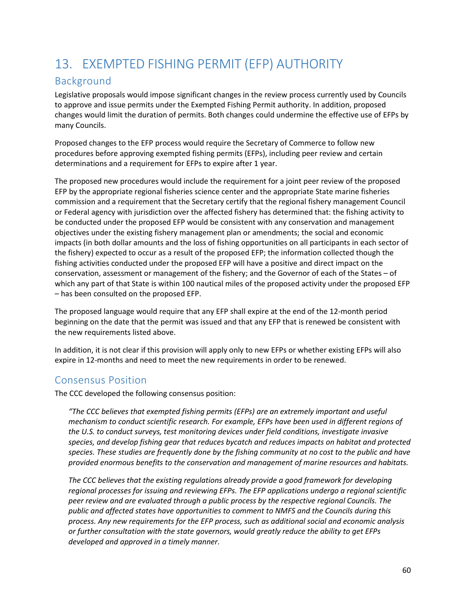# 13. EXEMPTED FISHING PERMIT (EFP) AUTHORITY

# Background

Legislative proposals would impose significant changes in the review process currently used by Councils to approve and issue permits under the Exempted Fishing Permit authority. In addition, proposed changes would limit the duration of permits. Both changes could undermine the effective use of EFPs by many Councils.

Proposed changes to the EFP process would require the Secretary of Commerce to follow new procedures before approving exempted fishing permits (EFPs), including peer review and certain determinations and a requirement for EFPs to expire after 1 year.

The proposed new procedures would include the requirement for a joint peer review of the proposed EFP by the appropriate regional fisheries science center and the appropriate State marine fisheries commission and a requirement that the Secretary certify that the regional fishery management Council or Federal agency with jurisdiction over the affected fishery has determined that: the fishing activity to be conducted under the proposed EFP would be consistent with any conservation and management objectives under the existing fishery management plan or amendments; the social and economic impacts (in both dollar amounts and the loss of fishing opportunities on all participants in each sector of the fishery) expected to occur as a result of the proposed EFP; the information collected though the fishing activities conducted under the proposed EFP will have a positive and direct impact on the conservation, assessment or management of the fishery; and the Governor of each of the States – of which any part of that State is within 100 nautical miles of the proposed activity under the proposed EFP – has been consulted on the proposed EFP.

The proposed language would require that any EFP shall expire at the end of the 12-month period beginning on the date that the permit was issued and that any EFP that is renewed be consistent with the new requirements listed above.

In addition, it is not clear if this provision will apply only to new EFPs or whether existing EFPs will also expire in 12-months and need to meet the new requirements in order to be renewed.

# Consensus Position

The CCC developed the following consensus position:

*"The CCC believes that exempted fishing permits (EFPs) are an extremely important and useful mechanism to conduct scientific research. For example, EFPs have been used in different regions of the U.S. to conduct surveys, test monitoring devices under field conditions, investigate invasive species, and develop fishing gear that reduces bycatch and reduces impacts on habitat and protected species. These studies are frequently done by the fishing community at no cost to the public and have provided enormous benefits to the conservation and management of marine resources and habitats.*

*The CCC believes that the existing regulations already provide a good framework for developing regional processes for issuing and reviewing EFPs. The EFP applications undergo a regional scientific peer review and are evaluated through a public process by the respective regional Councils. The public and affected states have opportunities to comment to NMFS and the Councils during this process. Any new requirements for the EFP process, such as additional social and economic analysis or further consultation with the state governors, would greatly reduce the ability to get EFPs developed and approved in a timely manner.*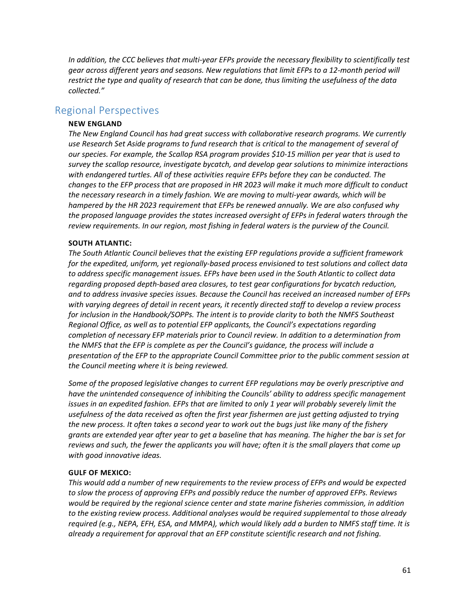*In addition, the CCC believes that multi-year EFPs provide the necessary flexibility to scientifically test gear across different years and seasons. New regulations that limit EFPs to a 12-month period will restrict the type and quality of research that can be done, thus limiting the usefulness of the data collected."*

# Regional Perspectives

### **NEW ENGLAND**

*The New England Council has had great success with collaborative research programs. We currently use Research Set Aside programs to fund research that is critical to the management of several of our species. For example, the Scallop RSA program provides \$10-15 million per year that is used to survey the scallop resource, investigate bycatch, and develop gear solutions to minimize interactions with endangered turtles. All of these activities require EFPs before they can be conducted. The changes to the EFP process that are proposed in HR 2023 will make it much more difficult to conduct the necessary research in a timely fashion. We are moving to multi-year awards, which will be hampered by the HR 2023 requirement that EFPs be renewed annually. We are also confused why the proposed language provides the states increased oversight of EFPs in federal waters through the review requirements. In our region, most fishing in federal waters is the purview of the Council.*

### **SOUTH ATLANTIC:**

*The South Atlantic Council believes that the existing EFP regulations provide a sufficient framework for the expedited, uniform, yet regionally-based process envisioned to test solutions and collect data to address specific management issues. EFPs have been used in the South Atlantic to collect data regarding proposed depth-based area closures, to test gear configurations for bycatch reduction, and to address invasive species issues. Because the Council has received an increased number of EFPs with varying degrees of detail in recent years, it recently directed staff to develop a review process for inclusion in the Handbook/SOPPs. The intent is to provide clarity to both the NMFS Southeast Regional Office, as well as to potential EFP applicants, the Council's expectations regarding completion of necessary EFP materials prior to Council review. In addition to a determination from the NMFS that the EFP is complete as per the Council's guidance, the process will include a presentation of the EFP to the appropriate Council Committee prior to the public comment session at the Council meeting where it is being reviewed.*

*Some of the proposed legislative changes to current EFP regulations may be overly prescriptive and have the unintended consequence of inhibiting the Councils' ability to address specific management issues in an expedited fashion. EFPs that are limited to only 1 year will probably severely limit the usefulness of the data received as often the first year fishermen are just getting adjusted to trying the new process. It often takes a second year to work out the bugs just like many of the fishery grants are extended year after year to get a baseline that has meaning. The higher the bar is set for reviews and such, the fewer the applicants you will have; often it is the small players that come up with good innovative ideas.*

#### **GULF OF MEXICO:**

*This would add a number of new requirements to the review process of EFPs and would be expected to slow the process of approving EFPs and possibly reduce the number of approved EFPs. Reviews would be required by the regional science center and state marine fisheries commission, in addition to the existing review process. Additional analyses would be required supplemental to those already required (e.g., NEPA, EFH, ESA, and MMPA), which would likely add a burden to NMFS staff time. It is already a requirement for approval that an EFP constitute scientific research and not fishing.*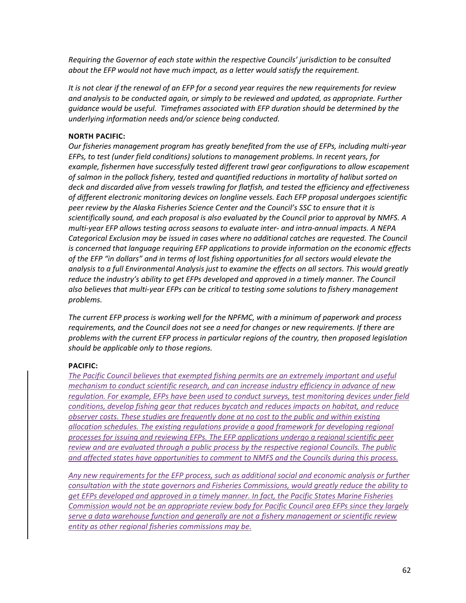*Requiring the Governor of each state within the respective Councils' jurisdiction to be consulted about the EFP would not have much impact, as a letter would satisfy the requirement.*

*It is not clear if the renewal of an EFP for a second year requires the new requirements for review and analysis to be conducted again, or simply to be reviewed and updated, as appropriate. Further guidance would be useful. Timeframes associated with EFP duration should be determined by the underlying information needs and/or science being conducted.*

## **NORTH PACIFIC:**

*Our fisheries management program has greatly benefited from the use of EFPs, including multi-year EFPs, to test (under field conditions) solutions to management problems. In recent years, for example, fishermen have successfully tested different trawl gear configurations to allow escapement of salmon in the pollock fishery, tested and quantified reductions in mortality of halibut sorted on deck and discarded alive from vessels trawling for flatfish, and tested the efficiency and effectiveness of different electronic monitoring devices on longline vessels. Each EFP proposal undergoes scientific peer review by the Alaska Fisheries Science Center and the Council's SSC to ensure that it is scientifically sound, and each proposal is also evaluated by the Council prior to approval by NMFS. A multi-year EFP allows testing across seasons to evaluate inter- and intra-annual impacts. A NEPA Categorical Exclusion may be issued in cases where no additional catches are requested. The Council is concerned that language requiring EFP applications to provide information on the economic effects of the EFP "in dollars" and in terms of lost fishing opportunities for all sectors would elevate the analysis to a full Environmental Analysis just to examine the effects on all sectors. This would greatly reduce the industry's ability to get EFPs developed and approved in a timely manner. The Council also believes that multi-year EFPs can be critical to testing some solutions to fishery management problems.*

*The current EFP process is working well for the NPFMC, with a minimum of paperwork and process requirements, and the Council does not see a need for changes or new requirements. If there are problems with the current EFP process in particular regions of the country, then proposed legislation should be applicable only to those regions.*

### **PACIFIC:**

*The Pacific Council believes that exempted fishing permits are an extremely important and useful mechanism to conduct scientific research, and can increase industry efficiency in advance of new regulation. For example, EFPs have been used to conduct surveys, test monitoring devices under field conditions, develop fishing gear that reduces bycatch and reduces impacts on habitat, and reduce observer costs. These studies are frequently done at no cost to the public and within existing allocation schedules. The existing regulations provide a good framework for developing regional processes for issuing and reviewing EFPs. The EFP applications undergo a regional scientific peer review and are evaluated through a public process by the respective regional Councils. The public and affected states have opportunities to comment to NMFS and the Councils during this process.* 

*Any new requirements for the EFP process, such as additional social and economic analysis or further consultation with the state governors and Fisheries Commissions, would greatly reduce the ability to get EFPs developed and approved in a timely manner. In fact, the Pacific States Marine Fisheries Commission would not be an appropriate review body for Pacific Council area EFPs since they largely serve a data warehouse function and generally are not a fishery management or scientific review entity as other regional fisheries commissions may be.*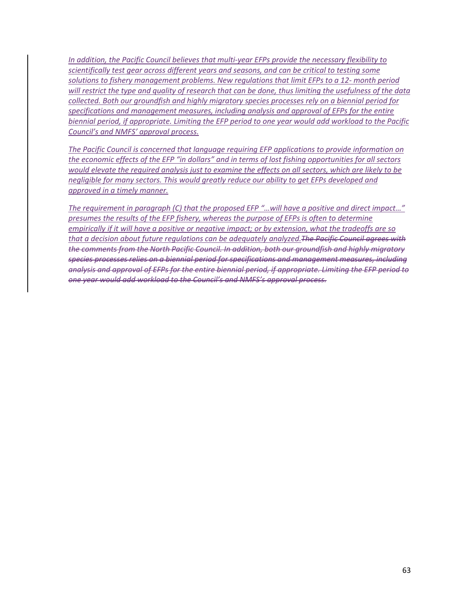*In addition, the Pacific Council believes that multi-year EFPs provide the necessary flexibility to scientifically test gear across different years and seasons, and can be critical to testing some solutions to fishery management problems. New regulations that limit EFPs to a 12- month period will restrict the type and quality of research that can be done, thus limiting the usefulness of the data collected. Both our groundfish and highly migratory species processes rely on a biennial period for specifications and management measures, including analysis and approval of EFPs for the entire biennial period, if appropriate. Limiting the EFP period to one year would add workload to the Pacific Council's and NMFS' approval process.* 

*The Pacific Council is concerned that language requiring EFP applications to provide information on the economic effects of the EFP "in dollars" and in terms of lost fishing opportunities for all sectors would elevate the required analysis just to examine the effects on all sectors, which are likely to be negligible for many sectors. This would greatly reduce our ability to get EFPs developed and approved in a timely manner.* 

*The requirement in paragraph (C) that the proposed EFP "…will have a positive and direct impact…" presumes the results of the EFP fishery, whereas the purpose of EFPs is often to determine empirically if it will have a positive or negative impact; or by extension, what the tradeoffs are so that a decision about future regulations can be adequately analyzed.The Pacific Council agrees with the comments from the North Pacific Council. In addition, both our groundfish and highly migratory species processes relies on a biennial period for specifications and management measures, including analysis and approval of EFPs for the entire biennial period, if appropriate. Limiting the EFP period to one year would add workload to the Council's and NMFS's approval process.*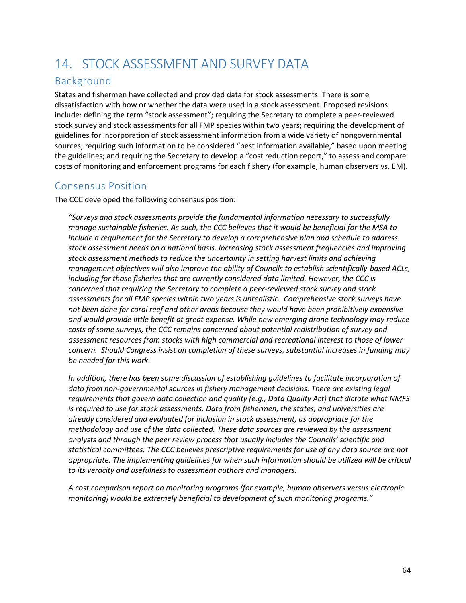# 14. STOCK ASSESSMENT AND SURVEY DATA

# Background

States and fishermen have collected and provided data for stock assessments. There is some dissatisfaction with how or whether the data were used in a stock assessment. Proposed revisions include: defining the term "stock assessment"; requiring the Secretary to complete a peer-reviewed stock survey and stock assessments for all FMP species within two years; requiring the development of guidelines for incorporation of stock assessment information from a wide variety of nongovernmental sources; requiring such information to be considered "best information available," based upon meeting the guidelines; and requiring the Secretary to develop a "cost reduction report," to assess and compare costs of monitoring and enforcement programs for each fishery (for example, human observers vs. EM).

# Consensus Position

The CCC developed the following consensus position:

*"Surveys and stock assessments provide the fundamental information necessary to successfully manage sustainable fisheries. As such, the CCC believes that it would be beneficial for the MSA to include a requirement for the Secretary to develop a comprehensive plan and schedule to address stock assessment needs on a national basis. Increasing stock assessment frequencies and improving stock assessment methods to reduce the uncertainty in setting harvest limits and achieving management objectives will also improve the ability of Councils to establish scientifically-based ACLs, including for those fisheries that are currently considered data limited. However, the CCC is concerned that requiring the Secretary to complete a peer-reviewed stock survey and stock assessments for all FMP species within two years is unrealistic. Comprehensive stock surveys have not been done for coral reef and other areas because they would have been prohibitively expensive and would provide little benefit at great expense. While new emerging drone technology may reduce costs of some surveys, the CCC remains concerned about potential redistribution of survey and assessment resources from stocks with high commercial and recreational interest to those of lower concern. Should Congress insist on completion of these surveys, substantial increases in funding may be needed for this work.*

In addition, there has been some discussion of establishing quidelines to facilitate incorporation of data from non-governmental sources in fishery management decisions. There are existing legal *requirements that govern data collection and quality (e.g., Data Quality Act) that dictate what NMFS is required to use for stock assessments. Data from fishermen, the states, and universities are already considered and evaluated for inclusion in stock assessment, as appropriate for the methodology and use of the data collected. These data sources are reviewed by the assessment analysts and through the peer review process that usually includes the Councils' scientific and statistical committees. The CCC believes prescriptive requirements for use of any data source are not appropriate. The implementing guidelines for when such information should be utilized will be critical to its veracity and usefulness to assessment authors and managers.*

*A cost comparison report on monitoring programs (for example, human observers versus electronic monitoring) would be extremely beneficial to development of such monitoring programs."*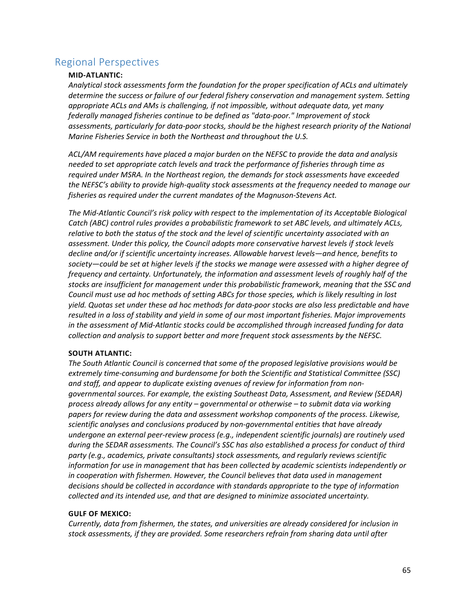# Regional Perspectives

## **MID-ATLANTIC:**

*Analytical stock assessments form the foundation for the proper specification of ACLs and ultimately determine the success or failure of our federal fishery conservation and management system. Setting appropriate ACLs and AMs is challenging, if not impossible, without adequate data, yet many federally managed fisheries continue to be defined as "data-poor." Improvement of stock assessments, particularly for data-poor stocks, should be the highest research priority of the National Marine Fisheries Service in both the Northeast and throughout the U.S.*

*ACL/AM requirements have placed a major burden on the NEFSC to provide the data and analysis needed to set appropriate catch levels and track the performance of fisheries through time as required under MSRA. In the Northeast region, the demands for stock assessments have exceeded the NEFSC's ability to provide high-quality stock assessments at the frequency needed to manage our fisheries as required under the current mandates of the Magnuson-Stevens Act.* 

*The Mid-Atlantic Council's risk policy with respect to the implementation of its Acceptable Biological Catch (ABC) control rules provides a probabilistic framework to set ABC levels, and ultimately ACLs, relative to both the status of the stock and the level of scientific uncertainty associated with an assessment. Under this policy, the Council adopts more conservative harvest levels if stock levels decline and/or if scientific uncertainty increases. Allowable harvest levels—and hence, benefits to society—could be set at higher levels if the stocks we manage were assessed with a higher degree of frequency and certainty. Unfortunately, the information and assessment levels of roughly half of the stocks are insufficient for management under this probabilistic framework, meaning that the SSC and Council must use ad hoc methods of setting ABCs for those species, which is likely resulting in lost yield. Quotas set under these ad hoc methods for data-poor stocks are also less predictable and have resulted in a loss of stability and yield in some of our most important fisheries. Major improvements in the assessment of Mid-Atlantic stocks could be accomplished through increased funding for data collection and analysis to support better and more frequent stock assessments by the NEFSC.*

### **SOUTH ATLANTIC:**

*The South Atlantic Council is concerned that some of the proposed legislative provisions would be extremely time-consuming and burdensome for both the Scientific and Statistical Committee (SSC) and staff, and appear to duplicate existing avenues of review for information from nongovernmental sources. For example, the existing Southeast Data, Assessment, and Review (SEDAR) process already allows for any entity – governmental or otherwise – to submit data via working papers for review during the data and assessment workshop components of the process. Likewise, scientific analyses and conclusions produced by non-governmental entities that have already undergone an external peer-review process (e.g., independent scientific journals) are routinely used during the SEDAR assessments. The Council's SSC has also established a process for conduct of third party (e.g., academics, private consultants) stock assessments, and regularly reviews scientific information for use in management that has been collected by academic scientists independently or in cooperation with fishermen. However, the Council believes that data used in management decisions should be collected in accordance with standards appropriate to the type of information collected and its intended use, and that are designed to minimize associated uncertainty.*

#### **GULF OF MEXICO:**

*Currently, data from fishermen, the states, and universities are already considered for inclusion in stock assessments, if they are provided. Some researchers refrain from sharing data until after*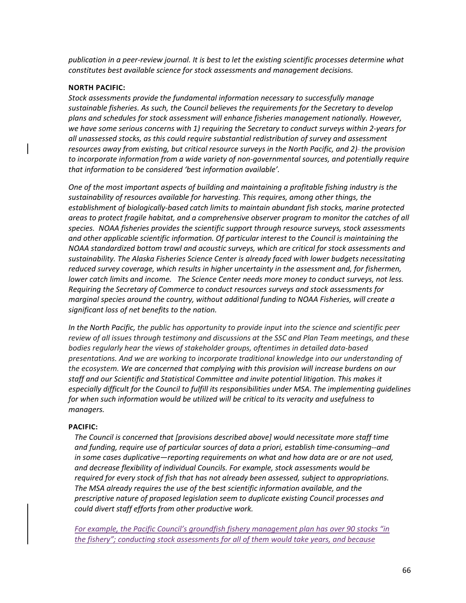*publication in a peer-review journal. It is best to let the existing scientific processes determine what constitutes best available science for stock assessments and management decisions.*

#### **NORTH PACIFIC:**

*Stock assessments provide the fundamental information necessary to successfully manage sustainable fisheries. As such, the Council believes the requirements for the Secretary to develop plans and schedules for stock assessment will enhance fisheries management nationally. However, we have some serious concerns with 1) requiring the Secretary to conduct surveys within 2-years for all unassessed stocks, as this could require substantial redistribution of survey and assessment resources away from existing, but critical resource surveys in the North Pacific, and 2) the provision to incorporate information from a wide variety of non-governmental sources, and potentially require that information to be considered 'best information available'.*

*One of the most important aspects of building and maintaining a profitable fishing industry is the sustainability of resources available for harvesting. This requires, among other things, the establishment of biologically-based catch limits to maintain abundant fish stocks, marine protected areas to protect fragile habitat, and a comprehensive observer program to monitor the catches of all species. NOAA fisheries provides the scientific support through resource surveys, stock assessments and other applicable scientific information. Of particular interest to the Council is maintaining the NOAA standardized bottom trawl and acoustic surveys, which are critical for stock assessments and sustainability. The Alaska Fisheries Science Center is already faced with lower budgets necessitating reduced survey coverage, which results in higher uncertainty in the assessment and, for fishermen, lower catch limits and income. The Science Center needs more money to conduct surveys, not less. Requiring the Secretary of Commerce to conduct resources surveys and stock assessments for marginal species around the country, without additional funding to NOAA Fisheries, will create a significant loss of net benefits to the nation.*

*In the North Pacific, the public has opportunity to provide input into the science and scientific peer review of all issues through testimony and discussions at the SSC and Plan Team meetings, and these bodies regularly hear the views of stakeholder groups, oftentimes in detailed data-based presentations. And we are working to incorporate traditional knowledge into our understanding of the ecosystem. We are concerned that complying with this provision will increase burdens on our staff and our Scientific and Statistical Committee and invite potential litigation. This makes it* especially difficult for the Council to fulfill its responsibilities under MSA. The implementing guidelines *for when such information would be utilized will be critical to its veracity and usefulness to managers.*

#### **PACIFIC:**

*The Council is concerned that [provisions described above] would necessitate more staff time and funding, require use of particular sources of data a priori, establish time-consuming--and in some cases duplicative—reporting requirements on what and how data are or are not used, and decrease flexibility of individual Councils. For example, stock assessments would be required for every stock of fish that has not already been assessed, subject to appropriations. The MSA already requires the use of the best scientific information available, and the prescriptive nature of proposed legislation seem to duplicate existing Council processes and could divert staff efforts from other productive work.*

*For example, the Pacific Council's groundfish fishery management plan has over 90 stocks "in the fishery"; conducting stock assessments for all of them would take years, and because*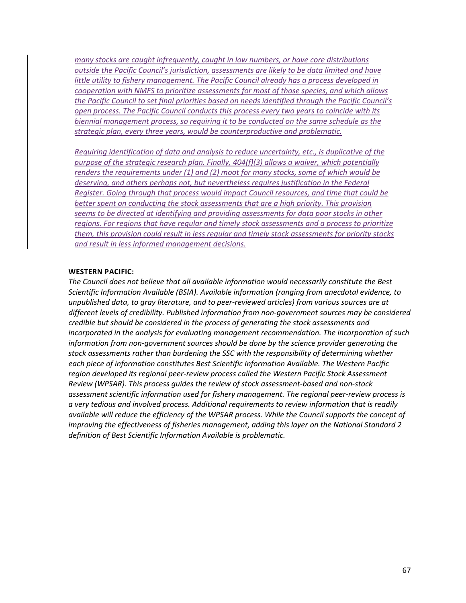*many stocks are caught infrequently, caught in low numbers, or have core distributions outside the Pacific Council's jurisdiction, assessments are likely to be data limited and have little utility to fishery management. The Pacific Council already has a process developed in cooperation with NMFS to prioritize assessments for most of those species, and which allows the Pacific Council to set final priorities based on needs identified through the Pacific Council's open process. The Pacific Council conducts this process every two years to coincide with its biennial management process, so requiring it to be conducted on the same schedule as the strategic plan, every three years, would be counterproductive and problematic.* 

*Requiring identification of data and analysis to reduce uncertainty, etc., is duplicative of the purpose of the strategic research plan. Finally, 404(f)(3) allows a waiver, which potentially renders the requirements under (1) and (2) moot for many stocks, some of which would be deserving, and others perhaps not, but nevertheless requires justification in the Federal Register. Going through that process would impact Council resources, and time that could be better spent on conducting the stock assessments that are a high priority. This provision seems to be directed at identifying and providing assessments for data poor stocks in other regions. For regions that have regular and timely stock assessments and a process to prioritize them, this provision could result in less regular and timely stock assessments for priority stocks and result in less informed management decisions.*

#### **WESTERN PACIFIC:**

*The Council does not believe that all available information would necessarily constitute the Best Scientific Information Available (BSIA). Available information (ranging from anecdotal evidence, to unpublished data, to gray literature, and to peer-reviewed articles) from various sources are at different levels of credibility. Published information from non-government sources may be considered credible but should be considered in the process of generating the stock assessments and incorporated in the analysis for evaluating management recommendation. The incorporation of such information from non-government sources should be done by the science provider generating the stock assessments rather than burdening the SSC with the responsibility of determining whether each piece of information constitutes Best Scientific Information Available. The Western Pacific region developed its regional peer-review process called the Western Pacific Stock Assessment Review (WPSAR). This process guides the review of stock assessment-based and non-stock assessment scientific information used for fishery management. The regional peer-review process is a very tedious and involved process. Additional requirements to review information that is readily available will reduce the efficiency of the WPSAR process. While the Council supports the concept of improving the effectiveness of fisheries management, adding this layer on the National Standard 2 definition of Best Scientific Information Available is problematic.*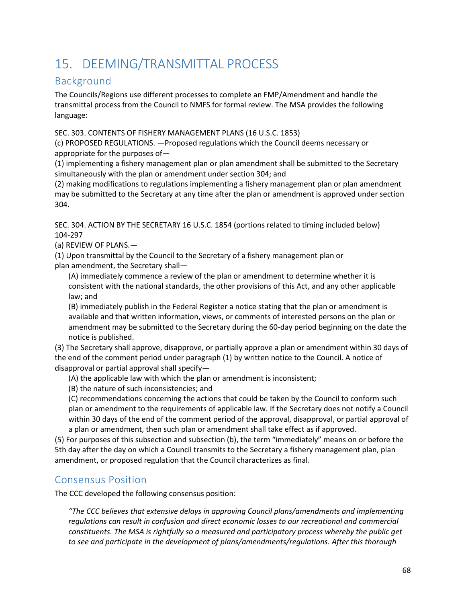# 15. DEEMING/TRANSMITTAL PROCESS

# Background

The Councils/Regions use different processes to complete an FMP/Amendment and handle the transmittal process from the Council to NMFS for formal review. The MSA provides the following language:

SEC. 303. CONTENTS OF FISHERY MANAGEMENT PLANS (16 U.S.C. 1853)

(c) PROPOSED REGULATIONS. —Proposed regulations which the Council deems necessary or appropriate for the purposes of—

(1) implementing a fishery management plan or plan amendment shall be submitted to the Secretary simultaneously with the plan or amendment under section 304; and

(2) making modifications to regulations implementing a fishery management plan or plan amendment may be submitted to the Secretary at any time after the plan or amendment is approved under section 304.

SEC. 304. ACTION BY THE SECRETARY 16 U.S.C. 1854 (portions related to timing included below) 104-297

(a) REVIEW OF PLANS.—

(1) Upon transmittal by the Council to the Secretary of a fishery management plan or plan amendment, the Secretary shall—

(A) immediately commence a review of the plan or amendment to determine whether it is consistent with the national standards, the other provisions of this Act, and any other applicable law; and

(B) immediately publish in the Federal Register a notice stating that the plan or amendment is available and that written information, views, or comments of interested persons on the plan or amendment may be submitted to the Secretary during the 60-day period beginning on the date the notice is published.

(3) The Secretary shall approve, disapprove, or partially approve a plan or amendment within 30 days of the end of the comment period under paragraph (1) by written notice to the Council. A notice of disapproval or partial approval shall specify—

(A) the applicable law with which the plan or amendment is inconsistent;

(B) the nature of such inconsistencies; and

(C) recommendations concerning the actions that could be taken by the Council to conform such plan or amendment to the requirements of applicable law. If the Secretary does not notify a Council within 30 days of the end of the comment period of the approval, disapproval, or partial approval of a plan or amendment, then such plan or amendment shall take effect as if approved.

(5) For purposes of this subsection and subsection (b), the term "immediately" means on or before the 5th day after the day on which a Council transmits to the Secretary a fishery management plan, plan amendment, or proposed regulation that the Council characterizes as final.

# Consensus Position

The CCC developed the following consensus position:

*"The CCC believes that extensive delays in approving Council plans/amendments and implementing regulations can result in confusion and direct economic losses to our recreational and commercial constituents. The MSA is rightfully so a measured and participatory process whereby the public get to see and participate in the development of plans/amendments/regulations. After this thorough*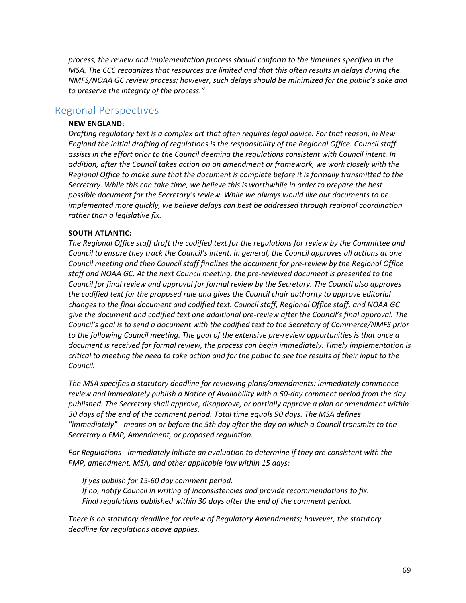*process, the review and implementation process should conform to the timelines specified in the MSA. The CCC recognizes that resources are limited and that this often results in delays during the NMFS/NOAA GC review process; however, such delays should be minimized for the public's sake and to preserve the integrity of the process."*

# Regional Perspectives

#### **NEW ENGLAND:**

*Drafting regulatory text is a complex art that often requires legal advice. For that reason, in New England the initial drafting of regulations is the responsibility of the Regional Office. Council staff assists in the effort prior to the Council deeming the regulations consistent with Council intent. In addition, after the Council takes action on an amendment or framework, we work closely with the Regional Office to make sure that the document is complete before it is formally transmitted to the Secretary. While this can take time, we believe this is worthwhile in order to prepare the best possible document for the Secretary's review. While we always would like our documents to be implemented more quickly, we believe delays can best be addressed through regional coordination rather than a legislative fix.*

#### **SOUTH ATLANTIC:**

*The Regional Office staff draft the codified text for the regulations for review by the Committee and Council to ensure they track the Council's intent. In general, the Council approves all actions at one Council meeting and then Council staff finalizes the document for pre-review by the Regional Office staff and NOAA GC. At the next Council meeting, the pre-reviewed document is presented to the Council for final review and approval for formal review by the Secretary. The Council also approves the codified text for the proposed rule and gives the Council chair authority to approve editorial changes to the final document and codified text. Council staff, Regional Office staff, and NOAA GC give the document and codified text one additional pre-review after the Council's final approval. The Council's goal is to send a document with the codified text to the Secretary of Commerce/NMFS prior to the following Council meeting. The goal of the extensive pre-review opportunities is that once a document is received for formal review, the process can begin immediately. Timely implementation is critical to meeting the need to take action and for the public to see the results of their input to the Council.*

*The MSA specifies a statutory deadline for reviewing plans/amendments: immediately commence review and immediately publish a Notice of Availability with a 60-day comment period from the day published. The Secretary shall approve, disapprove, or partially approve a plan or amendment within 30 days of the end of the comment period. Total time equals 90 days. The MSA defines "immediately" - means on or before the 5th day after the day on which a Council transmits to the Secretary a FMP, Amendment, or proposed regulation.*

*For Regulations - immediately initiate an evaluation to determine if they are consistent with the FMP, amendment, MSA, and other applicable law within 15 days:*

*If yes publish for 15-60 day comment period. If no, notify Council in writing of inconsistencies and provide recommendations to fix. Final regulations published within 30 days after the end of the comment period.*

*There is no statutory deadline for review of Regulatory Amendments; however, the statutory deadline for regulations above applies.*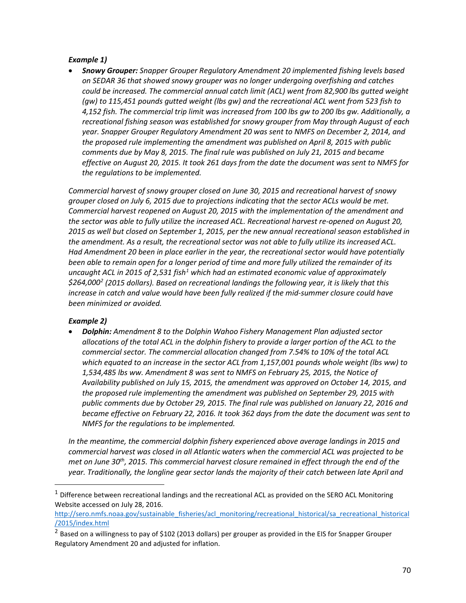## *Example 1)*

• *Snowy Grouper: Snapper Grouper Regulatory Amendment 20 implemented fishing levels based on SEDAR 36 that showed snowy grouper was no longer undergoing overfishing and catches could be increased. The commercial annual catch limit (ACL) went from 82,900 lbs gutted weight (gw) to 115,451 pounds gutted weight (lbs gw) and the recreational ACL went from 523 fish to 4,152 fish. The commercial trip limit was increased from 100 lbs gw to 200 lbs gw. Additionally, a recreational fishing season was established for snowy grouper from May through August of each year. Snapper Grouper Regulatory Amendment 20 was sent to NMFS on December 2, 2014, and the proposed rule implementing the amendment was published on April 8, 2015 with public comments due by May 8, 2015. The final rule was published on July 21, 2015 and became effective on August 20, 2015. It took 261 days from the date the document was sent to NMFS for the regulations to be implemented.*

*Commercial harvest of snowy grouper closed on June 30, 2015 and recreational harvest of snowy grouper closed on July 6, 2015 due to projections indicating that the sector ACLs would be met. Commercial harvest reopened on August 20, 2015 with the implementation of the amendment and the sector was able to fully utilize the increased ACL. Recreational harvest re-opened on August 20, 2015 as well but closed on September 1, 2015, per the new annual recreational season established in the amendment. As a result, the recreational sector was not able to fully utilize its increased ACL. Had Amendment 20 been in place earlier in the year, the recreational sector would have potentially been able to remain open for a longer period of time and more fully utilized the remainder of its uncaught ACL in 2015 of 2,531 fish[1](#page-69-0) which had an estimated economic value of approximately \$264,000[2](#page-69-1) (2015 dollars). Based on recreational landings the following year, it is likely that this*  increase in catch and value would have been fully realized if the mid-summer closure could have *been minimized or avoided.*

# *Example 2)*

• *Dolphin: Amendment 8 to the Dolphin Wahoo Fishery Management Plan adjusted sector allocations of the total ACL in the dolphin fishery to provide a larger portion of the ACL to the commercial sector. The commercial allocation changed from 7.54% to 10% of the total ACL which equated to an increase in the sector ACL from 1,157,001 pounds whole weight (lbs ww) to 1,534,485 lbs ww. Amendment 8 was sent to NMFS on February 25, 2015, the Notice of Availability published on July 15, 2015, the amendment was approved on October 14, 2015, and the proposed rule implementing the amendment was published on September 29, 2015 with public comments due by October 29, 2015. The final rule was published on January 22, 2016 and became effective on February 22, 2016. It took 362 days from the date the document was sent to NMFS for the regulations to be implemented.*

In the meantime, the commercial dolphin fishery experienced above average landings in 2015 and *commercial harvest was closed in all Atlantic waters when the commercial ACL was projected to be met on June 30th, 2015. This commercial harvest closure remained in effect through the end of the year. Traditionally, the longline gear sector lands the majority of their catch between late April and* 

<span id="page-69-0"></span> $1$  Difference between recreational landings and the recreational ACL as provided on the SERO ACL Monitoring Website accessed on July 28, 2016.

[http://sero.nmfs.noaa.gov/sustainable\\_fisheries/acl\\_monitoring/recreational\\_historical/sa\\_recreational\\_historical](http://sero.nmfs.noaa.gov/sustainable_fisheries/acl_monitoring/recreational_historical/sa_recreational_historical/2015/index.html) [/2015/index.html](http://sero.nmfs.noaa.gov/sustainable_fisheries/acl_monitoring/recreational_historical/sa_recreational_historical/2015/index.html)

<span id="page-69-1"></span><sup>&</sup>lt;sup>2</sup> Based on a willingness to pay of \$102 (2013 dollars) per grouper as provided in the EIS for Snapper Grouper Regulatory Amendment 20 and adjusted for inflation.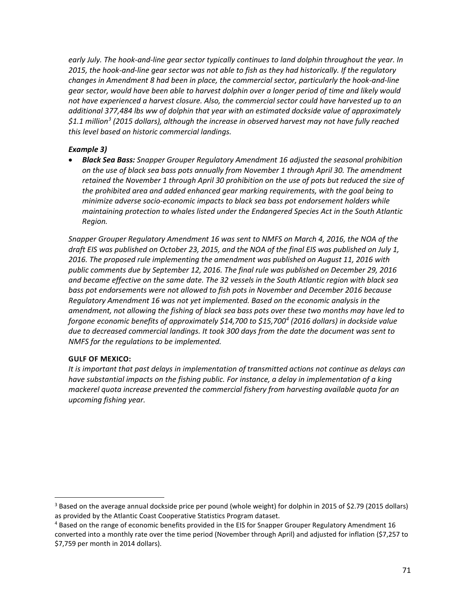*early July. The hook-and-line gear sector typically continues to land dolphin throughout the year. In 2015, the hook-and-line gear sector was not able to fish as they had historically. If the regulatory changes in Amendment 8 had been in place, the commercial sector, particularly the hook-and-line gear sector, would have been able to harvest dolphin over a longer period of time and likely would not have experienced a harvest closure. Also, the commercial sector could have harvested up to an additional 377,484 lbs ww of dolphin that year with an estimated dockside value of approximately \$1.1 million[3](#page-70-0) (2015 dollars), although the increase in observed harvest may not have fully reached this level based on historic commercial landings.* 

# *Example 3)*

• *Black Sea Bass: Snapper Grouper Regulatory Amendment 16 adjusted the seasonal prohibition on the use of black sea bass pots annually from November 1 through April 30. The amendment retained the November 1 through April 30 prohibition on the use of pots but reduced the size of the prohibited area and added enhanced gear marking requirements, with the goal being to minimize adverse socio-economic impacts to black sea bass pot endorsement holders while maintaining protection to whales listed under the Endangered Species Act in the South Atlantic Region.*

*Snapper Grouper Regulatory Amendment 16 was sent to NMFS on March 4, 2016, the NOA of the draft EIS was published on October 23, 2015, and the NOA of the final EIS was published on July 1, 2016. The proposed rule implementing the amendment was published on August 11, 2016 with public comments due by September 12, 2016. The final rule was published on December 29, 2016 and became effective on the same date. The 32 vessels in the South Atlantic region with black sea bass pot endorsements were not allowed to fish pots in November and December 2016 because Regulatory Amendment 16 was not yet implemented. Based on the economic analysis in the amendment, not allowing the fishing of black sea bass pots over these two months may have led to forgone economic benefits of approximately \$14,700 to \$15,700[4](#page-70-1) (2016 dollars) in dockside value due to decreased commercial landings. It took 300 days from the date the document was sent to NMFS for the regulations to be implemented.*

### **GULF OF MEXICO:**

*It is important that past delays in implementation of transmitted actions not continue as delays can have substantial impacts on the fishing public. For instance, a delay in implementation of a king mackerel quota increase prevented the commercial fishery from harvesting available quota for an upcoming fishing year.*

<span id="page-70-0"></span><sup>&</sup>lt;sup>3</sup> Based on the average annual dockside price per pound (whole weight) for dolphin in 2015 of \$2.79 (2015 dollars) as provided by the Atlantic Coast Cooperative Statistics Program dataset.

<span id="page-70-1"></span><sup>&</sup>lt;sup>4</sup> Based on the range of economic benefits provided in the EIS for Snapper Grouper Regulatory Amendment 16 converted into a monthly rate over the time period (November through April) and adjusted for inflation (\$7,257 to \$7,759 per month in 2014 dollars).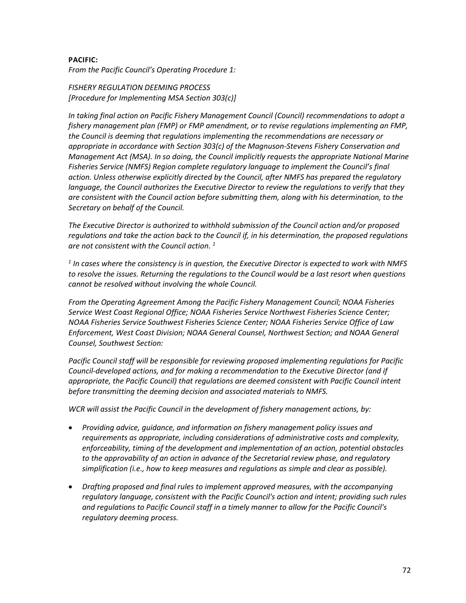### **PACIFIC:**

*From the Pacific Council's Operating Procedure 1:*

*FISHERY REGULATION DEEMING PROCESS [Procedure for Implementing MSA Section 303(c)]*

*In taking final action on Pacific Fishery Management Council (Council) recommendations to adopt a fishery management plan (FMP) or FMP amendment, or to revise regulations implementing an FMP, the Council is deeming that regulations implementing the recommendations are necessary or appropriate in accordance with Section 303(c) of the Magnuson-Stevens Fishery Conservation and Management Act (MSA). In so doing, the Council implicitly requests the appropriate National Marine Fisheries Service (NMFS) Region complete regulatory language to implement the Council's final action. Unless otherwise explicitly directed by the Council, after NMFS has prepared the regulatory language, the Council authorizes the Executive Director to review the regulations to verify that they are consistent with the Council action before submitting them, along with his determination, to the Secretary on behalf of the Council.*

*The Executive Director is authorized to withhold submission of the Council action and/or proposed regulations and take the action back to the Council if, in his determination, the proposed regulations are not consistent with the Council action. 1*

*<sup>1</sup> In cases where the consistency is in question, the Executive Director is expected to work with NMFS to resolve the issues. Returning the regulations to the Council would be a last resort when questions cannot be resolved without involving the whole Council.*

*From the Operating Agreement Among the Pacific Fishery Management Council; NOAA Fisheries Service West Coast Regional Office; NOAA Fisheries Service Northwest Fisheries Science Center; NOAA Fisheries Service Southwest Fisheries Science Center; NOAA Fisheries Service Office of Law Enforcement, West Coast Division; NOAA General Counsel, Northwest Section; and NOAA General Counsel, Southwest Section:*

*Pacific Council staff will be responsible for reviewing proposed implementing regulations for Pacific Council-developed actions, and for making a recommendation to the Executive Director (and if appropriate, the Pacific Council) that regulations are deemed consistent with Pacific Council intent before transmitting the deeming decision and associated materials to NMFS.*

*WCR will assist the Pacific Council in the development of fishery management actions, by:*

- *Providing advice, guidance, and information on fishery management policy issues and requirements as appropriate, including considerations of administrative costs and complexity, enforceability, timing of the development and implementation of an action, potential obstacles to the approvability of an action in advance of the Secretarial review phase, and regulatory simplification (i.e., how to keep measures and regulations as simple and clear as possible).*
- *Drafting proposed and final rules to implement approved measures, with the accompanying regulatory language, consistent with the Pacific Council's action and intent; providing such rules and regulations to Pacific Council staff in a timely manner to allow for the Pacific Council's regulatory deeming process.*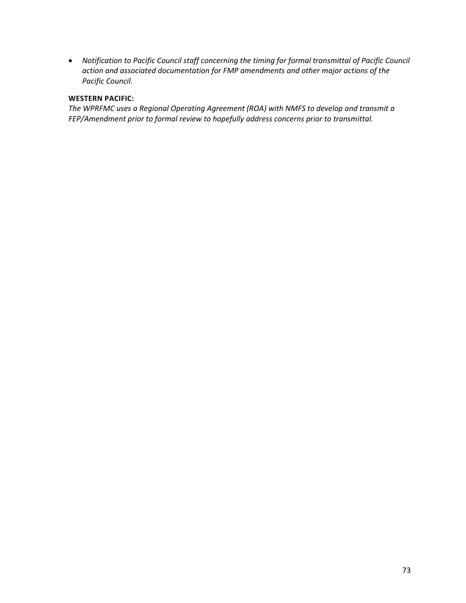• *Notification to Pacific Council staff concerning the timing for formal transmittal of Pacific Council action and associated documentation for FMP amendments and other major actions of the Pacific Council.*

### **WESTERN PACIFIC:**

*The WPRFMC uses a Regional Operating Agreement (ROA) with NMFS to develop and transmit a FEP/Amendment prior to formal review to hopefully address concerns prior to transmittal.*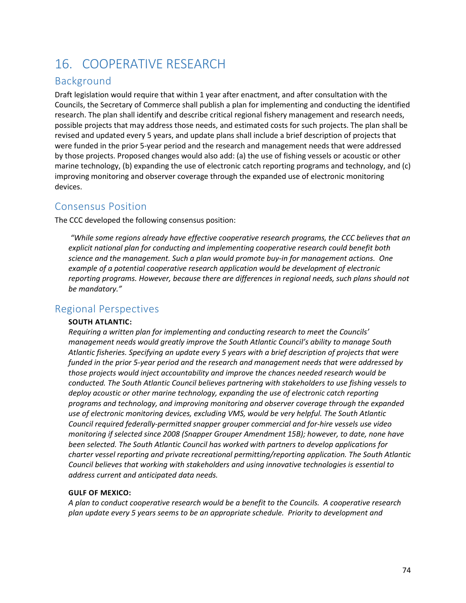# 16. COOPERATIVE RESEARCH

## Background

Draft legislation would require that within 1 year after enactment, and after consultation with the Councils, the Secretary of Commerce shall publish a plan for implementing and conducting the identified research. The plan shall identify and describe critical regional fishery management and research needs, possible projects that may address those needs, and estimated costs for such projects. The plan shall be revised and updated every 5 years, and update plans shall include a brief description of projects that were funded in the prior 5-year period and the research and management needs that were addressed by those projects. Proposed changes would also add: (a) the use of fishing vessels or acoustic or other marine technology, (b) expanding the use of electronic catch reporting programs and technology, and (c) improving monitoring and observer coverage through the expanded use of electronic monitoring devices.

### Consensus Position

The CCC developed the following consensus position:

*"While some regions already have effective cooperative research programs, the CCC believes that an explicit national plan for conducting and implementing cooperative research could benefit both science and the management. Such a plan would promote buy-in for management actions. One example of a potential cooperative research application would be development of electronic reporting programs. However, because there are differences in regional needs, such plans should not be mandatory."*

### Regional Perspectives

#### **SOUTH ATLANTIC:**

*Requiring a written plan for implementing and conducting research to meet the Councils' management needs would greatly improve the South Atlantic Council's ability to manage South Atlantic fisheries. Specifying an update every 5 years with a brief description of projects that were funded in the prior 5-year period and the research and management needs that were addressed by those projects would inject accountability and improve the chances needed research would be conducted. The South Atlantic Council believes partnering with stakeholders to use fishing vessels to*  deploy acoustic or other marine technology, expanding the use of electronic catch reporting *programs and technology, and improving monitoring and observer coverage through the expanded use of electronic monitoring devices, excluding VMS, would be very helpful. The South Atlantic Council required federally-permitted snapper grouper commercial and for-hire vessels use video monitoring if selected since 2008 (Snapper Grouper Amendment 15B); however, to date, none have been selected. The South Atlantic Council has worked with partners to develop applications for charter vessel reporting and private recreational permitting/reporting application. The South Atlantic Council believes that working with stakeholders and using innovative technologies is essential to address current and anticipated data needs.*

#### **GULF OF MEXICO:**

*A plan to conduct cooperative research would be a benefit to the Councils. A cooperative research plan update every 5 years seems to be an appropriate schedule. Priority to development and*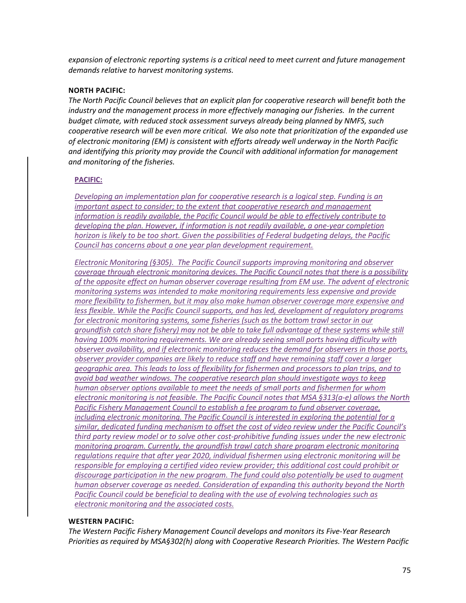*expansion of electronic reporting systems is a critical need to meet current and future management demands relative to harvest monitoring systems.*

#### **NORTH PACIFIC:**

*The North Pacific Council believes that an explicit plan for cooperative research will benefit both the*  industry and the management process in more effectively managing our fisheries. In the current *budget climate, with reduced stock assessment surveys already being planned by NMFS, such cooperative research will be even more critical. We also note that prioritization of the expanded use of electronic monitoring (EM) is consistent with efforts already well underway in the North Pacific and identifying this priority may provide the Council with additional information for management and monitoring of the fisheries.*

#### **PACIFIC:**

*Developing an implementation plan for cooperative research is a logical step. Funding is an important aspect to consider; to the extent that cooperative research and management information is readily available, the Pacific Council would be able to effectively contribute to developing the plan. However, if information is not readily available, a one-year completion horizon is likely to be too short. Given the possibilities of Federal budgeting delays, the Pacific Council has concerns about a one year plan development requirement.* 

*Electronic Monitoring (§305). The Pacific Council supports improving monitoring and observer coverage through electronic monitoring devices. The Pacific Council notes that there is a possibility of the opposite effect on human observer coverage resulting from EM use. The advent of electronic monitoring systems was intended to make monitoring requirements less expensive and provide more flexibility to fishermen, but it may also make human observer coverage more expensive and less flexible. While the Pacific Council supports, and has led, development of regulatory programs for electronic monitoring systems, some fisheries (such as the bottom trawl sector in our groundfish catch share fishery) may not be able to take full advantage of these systems while still having 100% monitoring requirements. We are already seeing small ports having difficulty with observer availability, and if electronic monitoring reduces the demand for observers in those ports, observer provider companies are likely to reduce staff and have remaining staff cover a larger geographic area. This leads to loss of flexibility for fishermen and processors to plan trips, and to avoid bad weather windows. The cooperative research plan should investigate ways to keep human observer options available to meet the needs of small ports and fishermen for whom electronic monitoring is not feasible. The Pacific Council notes that MSA §313(a-e) allows the North Pacific Fishery Management Council to establish a fee program to fund observer coverage, including electronic monitoring. The Pacific Council is interested in exploring the potential for a similar, dedicated funding mechanism to offset the cost of video review under the Pacific Council's third party review model or to solve other cost-prohibitive funding issues under the new electronic monitoring program. Currently, the groundfish trawl catch share program electronic monitoring regulations require that after year 2020, individual fishermen using electronic monitoring will be responsible for employing a certified video review provider; this additional cost could prohibit or discourage participation in the new program. The fund could also potentially be used to augment human observer coverage as needed. Consideration of expanding this authority beyond the North Pacific Council could be beneficial to dealing with the use of evolving technologies such as electronic monitoring and the associated costs.*

#### **WESTERN PACIFIC:**

*The Western Pacific Fishery Management Council develops and monitors its Five-Year Research Priorities as required by MSA§302(h) along with Cooperative Research Priorities. The Western Pacific*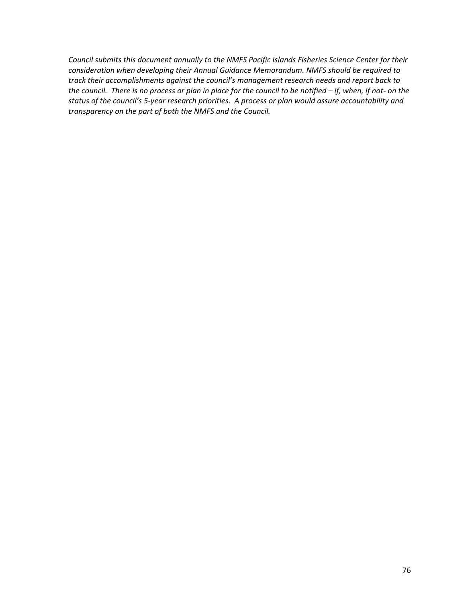*Council submits this document annually to the NMFS Pacific Islands Fisheries Science Center for their consideration when developing their Annual Guidance Memorandum. NMFS should be required to track their accomplishments against the council's management research needs and report back to the council. There is no process or plan in place for the council to be notified – if, when, if not- on the status of the council's 5-year research priorities. A process or plan would assure accountability and transparency on the part of both the NMFS and the Council.*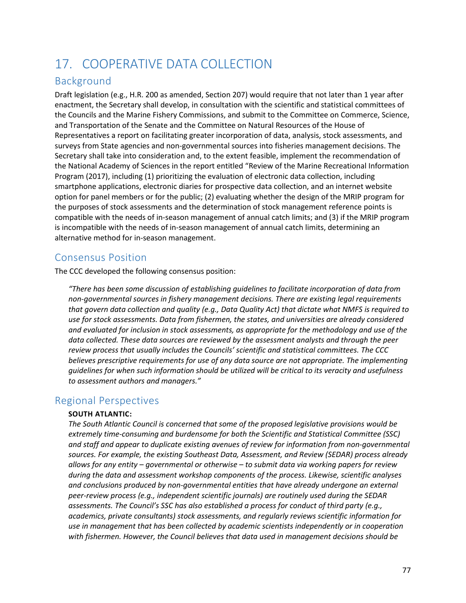# 17. COOPERATIVE DATA COLLECTION

## Background

Draft legislation (e.g., H.R. 200 as amended, Section 207) would require that not later than 1 year after enactment, the Secretary shall develop, in consultation with the scientific and statistical committees of the Councils and the Marine Fishery Commissions, and submit to the Committee on Commerce, Science, and Transportation of the Senate and the Committee on Natural Resources of the House of Representatives a report on facilitating greater incorporation of data, analysis, stock assessments, and surveys from State agencies and non-governmental sources into fisheries management decisions. The Secretary shall take into consideration and, to the extent feasible, implement the recommendation of the National Academy of Sciences in the report entitled "Review of the Marine Recreational Information Program (2017), including (1) prioritizing the evaluation of electronic data collection, including smartphone applications, electronic diaries for prospective data collection, and an internet website option for panel members or for the public; (2) evaluating whether the design of the MRIP program for the purposes of stock assessments and the determination of stock management reference points is compatible with the needs of in-season management of annual catch limits; and (3) if the MRIP program is incompatible with the needs of in-season management of annual catch limits, determining an alternative method for in-season management.

## Consensus Position

The CCC developed the following consensus position:

*"There has been some discussion of establishing guidelines to facilitate incorporation of data from non-governmental sources in fishery management decisions. There are existing legal requirements that govern data collection and quality (e.g., Data Quality Act) that dictate what NMFS is required to use for stock assessments. Data from fishermen, the states, and universities are already considered and evaluated for inclusion in stock assessments, as appropriate for the methodology and use of the data collected. These data sources are reviewed by the assessment analysts and through the peer review process that usually includes the Councils' scientific and statistical committees. The CCC believes prescriptive requirements for use of any data source are not appropriate. The implementing guidelines for when such information should be utilized will be critical to its veracity and usefulness to assessment authors and managers."*

### Regional Perspectives

### **SOUTH ATLANTIC:**

*The South Atlantic Council is concerned that some of the proposed legislative provisions would be extremely time-consuming and burdensome for both the Scientific and Statistical Committee (SSC) and staff and appear to duplicate existing avenues of review for information from non-governmental sources. For example, the existing Southeast Data, Assessment, and Review (SEDAR) process already allows for any entity – governmental or otherwise – to submit data via working papers for review during the data and assessment workshop components of the process. Likewise, scientific analyses*  and conclusions produced by non-governmental entities that have already undergone an external *peer-review process (e.g., independent scientific journals) are routinely used during the SEDAR assessments. The Council's SSC has also established a process for conduct of third party (e.g., academics, private consultants) stock assessments, and regularly reviews scientific information for use in management that has been collected by academic scientists independently or in cooperation with fishermen. However, the Council believes that data used in management decisions should be*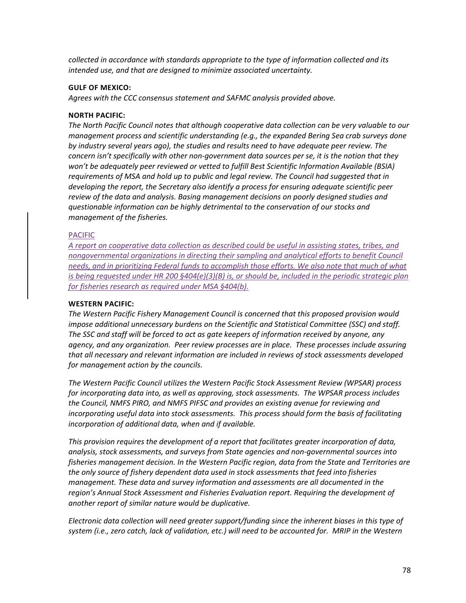*collected in accordance with standards appropriate to the type of information collected and its intended use, and that are designed to minimize associated uncertainty.*

#### **GULF OF MEXICO:**

*Agrees with the CCC consensus statement and SAFMC analysis provided above.*

#### **NORTH PACIFIC:**

*The North Pacific Council notes that although cooperative data collection can be very valuable to our management process and scientific understanding (e.g., the expanded Bering Sea crab surveys done by industry several years ago), the studies and results need to have adequate peer review. The concern isn't specifically with other non-government data sources per se, it is the notion that they won't be adequately peer reviewed or vetted to fulfill Best Scientific Information Available (BSIA) requirements of MSA and hold up to public and legal review. The Council had suggested that in developing the report, the Secretary also identify a process for ensuring adequate scientific peer review of the data and analysis. Basing management decisions on poorly designed studies and questionable information can be highly detrimental to the conservation of our stocks and management of the fisheries.*

#### PACIFIC

*A report on cooperative data collection as described could be useful in assisting states, tribes, and nongovernmental organizations in directing their sampling and analytical efforts to benefit Council needs, and in prioritizing Federal funds to accomplish those efforts. We also note that much of what is being requested under HR 200 §404(e)(3)(B) is, or should be, included in the periodic strategic plan for fisheries research as required under MSA §404(b).*

#### **WESTERN PACIFIC:**

*The Western Pacific Fishery Management Council is concerned that this proposed provision would impose additional unnecessary burdens on the Scientific and Statistical Committee (SSC) and staff. The SSC and staff will be forced to act as gate keepers of information received by anyone, any agency, and any organization. Peer review processes are in place. These processes include assuring that all necessary and relevant information are included in reviews of stock assessments developed for management action by the councils.* 

*The Western Pacific Council utilizes the Western Pacific Stock Assessment Review (WPSAR) process for incorporating data into, as well as approving, stock assessments. The WPSAR process includes the Council, NMFS PIRO, and NMFS PIFSC and provides an existing avenue for reviewing and incorporating useful data into stock assessments. This process should form the basis of facilitating incorporation of additional data, when and if available.* 

*This provision requires the development of a report that facilitates greater incorporation of data, analysis, stock assessments, and surveys from State agencies and non-governmental sources into fisheries management decision. In the Western Pacific region, data from the State and Territories are the only source of fishery dependent data used in stock assessments that feed into fisheries management. These data and survey information and assessments are all documented in the region's Annual Stock Assessment and Fisheries Evaluation report. Requiring the development of another report of similar nature would be duplicative.*

*Electronic data collection will need greater support/funding since the inherent biases in this type of system (i.e., zero catch, lack of validation, etc.) will need to be accounted for. MRIP in the Western*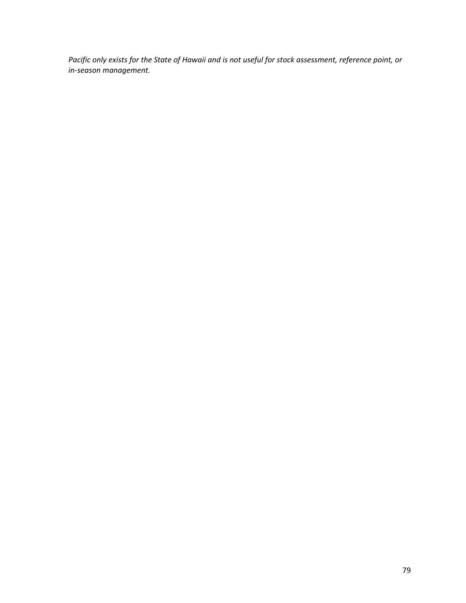*Pacific only exists for the State of Hawaii and is not useful for stock assessment, reference point, or in-season management.*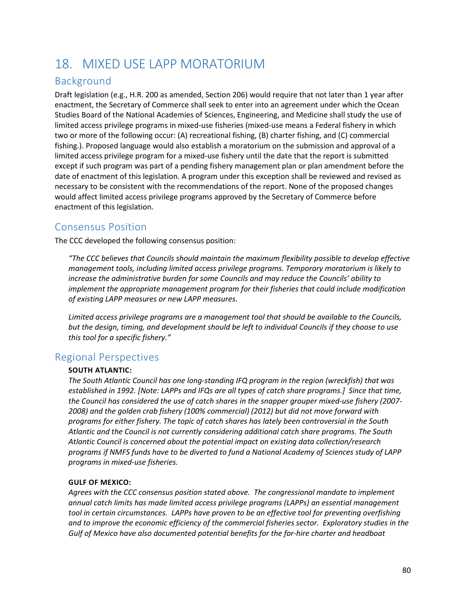# 18. MIXED USE LAPP MORATORIUM

## Background

Draft legislation (e.g., H.R. 200 as amended, Section 206) would require that not later than 1 year after enactment, the Secretary of Commerce shall seek to enter into an agreement under which the Ocean Studies Board of the National Academies of Sciences, Engineering, and Medicine shall study the use of limited access privilege programs in mixed-use fisheries (mixed-use means a Federal fishery in which two or more of the following occur: (A) recreational fishing, (B) charter fishing, and (C) commercial fishing.). Proposed language would also establish a moratorium on the submission and approval of a limited access privilege program for a mixed-use fishery until the date that the report is submitted except if such program was part of a pending fishery management plan or plan amendment before the date of enactment of this legislation. A program under this exception shall be reviewed and revised as necessary to be consistent with the recommendations of the report. None of the proposed changes would affect limited access privilege programs approved by the Secretary of Commerce before enactment of this legislation.

## Consensus Position

The CCC developed the following consensus position:

*"The CCC believes that Councils should maintain the maximum flexibility possible to develop effective management tools, including limited access privilege programs. Temporary moratorium is likely to increase the administrative burden for some Councils and may reduce the Councils' ability to implement the appropriate management program for their fisheries that could include modification of existing LAPP measures or new LAPP measures.*

*Limited access privilege programs are a management tool that should be available to the Councils, but the design, timing, and development should be left to individual Councils if they choose to use this tool for a specific fishery."*

### Regional Perspectives

### **SOUTH ATLANTIC:**

*The South Atlantic Council has one long-standing IFQ program in the region (wreckfish) that was established in 1992. [Note: LAPPs and IFQs are all types of catch share programs.] Since that time, the Council has considered the use of catch shares in the snapper grouper mixed-use fishery (2007- 2008) and the golden crab fishery (100% commercial) (2012) but did not move forward with programs for either fishery. The topic of catch shares has lately been controversial in the South Atlantic and the Council is not currently considering additional catch share programs. The South Atlantic Council is concerned about the potential impact on existing data collection/research programs if NMFS funds have to be diverted to fund a National Academy of Sciences study of LAPP programs in mixed-use fisheries.* 

### **GULF OF MEXICO:**

*Agrees with the CCC consensus position stated above. The congressional mandate to implement annual catch limits has made limited access privilege programs (LAPPs) an essential management*  tool in certain circumstances. LAPPs have proven to be an effective tool for preventing overfishing *and to improve the economic efficiency of the commercial fisheries sector. Exploratory studies in the Gulf of Mexico have also documented potential benefits for the for-hire charter and headboat*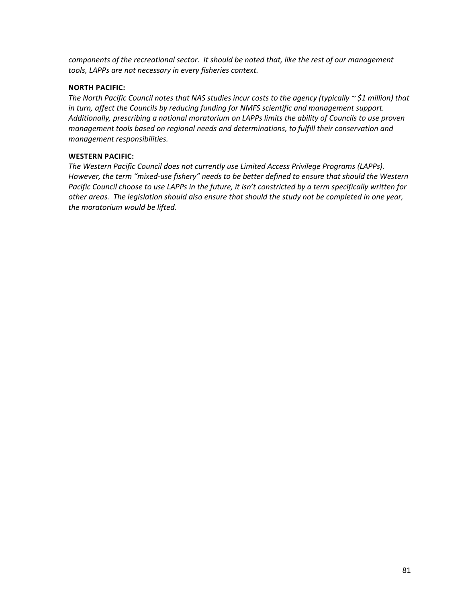*components of the recreational sector. It should be noted that, like the rest of our management tools, LAPPs are not necessary in every fisheries context.*

#### **NORTH PACIFIC:**

*The North Pacific Council notes that NAS studies incur costs to the agency (typically ~ \$1 million) that in turn, affect the Councils by reducing funding for NMFS scientific and management support. Additionally, prescribing a national moratorium on LAPPs limits the ability of Councils to use proven management tools based on regional needs and determinations, to fulfill their conservation and management responsibilities.*

#### **WESTERN PACIFIC:**

*The Western Pacific Council does not currently use Limited Access Privilege Programs (LAPPs). However, the term "mixed-use fishery" needs to be better defined to ensure that should the Western Pacific Council choose to use LAPPs in the future, it isn't constricted by a term specifically written for other areas. The legislation should also ensure that should the study not be completed in one year, the moratorium would be lifted.*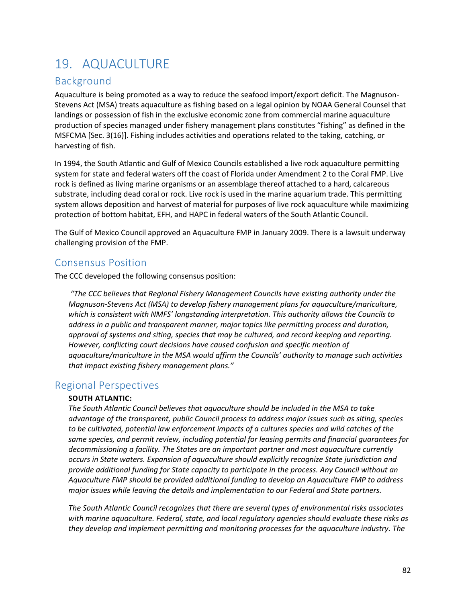# 19. AQUACULTURE

## Background

Aquaculture is being promoted as a way to reduce the seafood import/export deficit. The Magnuson-Stevens Act (MSA) treats aquaculture as fishing based on a legal opinion by NOAA General Counsel that landings or possession of fish in the exclusive economic zone from commercial marine aquaculture production of species managed under fishery management plans constitutes "fishing" as defined in the MSFCMA [Sec. 3(16)]. Fishing includes activities and operations related to the taking, catching, or harvesting of fish.

In 1994, the South Atlantic and Gulf of Mexico Councils established a live rock aquaculture permitting system for state and federal waters off the coast of Florida under Amendment 2 to the Coral FMP. Live rock is defined as living marine organisms or an assemblage thereof attached to a hard, calcareous substrate, including dead coral or rock. Live rock is used in the marine aquarium trade. This permitting system allows deposition and harvest of material for purposes of live rock aquaculture while maximizing protection of bottom habitat, EFH, and HAPC in federal waters of the South Atlantic Council.

The Gulf of Mexico Council approved an Aquaculture FMP in January 2009. There is a lawsuit underway challenging provision of the FMP.

### Consensus Position

The CCC developed the following consensus position:

*"The CCC believes that Regional Fishery Management Councils have existing authority under the Magnuson-Stevens Act (MSA) to develop fishery management plans for aquaculture/mariculture, which is consistent with NMFS' longstanding interpretation. This authority allows the Councils to address in a public and transparent manner, major topics like permitting process and duration, approval of systems and siting, species that may be cultured, and record keeping and reporting.*  However, conflicting court decisions have caused confusion and specific mention of *aquaculture/mariculture in the MSA would affirm the Councils' authority to manage such activities that impact existing fishery management plans."*

### Regional Perspectives

### **SOUTH ATLANTIC:**

*The South Atlantic Council believes that aquaculture should be included in the MSA to take advantage of the transparent, public Council process to address major issues such as siting, species to be cultivated, potential law enforcement impacts of a cultures species and wild catches of the same species, and permit review, including potential for leasing permits and financial guarantees for decommissioning a facility. The States are an important partner and most aquaculture currently occurs in State waters. Expansion of aquaculture should explicitly recognize State jurisdiction and provide additional funding for State capacity to participate in the process. Any Council without an Aquaculture FMP should be provided additional funding to develop an Aquaculture FMP to address major issues while leaving the details and implementation to our Federal and State partners.*

*The South Atlantic Council recognizes that there are several types of environmental risks associates with marine aquaculture. Federal, state, and local regulatory agencies should evaluate these risks as they develop and implement permitting and monitoring processes for the aquaculture industry. The*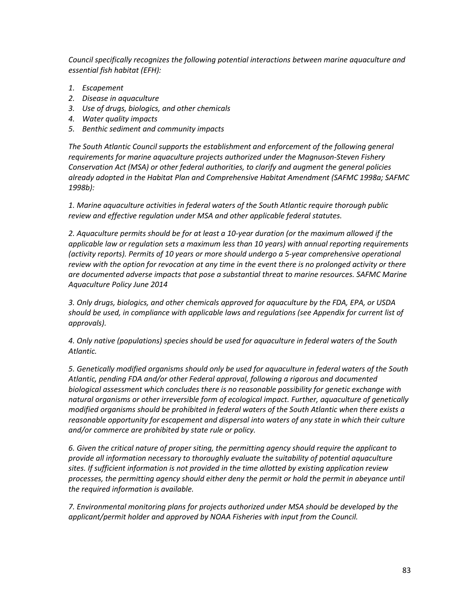*Council specifically recognizes the following potential interactions between marine aquaculture and essential fish habitat (EFH):*

- *1. Escapement*
- *2. Disease in aquaculture*
- *3. Use of drugs, biologics, and other chemicals*
- *4. Water quality impacts*
- *5. Benthic sediment and community impacts*

*The South Atlantic Council supports the establishment and enforcement of the following general requirements for marine aquaculture projects authorized under the Magnuson-Steven Fishery Conservation Act (MSA) or other federal authorities, to clarify and augment the general policies already adopted in the Habitat Plan and Comprehensive Habitat Amendment (SAFMC 1998a; SAFMC 1998b):* 

*1. Marine aquaculture activities in federal waters of the South Atlantic require thorough public review and effective regulation under MSA and other applicable federal statutes.* 

*2. Aquaculture permits should be for at least a 10-year duration (or the maximum allowed if the applicable law or regulation sets a maximum less than 10 years) with annual reporting requirements (activity reports). Permits of 10 years or more should undergo a 5-year comprehensive operational review with the option for revocation at any time in the event there is no prolonged activity or there are documented adverse impacts that pose a substantial threat to marine resources. SAFMC Marine Aquaculture Policy June 2014* 

*3. Only drugs, biologics, and other chemicals approved for aquaculture by the FDA, EPA, or USDA should be used, in compliance with applicable laws and regulations (see Appendix for current list of approvals).* 

*4. Only native (populations) species should be used for aquaculture in federal waters of the South Atlantic.* 

*5. Genetically modified organisms should only be used for aquaculture in federal waters of the South Atlantic, pending FDA and/or other Federal approval, following a rigorous and documented biological assessment which concludes there is no reasonable possibility for genetic exchange with natural organisms or other irreversible form of ecological impact. Further, aquaculture of genetically modified organisms should be prohibited in federal waters of the South Atlantic when there exists a reasonable opportunity for escapement and dispersal into waters of any state in which their culture and/or commerce are prohibited by state rule or policy.* 

*6. Given the critical nature of proper siting, the permitting agency should require the applicant to provide all information necessary to thoroughly evaluate the suitability of potential aquaculture sites. If sufficient information is not provided in the time allotted by existing application review processes, the permitting agency should either deny the permit or hold the permit in abeyance until the required information is available.* 

*7. Environmental monitoring plans for projects authorized under MSA should be developed by the applicant/permit holder and approved by NOAA Fisheries with input from the Council.*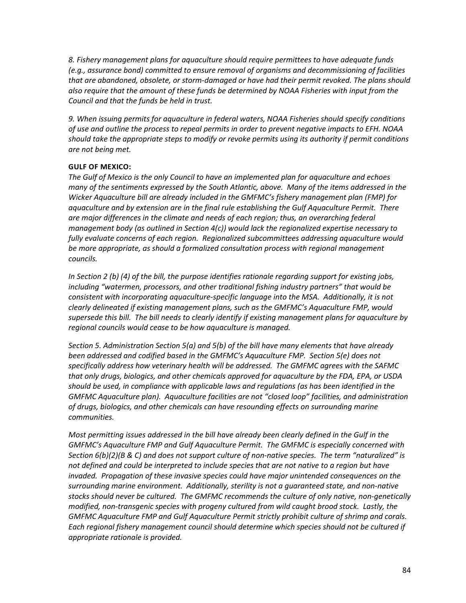*8. Fishery management plans for aquaculture should require permittees to have adequate funds (e.g., assurance bond) committed to ensure removal of organisms and decommissioning of facilities that are abandoned, obsolete, or storm-damaged or have had their permit revoked. The plans should also require that the amount of these funds be determined by NOAA Fisheries with input from the Council and that the funds be held in trust.* 

*9. When issuing permits for aquaculture in federal waters, NOAA Fisheries should specify conditions of use and outline the process to repeal permits in order to prevent negative impacts to EFH. NOAA should take the appropriate steps to modify or revoke permits using its authority if permit conditions are not being met.*

#### **GULF OF MEXICO:**

*The Gulf of Mexico is the only Council to have an implemented plan for aquaculture and echoes many of the sentiments expressed by the South Atlantic, above. Many of the items addressed in the Wicker Aquaculture bill are already included in the GMFMC's fishery management plan (FMP) for aquaculture and by extension are in the final rule establishing the Gulf Aquaculture Permit. There are major differences in the climate and needs of each region; thus, an overarching federal management body (as outlined in Section 4(c)) would lack the regionalized expertise necessary to fully evaluate concerns of each region. Regionalized subcommittees addressing aquaculture would be more appropriate, as should a formalized consultation process with regional management councils.* 

*In Section 2 (b) (4) of the bill, the purpose identifies rationale regarding support for existing jobs, including "watermen, processors, and other traditional fishing industry partners" that would be consistent with incorporating aquaculture-specific language into the MSA. Additionally, it is not clearly delineated if existing management plans, such as the GMFMC's Aquaculture FMP, would supersede this bill. The bill needs to clearly identify if existing management plans for aquaculture by regional councils would cease to be how aquaculture is managed.* 

*Section 5. Administration Section 5(a) and 5(b) of the bill have many elements that have already been addressed and codified based in the GMFMC's Aquaculture FMP. Section 5(e) does not specifically address how veterinary health will be addressed. The GMFMC agrees with the SAFMC that only drugs, biologics, and other chemicals approved for aquaculture by the FDA, EPA, or USDA should be used, in compliance with applicable laws and regulations (as has been identified in the GMFMC Aquaculture plan). Aquaculture facilities are not "closed loop" facilities, and administration of drugs, biologics, and other chemicals can have resounding effects on surrounding marine communities.* 

*Most permitting issues addressed in the bill have already been clearly defined in the Gulf in the GMFMC's Aquaculture FMP and Gulf Aquaculture Permit. The GMFMC is especially concerned with Section 6(b)(2)(B & C) and does not support culture of non-native species. The term "naturalized" is not defined and could be interpreted to include species that are not native to a region but have invaded. Propagation of these invasive species could have major unintended consequences on the surrounding marine environment. Additionally, sterility is not a guaranteed state, and non-native stocks should never be cultured. The GMFMC recommends the culture of only native, non-genetically modified, non-transgenic species with progeny cultured from wild caught brood stock. Lastly, the GMFMC Aquaculture FMP and Gulf Aquaculture Permit strictly prohibit culture of shrimp and corals. Each regional fishery management council should determine which species should not be cultured if appropriate rationale is provided.*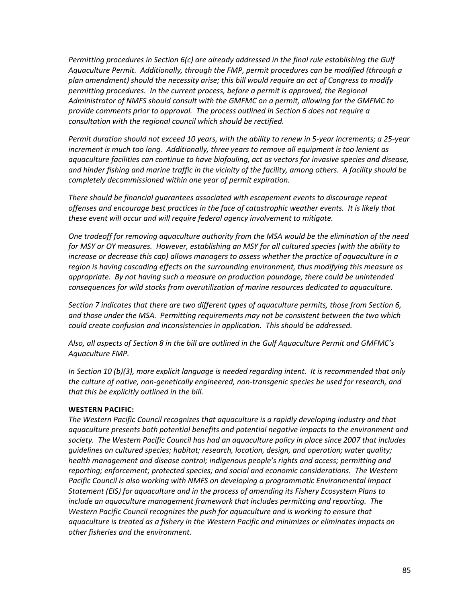*Permitting procedures in Section 6(c) are already addressed in the final rule establishing the Gulf Aquaculture Permit. Additionally, through the FMP, permit procedures can be modified (through a plan amendment) should the necessity arise; this bill would require an act of Congress to modify permitting procedures. In the current process, before a permit is approved, the Regional Administrator of NMFS should consult with the GMFMC on a permit, allowing for the GMFMC to provide comments prior to approval. The process outlined in Section 6 does not require a consultation with the regional council which should be rectified.* 

*Permit duration should not exceed 10 years, with the ability to renew in 5-year increments; a 25-year increment is much too long. Additionally, three years to remove all equipment is too lenient as aquaculture facilities can continue to have biofouling, act as vectors for invasive species and disease, and hinder fishing and marine traffic in the vicinity of the facility, among others. A facility should be completely decommissioned within one year of permit expiration.* 

*There should be financial guarantees associated with escapement events to discourage repeat offenses and encourage best practices in the face of catastrophic weather events. It is likely that these event will occur and will require federal agency involvement to mitigate.* 

*One tradeoff for removing aquaculture authority from the MSA would be the elimination of the need for MSY or OY measures. However, establishing an MSY for all cultured species (with the ability to increase or decrease this cap) allows managers to assess whether the practice of aquaculture in a region is having cascading effects on the surrounding environment, thus modifying this measure as appropriate. By not having such a measure on production poundage, there could be unintended consequences for wild stocks from overutilization of marine resources dedicated to aquaculture.* 

*Section 7 indicates that there are two different types of aquaculture permits, those from Section 6, and those under the MSA. Permitting requirements may not be consistent between the two which could create confusion and inconsistencies in application. This should be addressed.*

*Also, all aspects of Section 8 in the bill are outlined in the Gulf Aquaculture Permit and GMFMC's Aquaculture FMP.*

*In Section 10 (b)(3), more explicit language is needed regarding intent. It is recommended that only the culture of native, non-genetically engineered, non-transgenic species be used for research, and that this be explicitly outlined in the bill.*

#### **WESTERN PACIFIC:**

*The Western Pacific Council recognizes that aquaculture is a rapidly developing industry and that aquaculture presents both potential benefits and potential negative impacts to the environment and society. The Western Pacific Council has had an aquaculture policy in place since 2007 that includes guidelines on cultured species; habitat; research, location, design, and operation; water quality; health management and disease control; indigenous people's rights and access; permitting and reporting; enforcement; protected species; and social and economic considerations. The Western Pacific Council is also working with NMFS on developing a programmatic Environmental Impact Statement (EIS) for aquaculture and in the process of amending its Fishery Ecosystem Plans to include an aquaculture management framework that includes permitting and reporting. The Western Pacific Council recognizes the push for aquaculture and is working to ensure that aquaculture is treated as a fishery in the Western Pacific and minimizes or eliminates impacts on other fisheries and the environment.*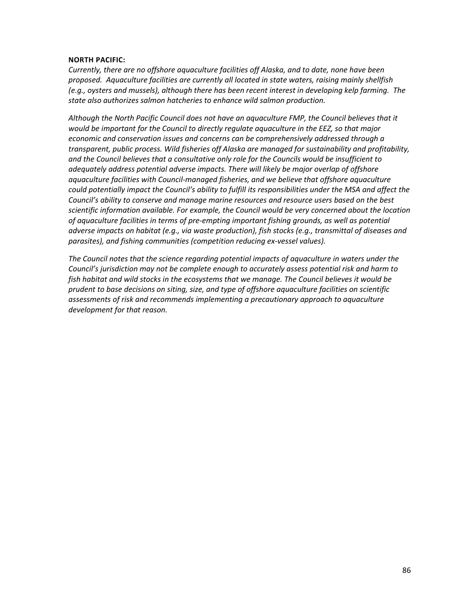#### **NORTH PACIFIC:**

*Currently, there are no offshore aquaculture facilities off Alaska, and to date, none have been proposed. Aquaculture facilities are currently all located in state waters, raising mainly shellfish (e.g., oysters and mussels), although there has been recent interest in developing kelp farming. The state also authorizes salmon hatcheries to enhance wild salmon production.*

*Although the North Pacific Council does not have an aquaculture FMP, the Council believes that it would be important for the Council to directly regulate aquaculture in the EEZ, so that major economic and conservation issues and concerns can be comprehensively addressed through a transparent, public process. Wild fisheries off Alaska are managed for sustainability and profitability, and the Council believes that a consultative only role for the Councils would be insufficient to adequately address potential adverse impacts. There will likely be major overlap of offshore aquaculture facilities with Council-managed fisheries, and we believe that offshore aquaculture could potentially impact the Council's ability to fulfill its responsibilities under the MSA and affect the Council's ability to conserve and manage marine resources and resource users based on the best scientific information available. For example, the Council would be very concerned about the location of aquaculture facilities in terms of pre-empting important fishing grounds, as well as potential adverse impacts on habitat (e.g., via waste production), fish stocks (e.g., transmittal of diseases and parasites), and fishing communities (competition reducing ex-vessel values).* 

*The Council notes that the science regarding potential impacts of aquaculture in waters under the Council's jurisdiction may not be complete enough to accurately assess potential risk and harm to fish habitat and wild stocks in the ecosystems that we manage. The Council believes it would be prudent to base decisions on siting, size, and type of offshore aquaculture facilities on scientific assessments of risk and recommends implementing a precautionary approach to aquaculture development for that reason.*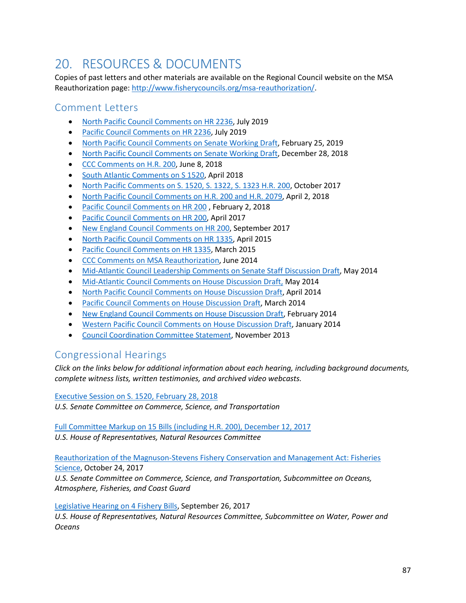# 20. RESOURCES & DOCUMENTS

Copies of past letters and other materials are available on the Regional Council website on the MSA Reauthorization page: [http://www.fisherycouncils.org/msa-reauthorization/.](http://www.fisherycouncils.org/msa-reauthorization/)

### Comment Letters

- [North Pacific Council Comments on HR 2236,](https://www.npfmc.org/wp-content/PDFdocuments/CM/2019/062819/062819_ForageFishCommentLtr.pdf) July 2019
- [Pacific Council Comments on HR 2236,](https://www.pcouncil.org/wp-content/uploads/2019/07/CantwellForageFishLtr71119.pdf) July 2019
- [North Pacific Council Comments on Senate Working Draft,](http://www.npfmc.org/wp-content/PDFdocuments/CM/2019/031219/022519_NPFMCadditionalCommentMSA.pdf) February 25, 2019
- [North Pacific Council Comments on Senate Working Draft,](http://www.npfmc.org/wp-content/PDFdocuments/CM/2019/010219/NPFMC_MSA.pdf) December 28, 2018
- [CCC Comments on H.R. 200,](http://www.fisherycouncils.org/s/060818_CCC_CongressmanYoung.pdf) June 8, 2018
- [South Atlantic Comments on S 1520,](http://www.fisherycouncils.org/s/L-CP-SenatorSWcott043018withAttachments.pdf) April 2018
- [North Pacific Comments on S. 1520, S. 1322, S. 1323 H.R. 200,](https://www.npfmc.org/wp-content/PDFdocuments/CM/2017/101817/10Oct_SullivanLegislativeLtr.pdf) October 2017
- North Pacific Council Comments on H.R. 200 and H.R. 2079, April 2, 2018
- [Pacific Council Comments on HR 200](https://www.pcouncil.org/wp-content/uploads/2018/02/Shrader-HR-200-ANS-Comments-020218.pdf) , February 2, 2018
- [Pacific Council Comments on HR 200,](http://www.fisherycouncils.org/s/2017-04-Pacific-Council-Comments-on-HR200.pdf) April 2017
- [New England Council Comments on HR 200,](http://www.fisherycouncils.org/s/170929_NEFMC-toThe-Honorable-Seth-Moulton_Reply.pdf) September 2017
- [North Pacific Council Comments on HR 1335,](http://www.fisherycouncils.org/s/NPFMCLetter042115.pdf) April 2015
- [Pacific Council Comments on HR 1335,](http://www.fisherycouncils.org/s/PFMCLetter032515.pdf) March 2015
- [CCC Comments on MSA Reauthorization,](http://www.fisherycouncils.org/s/CCC-MSA-Letter-June2014.pdf) June 2014
- [Mid-Atlantic Council Leadership Comments on Senate Staff Discussion Draft,](http://www.fisherycouncils.org/s/MAFMC-Comments-Senate-Discussion-Draft-May2014.pdf) May 2014
- [Mid-Atlantic Council Comments on House Discussion Draft,](http://www.fisherycouncils.org/s/MAFMC-Comments-HR-Discussion-Draft.pdf) May 2014
- [North Pacific Council Comments on House Discussion Draft,](http://www.fisherycouncils.org/s/NPFMC-Comments-HR-Discussion-Draft.pdf) April 2014
- [Pacific Council Comments on House Discussion Draft,](http://www.fisherycouncils.org/s/PFMC-Comments-HR-Discussion-Draft.pdf) March 2014
- [New England Council Comments on House Discussion Draft,](http://www.fisherycouncils.org/s/NEFMC-Comments-HR-Discussion-Draft.pdf) February 2014
- Western [Pacific Council Comments on House Discussion Draft,](http://www.fisherycouncils.org/s/WPFMC-Comments-HR-Discussion-Draft.pdf) January 2014
- [Council Coordination Committee Statement,](http://www.fisherycouncils.org/s/CCC-MSA-Letter-Nov2013.pdf) November 2013

### Congressional Hearings

*Click on the links below for additional information about each hearing, including background documents, complete witness lists, written testimonies, and archived video webcasts.*

[Executive Session on S. 1520, February 28, 2018](https://www.commerce.senate.gov/public/index.cfm/hearings?ID=1E118037-6F65-48A7-A815-4AF889BB4052)

*U.S. Senate Committee on Commerce, Science, and Transportation*

[Full Committee Markup on 15 Bills \(including H.R. 200\), December 12, 2017](https://naturalresources.house.gov/calendar/eventsingle.aspx?EventID=403568)

*U.S. House of Representatives, Natural Resources Committee*

[Reauthorization of the Magnuson-Stevens Fishery Conservation and Management Act: Fisheries](https://www.commerce.senate.gov/public/index.cfm/2017/10/reauthorization-of-the-magnuson-stevens-fishery-conservation-and-management-act-fisheries-science)  [Science,](https://www.commerce.senate.gov/public/index.cfm/2017/10/reauthorization-of-the-magnuson-stevens-fishery-conservation-and-management-act-fisheries-science) October 24, 2017

*U.S. Senate Committee on Commerce, Science, and Transportation, Subcommittee on Oceans, Atmosphere, Fisheries, and Coast Guard*

[Legislative Hearing on 4 Fishery Bills,](https://naturalresources.house.gov/calendar/eventsingle.aspx?EventID=402850) September 26, 2017

*U.S. House of Representatives, Natural Resources Committee, Subcommittee on Water, Power and Oceans*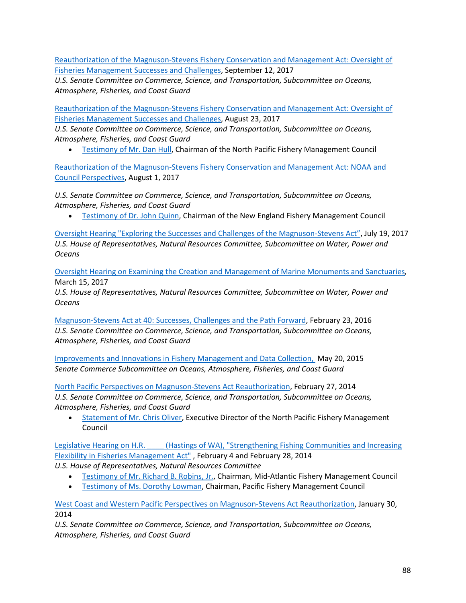[Reauthorization of the Magnuson-Stevens Fishery Conservation and Management Act: Oversight of](https://www.commerce.senate.gov/public/index.cfm/hearings?ID=FA788A8C-2F71-4B09-AFC6-1FE2B120B828)  [Fisheries Management Successes and Challenges,](https://www.commerce.senate.gov/public/index.cfm/hearings?ID=FA788A8C-2F71-4B09-AFC6-1FE2B120B828) September 12, 2017

*U.S. Senate Committee on Commerce, Science, and Transportation, Subcommittee on Oceans, Atmosphere, Fisheries, and Coast Guard*

[Reauthorization of the Magnuson-Stevens Fishery](https://www.commerce.senate.gov/public/index.cfm/2017/8/reauthorization-of-the-magnuson-stevens-fishery-conservation-and-management-act-oversight-of-fisheries-management-successes-and-challenges) Conservation and Management Act: Oversight of [Fisheries Management Successes and Challenges,](https://www.commerce.senate.gov/public/index.cfm/2017/8/reauthorization-of-the-magnuson-stevens-fishery-conservation-and-management-act-oversight-of-fisheries-management-successes-and-challenges) August 23, 2017

*U.S. Senate Committee on Commerce, Science, and Transportation, Subcommittee on Oceans, Atmosphere, Fisheries, and Coast Guard*

• [Testimony of Mr. Dan Hull,](https://www.commerce.senate.gov/public/_cache/files/b1fc0b16-23f4-4acd-bb25-26448b6b2b1e/6AF307FBA48375D860DEDBD117C1B38C.8.23.17---hull-testimony.pdf) Chairman of the North Pacific Fishery Management Council

[Reauthorization of the Magnuson-Stevens Fishery Conservation and Management Act: NOAA and](https://www.commerce.senate.gov/public/index.cfm/hearings?ID=E9AFCF43-4EFC-4F3E-8110-1C3EACCED887)  [Council Perspectives,](https://www.commerce.senate.gov/public/index.cfm/hearings?ID=E9AFCF43-4EFC-4F3E-8110-1C3EACCED887) August 1, 2017

*U.S. Senate Committee on Commerce, Science, and Transportation, Subcommittee on Oceans, Atmosphere, Fisheries, and Coast Guard*

• [Testimony of Dr. John Quinn,](https://www.commerce.senate.gov/public/_cache/files/e64e6dc9-2dfb-4f1c-8e60-424c39307102/981FC50D42378FB2FD3FCFFF08D3EE59.8.01.17-quinn-testimony.pdf) Chairman of the New England Fishery Management Council

[Oversight Hearing "Exploring the Successes and Challenges of the Magnuson-Stevens Act",](https://naturalresources.house.gov/calendar/eventsingle.aspx?EventID=402475) July 19, 2017 *U.S. House of Representatives, Natural Resources Committee, Subcommittee on Water, Power and Oceans*

[Oversight Hearing on Examining the Creation and Management of Marine Monuments and Sanctuaries](http://naturalresources.house.gov/calendar/eventsingle.aspx?EventID=401648)*,*  March 15, 2017

*U.S. House of Representatives, Natural Resources Committee, Subcommittee on Water, Power and Oceans*

[Magnuson-Stevens Act at 40: Successes, Challenges and the Path Forward,](https://www.commerce.senate.gov/public/index.cfm/hearings?ID=6A78AA91-F806-4C75-A0A3-DAC399CEE96B) February 23, 2016 *U.S. Senate Committee on Commerce, Science, and Transportation, Subcommittee on Oceans, Atmosphere, Fisheries, and Coast Guard*

Improvements and [Innovations in Fishery Management and Data Collection,](http://www.commerce.senate.gov/public/index.cfm?p=Hearings&ContentRecord_id=0d31f7df-1cb0-476a-9d64-a848b874b1a7&ContentType_id=14f995b9-dfa5-407a-9d35-56cc7152a7ed&Group_id=b06c39af-e033-4cba-9221-de668ca1978a) May 20, 2015 *Senate Commerce Subcommittee on Oceans, Atmosphere, Fisheries, and Coast Guard*

[North Pacific Perspectives on Magnuson-Stevens Act Reauthorization,](http://www.commerce.senate.gov/public/index.cfm?p=Hearings&ContentRecord_id=8d9327f0-4290-4f29-91d1-4548896cb2a2) February 27, 2014 *U.S. Senate Committee on Commerce, Science, and Transportation, Subcommittee on Oceans, Atmosphere, Fisheries, and Coast Guard*

• [Statement of Mr. Chris Oliver,](http://www.commerce.senate.gov/public/?a=Files.Serve&File_id=be52af53-1a3e-4d5f-8d18-c378cfb8aced) Executive Director of the North Pacific Fishery Management Council

Legislative Hearing on H.R. \_\_\_\_ [\(Hastings of WA\), "Strengthening Fishing Communities and Increasing](http://naturalresources.house.gov/calendar/eventsingle.aspx?EventID=367382)  [Flexibility in Fisheries Management Act"](http://naturalresources.house.gov/calendar/eventsingle.aspx?EventID=367382) , February 4 and February 28, 2014 *U.S. House of Representatives, Natural Resources Committee*

- [Testimony of Mr. Richard B. Robins, Jr.,](http://naturalresources.house.gov/UploadedFiles/RobinsTestimony2-4-14correct.pdf) Chairman, Mid-Atlantic Fishery Management Council
- [Testimony of Ms. Dorothy Lowman,](http://naturalresources.house.gov/uploadedfiles/lowmantestimony2-28-14.pdf) Chairman, Pacific Fishery Management Council

[West Coast and Western Pacific Perspectives on Magnuson-Stevens Act Reauthorization,](http://www.commerce.senate.gov/public/index.cfm?p=Hearings&ContentRecord_id=69e27fe0-6ec9-4cee-91b5-3ed8919f9e46&ContentType_id=14f995b9-dfa5-407a-9d35-56cc7152a7ed&Group_id=b06c39af-e033-4cba-9221-de668ca1978a&MonthDisplay=1&YearDisplay=2014) January 30, 2014

*U.S. Senate Committee on Commerce, Science, and Transportation, Subcommittee on Oceans, Atmosphere, Fisheries, and Coast Guard*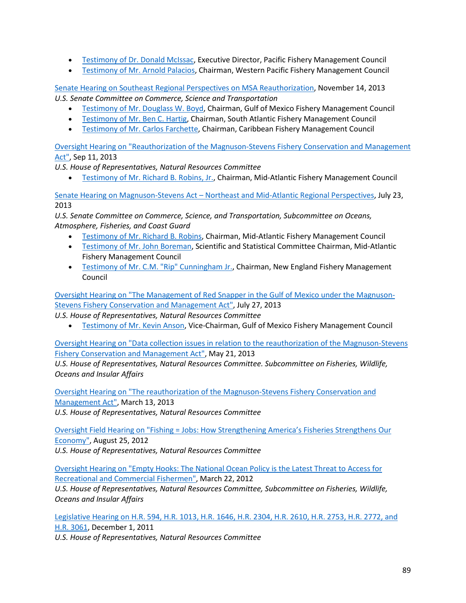- [Testimony of Dr. Donald McIssac,](http://www.commerce.senate.gov/public/?a=Files.Serve&File_id=53dce034-32d3-499b-a4a4-d8758aa678db) Executive Director, Pacific Fishery Management Council
- [Testimony of Mr. Arnold Palacios,](http://www.commerce.senate.gov/public/?a=Files.Serve&File_id=b7160e32-f752-4a2f-923a-58f0b43d1827) Chairman, Western Pacific Fishery Management Council

[Senate Hearing on Southeast Regional Perspectives on MSA Reauthorization,](http://www.commerce.senate.gov/public/index.cfm?p=Hearings&ContentRecord_id=91a44c2f-c224-4a0f-8778-92938b108f47&ContentType_id=14f995b9-dfa5-407a-9d35-56cc7152a7ed&Group_id=b06c39af-e033-4cba-9221-de668ca1978a&MonthDisplay=11&YearDisplay=2013) November 14, 2013 *U.S. Senate Committee on Commerce, Science and Transportation*

- [Testimony of Mr. Douglass W. Boyd,](http://www.commerce.senate.gov/public/?a=Files.Serve&File_id=b32e09e6-0290-46f6-a88b-8ca6d721eb51) Chairman, Gulf of Mexico Fishery Management Council
- [Testimony of Mr. Ben C. Hartig,](http://www.commerce.senate.gov/public/?a=Files.Serve&File_id=a9aa3d89-fad9-4c31-ad8a-bfcc41854b7d) Chairman, South Atlantic Fishery Management Council
- [Testimony of Mr. Carlos Farchette,](http://www.commerce.senate.gov/public/?a=Files.Serve&File_id=b09b0877-001a-4560-846d-eb3fa8c1cd1e) Chairman, Caribbean Fishery Management Council

[Oversight Hearing on "Reauthorization of the Magnuson-Stevens Fishery Conservation and Management](http://naturalresources.house.gov/calendar/EventSingle.aspx?EventID=347456)  [Act",](http://naturalresources.house.gov/calendar/EventSingle.aspx?EventID=347456) Sep 11, 2013

*U.S. House of Representatives, Natural Resources Committee*

• [Testimony of Mr. Richard B. Robins, Jr.,](http://naturalresources.house.gov/UploadedFiles/RobinsTestimony09-11-13.pdf) Chairman, Mid-Atlantic Fishery Management Council

Senate Hearing on Magnuson-Stevens Act – [Northeast and Mid-Atlantic Regional Perspectives,](http://www.commerce.senate.gov/public/index.cfm?p=Hearings&ContentRecord_id=469966ce-2769-4041-a551-91de733f73e4&ContentType_id=14f995b9-dfa5-407a-9d35-56cc7152a7ed&Group_id=b06c39af-e033-4cba-9221-de668ca1978a&MonthDisplay=7&YearDisplay=2013) July 23, 2013

*U.S. Senate Committee on Commerce, Science, and Transportation, Subcommittee on Oceans, Atmosphere, Fisheries, and Coast Guard*

- [Testimony of Mr. Richard B. Robins,](https://www.commerce.senate.gov/public/?a=Files.Serve&File_id=EC166286-9639-4593-B1BC-07EC1D268ED5) Chairman, Mid-Atlantic Fishery Management Council
- [Testimony of Mr. John Boreman,](https://www.commerce.senate.gov/public/?a=Files.Serve&File_id=595750AD-6B2F-4028-BFF3-3D1929692839) Scientific and Statistical Committee Chairman, Mid-Atlantic Fishery Management Council
- [Testimony of Mr. C.M. "Rip" Cunningham Jr.,](http://naturalresources.house.gov/calendar/eventsingle.aspx?EventID=367382) Chairman, New England Fishery Management Council

[Oversight Hearing on "The Management of Red Snapper in the Gulf of Mexico under the Magnuson-](http://naturalresources.house.gov/calendar/EventSingle.aspx?EventID=339707)[Stevens Fishery Conservation and Management Act",](http://naturalresources.house.gov/calendar/EventSingle.aspx?EventID=339707) July 27, 2013

*U.S. House of Representatives, Natural Resources Committee*

• [Testimony of Mr. Kevin Anson,](http://naturalresources.house.gov/UploadedFiles/AnsonTestimony06-27-13.pdf) Vice-Chairman, Gulf of Mexico Fishery Management Council

[Oversight Hearing on "Data collection issues in relation to the reauthorization of the Magnuson-Stevens](http://naturalresources.house.gov/calendar/EventSingle.aspx?EventID=333644)  [Fishery Conservation and Management Act",](http://naturalresources.house.gov/calendar/EventSingle.aspx?EventID=333644) May 21, 2013

*U.S. House of Representatives, Natural Resources Committee. Subcommittee on Fisheries, Wildlife, Oceans and Insular Affairs*

[Oversight Hearing on "The reauthorization of the Magnuson-Stevens Fishery Conservation and](http://naturalresources.house.gov/calendar/EventSingle.aspx?EventID=322259)  [Management Act",](http://naturalresources.house.gov/calendar/EventSingle.aspx?EventID=322259) March 13, 2013 *U.S. House of Representatives, Natural Resources Committee*

Oversight Field Hearing on "Fishing = Jobs: How [Strengthening America's Fisheries Strengthens Our](http://naturalresources.house.gov/calendar/EventSingle.aspx?EventID=306035)  [Economy",](http://naturalresources.house.gov/calendar/EventSingle.aspx?EventID=306035) August 25, 2012

*U.S. House of Representatives, Natural Resources Committee*

[Oversight Hearing on "Empty Hooks: The National Ocean Policy is the Latest Threat to Access for](http://naturalresources.house.gov/calendar/EventSingle.aspx?EventID=284846)  [Recreational and Commercial Fishermen",](http://naturalresources.house.gov/calendar/EventSingle.aspx?EventID=284846) March 22, 2012

*U.S. House of Representatives, Natural Resources Committee, Subcommittee on Fisheries, Wildlife, Oceans and Insular Affairs*

[Legislative Hearing on H.R. 594, H.R. 1013, H.R. 1646, H.R. 2304, H.R. 2610, H.R. 2753, H.R. 2772, and](http://naturalresources.house.gov/calendar/EventSingle.aspx?EventID=270186)  [H.R. 3061,](http://naturalresources.house.gov/calendar/EventSingle.aspx?EventID=270186) December 1, 2011

*U.S. House of Representatives, Natural Resources Committee*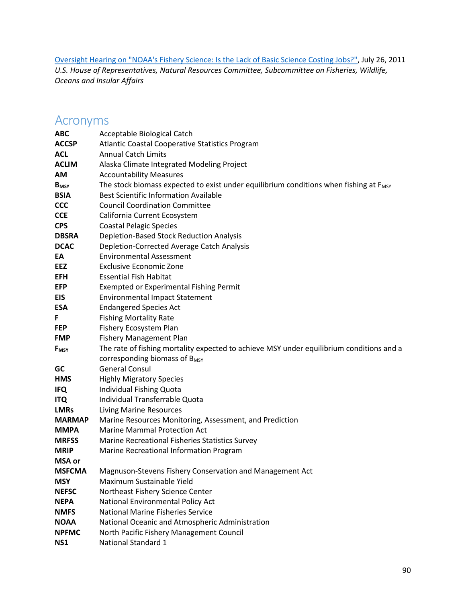[Oversight Hearing on "NOAA's Fishery Science: Is the Lack of Basic Science Costing Jobs?",](http://naturalresources.house.gov/calendar/EventSingle.aspx?EventID=252461) July 26, 2011 *U.S. House of Representatives, Natural Resources Committee, Subcommittee on Fisheries, Wildlife, Oceans and Insular Affairs*

# Acronyms

| <b>ABC</b>              | Acceptable Biological Catch                                                                       |
|-------------------------|---------------------------------------------------------------------------------------------------|
| <b>ACCSP</b>            | Atlantic Coastal Cooperative Statistics Program                                                   |
| <b>ACL</b>              | <b>Annual Catch Limits</b>                                                                        |
| <b>ACLIM</b>            | Alaska Climate Integrated Modeling Project                                                        |
| <b>AM</b>               | <b>Accountability Measures</b>                                                                    |
| <b>B</b> <sub>MSY</sub> | The stock biomass expected to exist under equilibrium conditions when fishing at F <sub>MSY</sub> |
| <b>BSIA</b>             | <b>Best Scientific Information Available</b>                                                      |
| <b>CCC</b>              | <b>Council Coordination Committee</b>                                                             |
| <b>CCE</b>              | California Current Ecosystem                                                                      |
| <b>CPS</b>              | <b>Coastal Pelagic Species</b>                                                                    |
| <b>DBSRA</b>            | <b>Depletion-Based Stock Reduction Analysis</b>                                                   |
| <b>DCAC</b>             | Depletion-Corrected Average Catch Analysis                                                        |
| EA                      | <b>Environmental Assessment</b>                                                                   |
| <b>EEZ</b>              | <b>Exclusive Economic Zone</b>                                                                    |
| <b>EFH</b>              | <b>Essential Fish Habitat</b>                                                                     |
| EFP                     | <b>Exempted or Experimental Fishing Permit</b>                                                    |
| EIS                     | <b>Environmental Impact Statement</b>                                                             |
| <b>ESA</b>              | <b>Endangered Species Act</b>                                                                     |
| F                       | <b>Fishing Mortality Rate</b>                                                                     |
| <b>FEP</b>              | Fishery Ecosystem Plan                                                                            |
| <b>FMP</b>              | <b>Fishery Management Plan</b>                                                                    |
| F <sub>MSY</sub>        | The rate of fishing mortality expected to achieve MSY under equilibrium conditions and a          |
|                         | corresponding biomass of B <sub>MSY</sub>                                                         |
| GC                      | <b>General Consul</b>                                                                             |
| <b>HMS</b>              | <b>Highly Migratory Species</b>                                                                   |
| <b>IFQ</b>              | Individual Fishing Quota                                                                          |
| <b>ITQ</b>              | Individual Transferrable Quota                                                                    |
| <b>LMRs</b>             | <b>Living Marine Resources</b>                                                                    |
| <b>MARMAP</b>           | Marine Resources Monitoring, Assessment, and Prediction                                           |
| <b>MMPA</b>             | <b>Marine Mammal Protection Act</b>                                                               |
| <b>MRFSS</b>            | Marine Recreational Fisheries Statistics Survey                                                   |
| <b>MRIP</b>             | Marine Recreational Information Program                                                           |
| <b>MSA</b> or           |                                                                                                   |
| <b>MSFCMA</b>           | Magnuson-Stevens Fishery Conservation and Management Act                                          |
| <b>MSY</b>              | Maximum Sustainable Yield                                                                         |
| <b>NEFSC</b>            | Northeast Fishery Science Center                                                                  |
| <b>NEPA</b>             | National Environmental Policy Act                                                                 |
| <b>NMFS</b>             | <b>National Marine Fisheries Service</b>                                                          |
| <b>NOAA</b>             | National Oceanic and Atmospheric Administration                                                   |
| <b>NPFMC</b>            | North Pacific Fishery Management Council                                                          |
| <b>NS1</b>              | National Standard 1                                                                               |